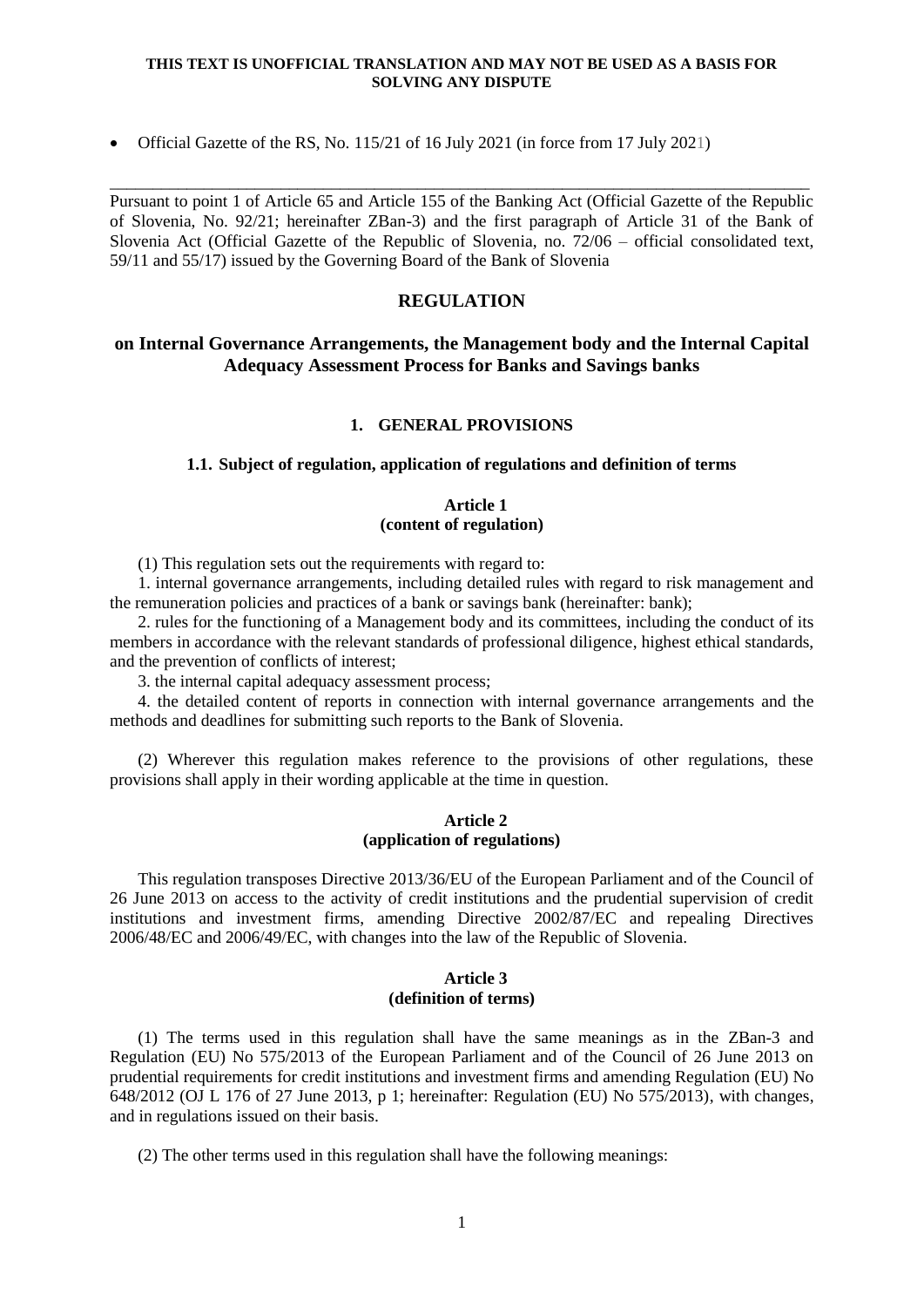Official Gazette of the RS, No. 115/21 of 16 July 2021 (in force from 17 July 2021)

Pursuant to point 1 of Article 65 and Article 155 of the Banking Act (Official Gazette of the Republic of Slovenia, No. 92/21; hereinafter ZBan-3) and the first paragraph of Article 31 of the Bank of Slovenia Act (Official Gazette of the Republic of Slovenia, no. 72/06 – official consolidated text, 59/11 and 55/17) issued by the Governing Board of the Bank of Slovenia

\_\_\_\_\_\_\_\_\_\_\_\_\_\_\_\_\_\_\_\_\_\_\_\_\_\_\_\_\_\_\_\_\_\_\_\_\_\_\_\_\_\_\_\_\_\_\_\_\_\_\_\_\_\_\_\_\_\_\_\_\_\_\_\_\_\_\_\_\_\_\_\_\_\_\_\_\_\_\_\_\_\_

## **REGULATION**

## **on Internal Governance Arrangements, the Management body and the Internal Capital Adequacy Assessment Process for Banks and Savings banks**

## **1. GENERAL PROVISIONS**

#### **1.1. Subject of regulation, application of regulations and definition of terms**

### **Article 1 (content of regulation)**

(1) This regulation sets out the requirements with regard to:

1. internal governance arrangements, including detailed rules with regard to risk management and the remuneration policies and practices of a bank or savings bank (hereinafter: bank);

2. rules for the functioning of a Management body and its committees, including the conduct of its members in accordance with the relevant standards of professional diligence, highest ethical standards, and the prevention of conflicts of interest;

3. the internal capital adequacy assessment process;

4. the detailed content of reports in connection with internal governance arrangements and the methods and deadlines for submitting such reports to the Bank of Slovenia.

(2) Wherever this regulation makes reference to the provisions of other regulations, these provisions shall apply in their wording applicable at the time in question.

## **Article 2 (application of regulations)**

This regulation transposes Directive 2013/36/EU of the European Parliament and of the Council of 26 June 2013 on access to the activity of credit institutions and the prudential supervision of credit institutions and investment firms, amending Directive 2002/87/EC and repealing Directives 2006/48/EC and 2006/49/EC, with changes into the law of the Republic of Slovenia.

## **Article 3 (definition of terms)**

(1) The terms used in this regulation shall have the same meanings as in the ZBan-3 and Regulation (EU) No 575/2013 of the European Parliament and of the Council of 26 June 2013 on prudential requirements for credit institutions and investment firms and amending Regulation (EU) No 648/2012 (OJ L 176 of 27 June 2013, p 1; hereinafter: Regulation (EU) No 575/2013), with changes, and in regulations issued on their basis.

(2) The other terms used in this regulation shall have the following meanings: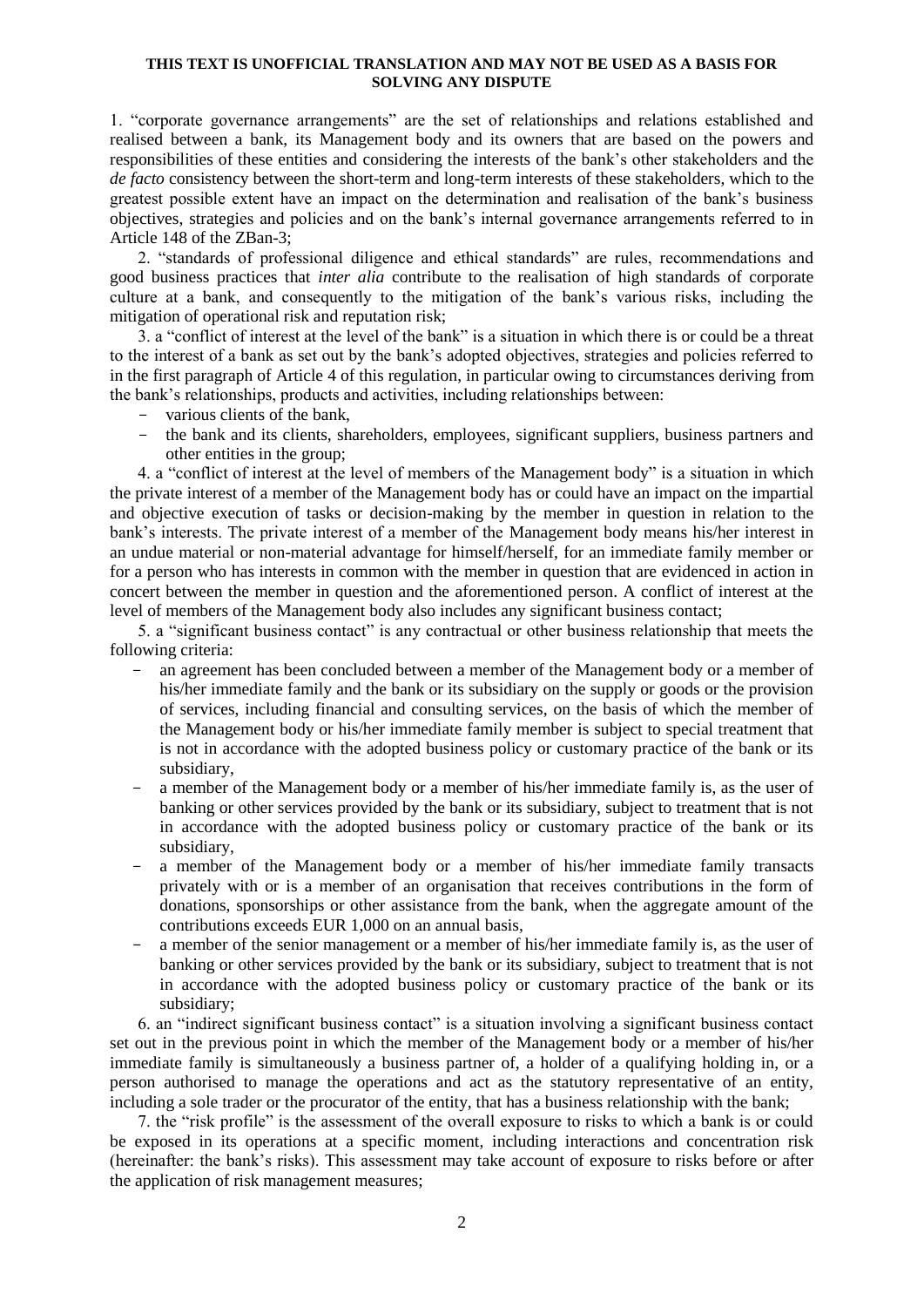1. "corporate governance arrangements" are the set of relationships and relations established and realised between a bank, its Management body and its owners that are based on the powers and responsibilities of these entities and considering the interests of the bank's other stakeholders and the *de facto* consistency between the short-term and long-term interests of these stakeholders, which to the greatest possible extent have an impact on the determination and realisation of the bank's business objectives, strategies and policies and on the bank's internal governance arrangements referred to in Article 148 of the ZBan-3;

2. "standards of professional diligence and ethical standards" are rules, recommendations and good business practices that *inter alia* contribute to the realisation of high standards of corporate culture at a bank, and consequently to the mitigation of the bank's various risks, including the mitigation of operational risk and reputation risk;

3. a "conflict of interest at the level of the bank" is a situation in which there is or could be a threat to the interest of a bank as set out by the bank's adopted objectives, strategies and policies referred to in the first paragraph of Article 4 of this regulation, in particular owing to circumstances deriving from the bank's relationships, products and activities, including relationships between:

- various clients of the bank,
- the bank and its clients, shareholders, employees, significant suppliers, business partners and other entities in the group;

4. a "conflict of interest at the level of members of the Management body" is a situation in which the private interest of a member of the Management body has or could have an impact on the impartial and objective execution of tasks or decision-making by the member in question in relation to the bank's interests. The private interest of a member of the Management body means his/her interest in an undue material or non-material advantage for himself/herself, for an immediate family member or for a person who has interests in common with the member in question that are evidenced in action in concert between the member in question and the aforementioned person. A conflict of interest at the level of members of the Management body also includes any significant business contact;

5. a "significant business contact" is any contractual or other business relationship that meets the following criteria:

- an agreement has been concluded between a member of the Management body or a member of his/her immediate family and the bank or its subsidiary on the supply or goods or the provision of services, including financial and consulting services, on the basis of which the member of the Management body or his/her immediate family member is subject to special treatment that is not in accordance with the adopted business policy or customary practice of the bank or its subsidiary,
- a member of the Management body or a member of his/her immediate family is, as the user of banking or other services provided by the bank or its subsidiary, subject to treatment that is not in accordance with the adopted business policy or customary practice of the bank or its subsidiary,
- a member of the Management body or a member of his/her immediate family transacts privately with or is a member of an organisation that receives contributions in the form of donations, sponsorships or other assistance from the bank, when the aggregate amount of the contributions exceeds EUR 1,000 on an annual basis,
- a member of the senior management or a member of his/her immediate family is, as the user of banking or other services provided by the bank or its subsidiary, subject to treatment that is not in accordance with the adopted business policy or customary practice of the bank or its subsidiary;

6. an "indirect significant business contact" is a situation involving a significant business contact set out in the previous point in which the member of the Management body or a member of his/her immediate family is simultaneously a business partner of, a holder of a qualifying holding in, or a person authorised to manage the operations and act as the statutory representative of an entity, including a sole trader or the procurator of the entity, that has a business relationship with the bank;

7. the "risk profile" is the assessment of the overall exposure to risks to which a bank is or could be exposed in its operations at a specific moment, including interactions and concentration risk (hereinafter: the bank's risks). This assessment may take account of exposure to risks before or after the application of risk management measures;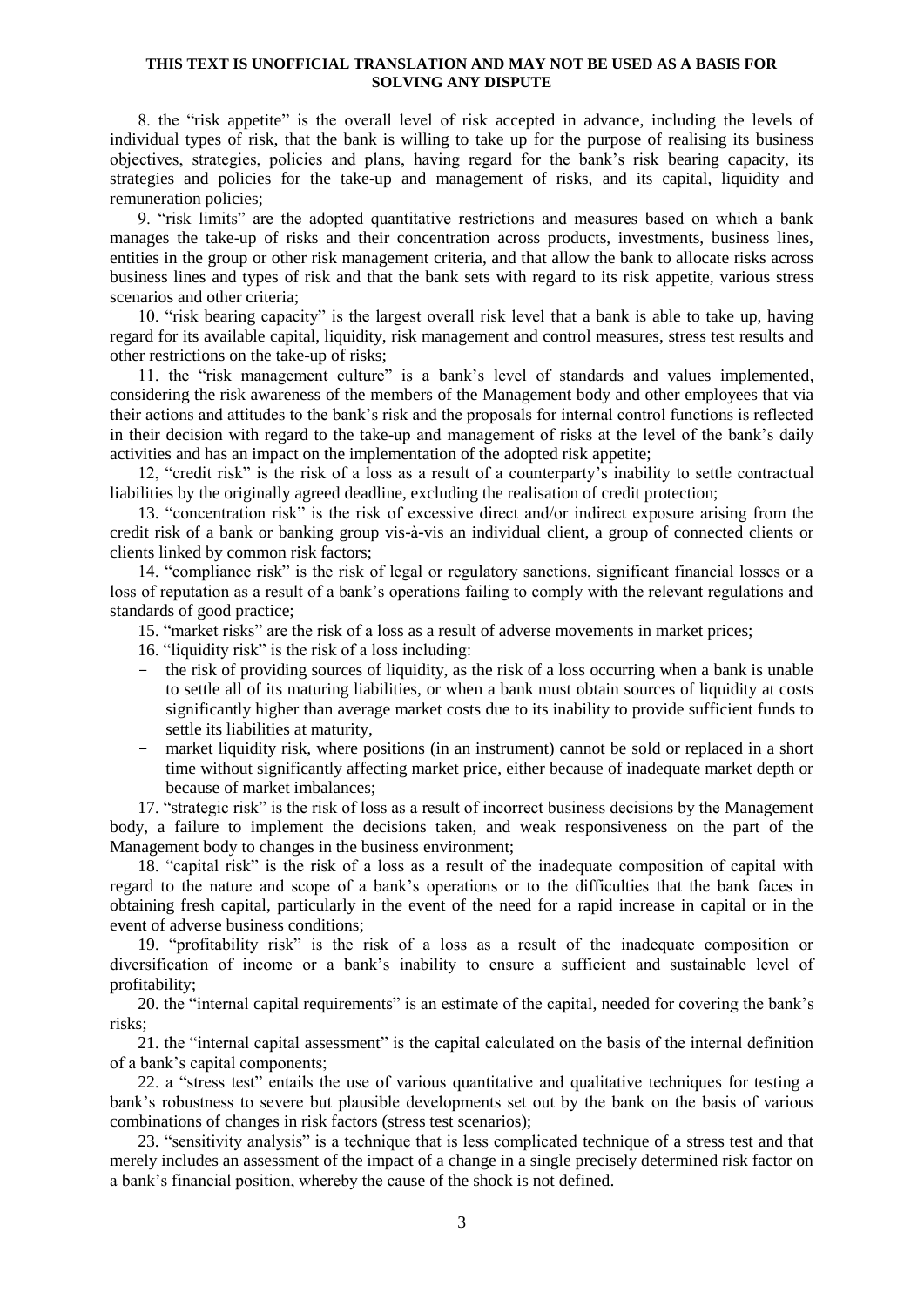8. the "risk appetite" is the overall level of risk accepted in advance, including the levels of individual types of risk, that the bank is willing to take up for the purpose of realising its business objectives, strategies, policies and plans, having regard for the bank's risk bearing capacity, its strategies and policies for the take-up and management of risks, and its capital, liquidity and remuneration policies;

9. "risk limits" are the adopted quantitative restrictions and measures based on which a bank manages the take-up of risks and their concentration across products, investments, business lines, entities in the group or other risk management criteria, and that allow the bank to allocate risks across business lines and types of risk and that the bank sets with regard to its risk appetite, various stress scenarios and other criteria;

10. "risk bearing capacity" is the largest overall risk level that a bank is able to take up, having regard for its available capital, liquidity, risk management and control measures, stress test results and other restrictions on the take-up of risks;

11. the "risk management culture" is a bank's level of standards and values implemented, considering the risk awareness of the members of the Management body and other employees that via their actions and attitudes to the bank's risk and the proposals for internal control functions is reflected in their decision with regard to the take-up and management of risks at the level of the bank's daily activities and has an impact on the implementation of the adopted risk appetite;

12, "credit risk" is the risk of a loss as a result of a counterparty's inability to settle contractual liabilities by the originally agreed deadline, excluding the realisation of credit protection;

13. "concentration risk" is the risk of excessive direct and/or indirect exposure arising from the credit risk of a bank or banking group vis-à-vis an individual client, a group of connected clients or clients linked by common risk factors;

14. "compliance risk" is the risk of legal or regulatory sanctions, significant financial losses or a loss of reputation as a result of a bank's operations failing to comply with the relevant regulations and standards of good practice;

15. "market risks" are the risk of a loss as a result of adverse movements in market prices;

16. "liquidity risk" is the risk of a loss including:

- the risk of providing sources of liquidity, as the risk of a loss occurring when a bank is unable to settle all of its maturing liabilities, or when a bank must obtain sources of liquidity at costs significantly higher than average market costs due to its inability to provide sufficient funds to settle its liabilities at maturity,
- market liquidity risk, where positions (in an instrument) cannot be sold or replaced in a short time without significantly affecting market price, either because of inadequate market depth or because of market imbalances;

17. "strategic risk" is the risk of loss as a result of incorrect business decisions by the Management body, a failure to implement the decisions taken, and weak responsiveness on the part of the Management body to changes in the business environment;

18. "capital risk" is the risk of a loss as a result of the inadequate composition of capital with regard to the nature and scope of a bank's operations or to the difficulties that the bank faces in obtaining fresh capital, particularly in the event of the need for a rapid increase in capital or in the event of adverse business conditions;

19. "profitability risk" is the risk of a loss as a result of the inadequate composition or diversification of income or a bank's inability to ensure a sufficient and sustainable level of profitability;

20. the "internal capital requirements" is an estimate of the capital, needed for covering the bank's risks;

21. the "internal capital assessment" is the capital calculated on the basis of the internal definition of a bank's capital components;

22. a "stress test" entails the use of various quantitative and qualitative techniques for testing a bank's robustness to severe but plausible developments set out by the bank on the basis of various combinations of changes in risk factors (stress test scenarios);

23. "sensitivity analysis" is a technique that is less complicated technique of a stress test and that merely includes an assessment of the impact of a change in a single precisely determined risk factor on a bank's financial position, whereby the cause of the shock is not defined.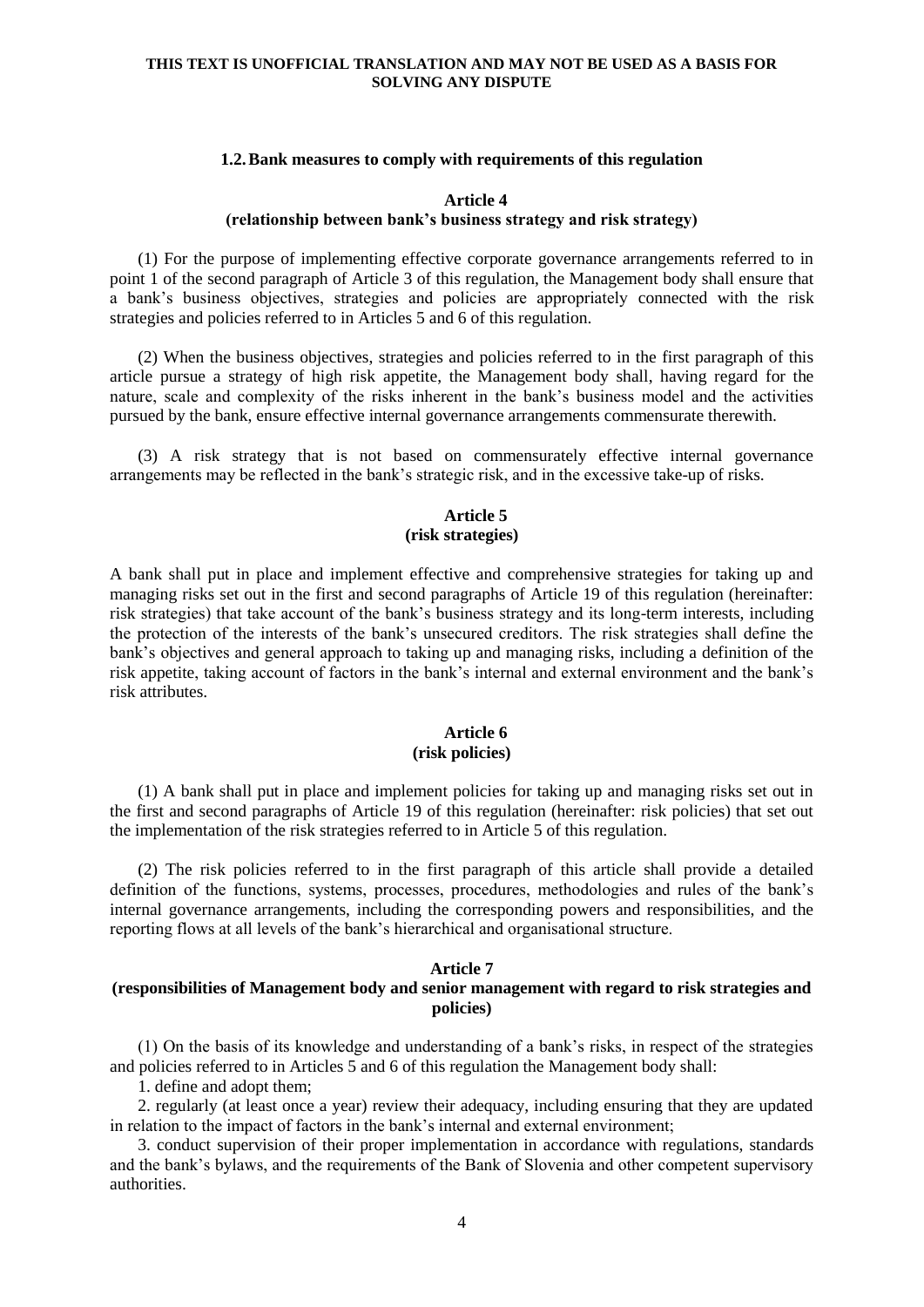#### **1.2.Bank measures to comply with requirements of this regulation**

### **Article 4 (relationship between bank's business strategy and risk strategy)**

(1) For the purpose of implementing effective corporate governance arrangements referred to in point 1 of the second paragraph of Article 3 of this regulation, the Management body shall ensure that a bank's business objectives, strategies and policies are appropriately connected with the risk strategies and policies referred to in Articles 5 and 6 of this regulation.

(2) When the business objectives, strategies and policies referred to in the first paragraph of this article pursue a strategy of high risk appetite, the Management body shall, having regard for the nature, scale and complexity of the risks inherent in the bank's business model and the activities pursued by the bank, ensure effective internal governance arrangements commensurate therewith.

(3) A risk strategy that is not based on commensurately effective internal governance arrangements may be reflected in the bank's strategic risk, and in the excessive take-up of risks.

## **Article 5 (risk strategies)**

A bank shall put in place and implement effective and comprehensive strategies for taking up and managing risks set out in the first and second paragraphs of Article 19 of this regulation (hereinafter: risk strategies) that take account of the bank's business strategy and its long-term interests, including the protection of the interests of the bank's unsecured creditors. The risk strategies shall define the bank's objectives and general approach to taking up and managing risks, including a definition of the risk appetite, taking account of factors in the bank's internal and external environment and the bank's risk attributes.

## **Article 6 (risk policies)**

(1) A bank shall put in place and implement policies for taking up and managing risks set out in the first and second paragraphs of Article 19 of this regulation (hereinafter: risk policies) that set out the implementation of the risk strategies referred to in Article 5 of this regulation.

(2) The risk policies referred to in the first paragraph of this article shall provide a detailed definition of the functions, systems, processes, procedures, methodologies and rules of the bank's internal governance arrangements, including the corresponding powers and responsibilities, and the reporting flows at all levels of the bank's hierarchical and organisational structure.

### **Article 7**

### **(responsibilities of Management body and senior management with regard to risk strategies and policies)**

(1) On the basis of its knowledge and understanding of a bank's risks, in respect of the strategies and policies referred to in Articles 5 and 6 of this regulation the Management body shall:

1. define and adopt them;

2. regularly (at least once a year) review their adequacy, including ensuring that they are updated in relation to the impact of factors in the bank's internal and external environment;

3. conduct supervision of their proper implementation in accordance with regulations, standards and the bank's bylaws, and the requirements of the Bank of Slovenia and other competent supervisory authorities.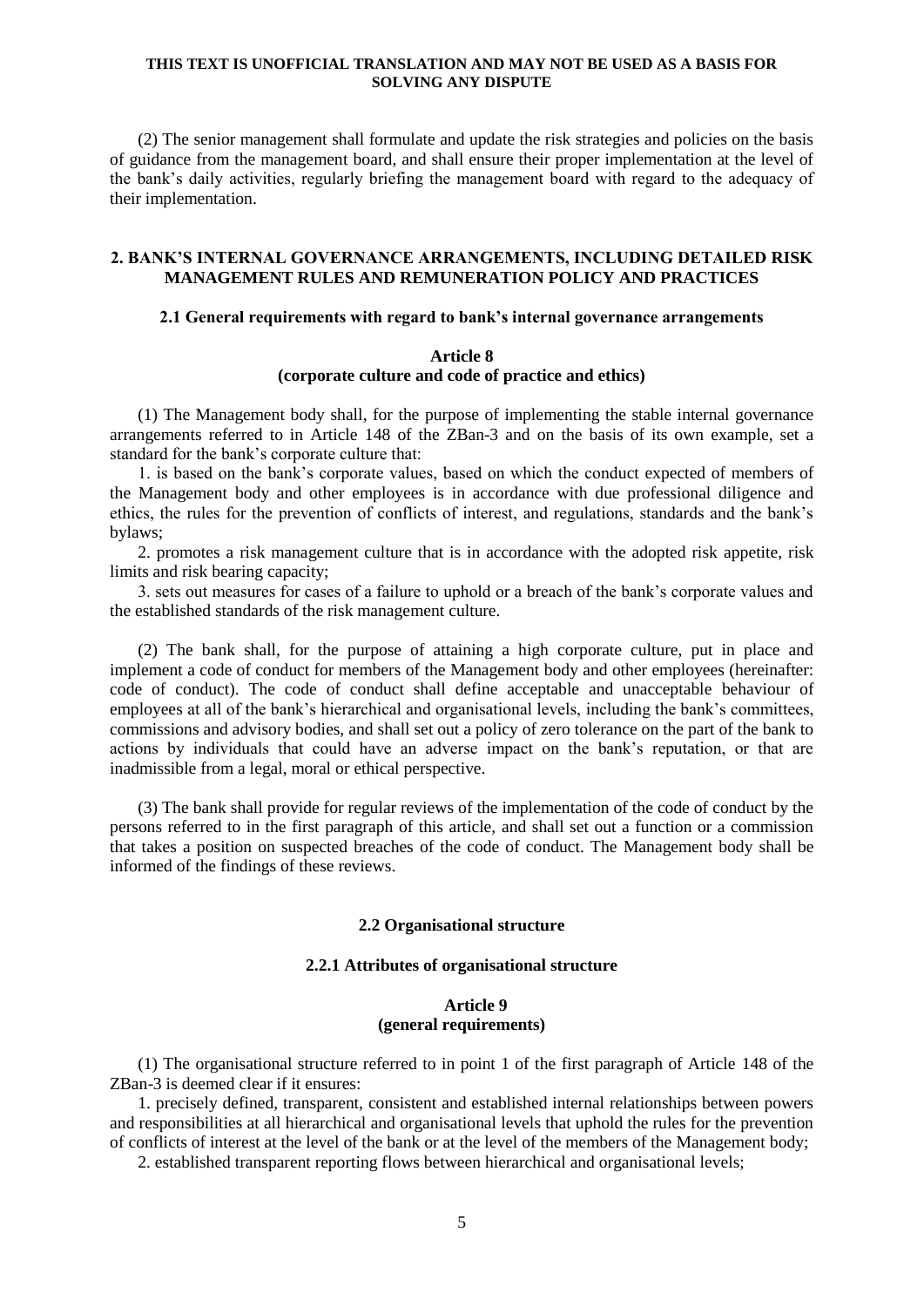(2) The senior management shall formulate and update the risk strategies and policies on the basis of guidance from the management board, and shall ensure their proper implementation at the level of the bank's daily activities, regularly briefing the management board with regard to the adequacy of their implementation.

### **2. BANK'S INTERNAL GOVERNANCE ARRANGEMENTS, INCLUDING DETAILED RISK MANAGEMENT RULES AND REMUNERATION POLICY AND PRACTICES**

## **2.1 General requirements with regard to bank's internal governance arrangements**

## **Article 8 (corporate culture and code of practice and ethics)**

(1) The Management body shall, for the purpose of implementing the stable internal governance arrangements referred to in Article 148 of the ZBan-3 and on the basis of its own example, set a standard for the bank's corporate culture that:

1. is based on the bank's corporate values, based on which the conduct expected of members of the Management body and other employees is in accordance with due professional diligence and ethics, the rules for the prevention of conflicts of interest, and regulations, standards and the bank's bylaws;

2. promotes a risk management culture that is in accordance with the adopted risk appetite, risk limits and risk bearing capacity;

3. sets out measures for cases of a failure to uphold or a breach of the bank's corporate values and the established standards of the risk management culture.

(2) The bank shall, for the purpose of attaining a high corporate culture, put in place and implement a code of conduct for members of the Management body and other employees (hereinafter: code of conduct). The code of conduct shall define acceptable and unacceptable behaviour of employees at all of the bank's hierarchical and organisational levels, including the bank's committees, commissions and advisory bodies, and shall set out a policy of zero tolerance on the part of the bank to actions by individuals that could have an adverse impact on the bank's reputation, or that are inadmissible from a legal, moral or ethical perspective.

(3) The bank shall provide for regular reviews of the implementation of the code of conduct by the persons referred to in the first paragraph of this article, and shall set out a function or a commission that takes a position on suspected breaches of the code of conduct. The Management body shall be informed of the findings of these reviews.

## **2.2 Organisational structure**

## **2.2.1 Attributes of organisational structure**

## **Article 9 (general requirements)**

(1) The organisational structure referred to in point 1 of the first paragraph of Article 148 of the ZBan-3 is deemed clear if it ensures:

1. precisely defined, transparent, consistent and established internal relationships between powers and responsibilities at all hierarchical and organisational levels that uphold the rules for the prevention of conflicts of interest at the level of the bank or at the level of the members of the Management body;

2. established transparent reporting flows between hierarchical and organisational levels;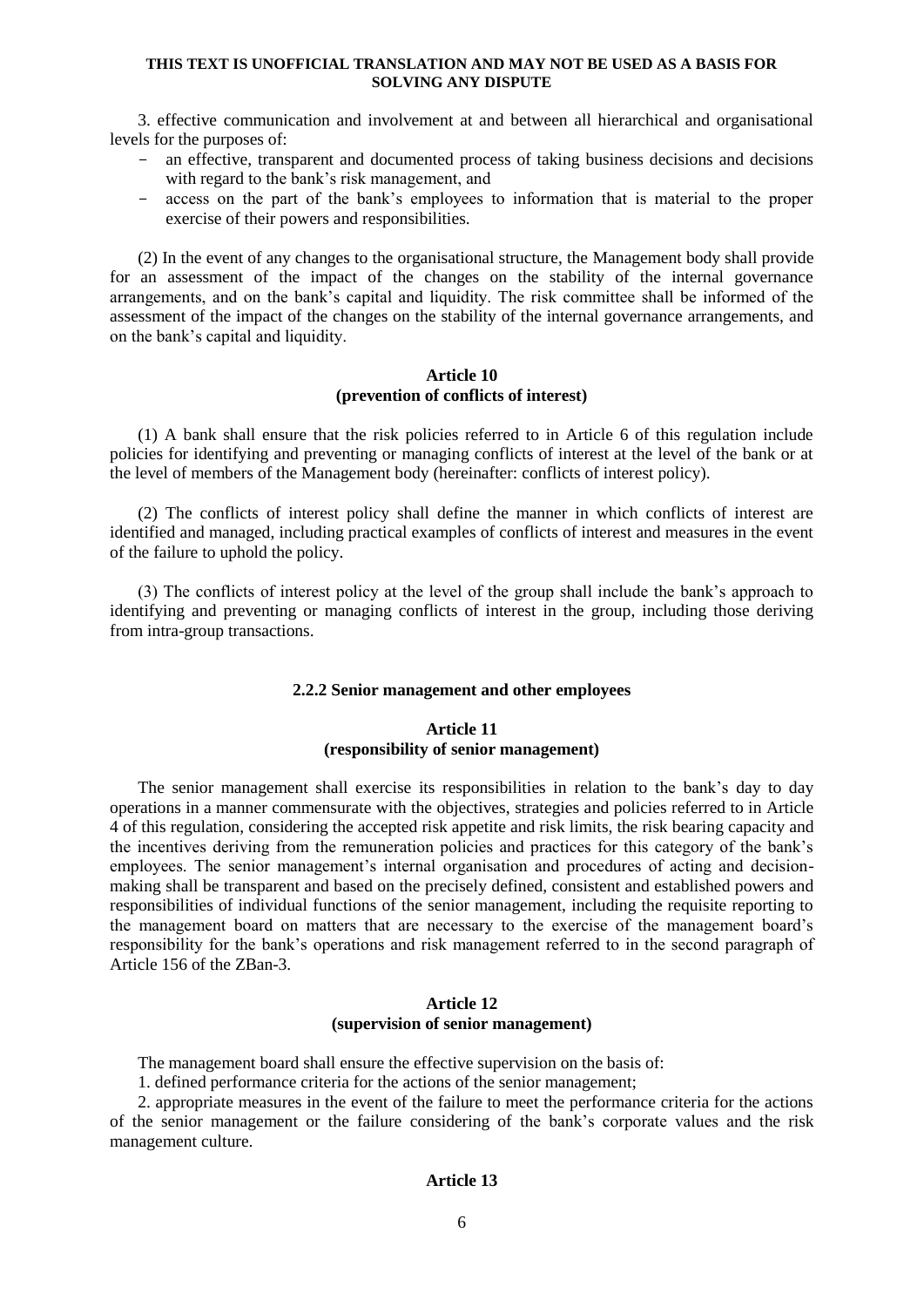3. effective communication and involvement at and between all hierarchical and organisational levels for the purposes of:

- an effective, transparent and documented process of taking business decisions and decisions with regard to the bank's risk management, and
- access on the part of the bank's employees to information that is material to the proper exercise of their powers and responsibilities.

(2) In the event of any changes to the organisational structure, the Management body shall provide for an assessment of the impact of the changes on the stability of the internal governance arrangements, and on the bank's capital and liquidity. The risk committee shall be informed of the assessment of the impact of the changes on the stability of the internal governance arrangements, and on the bank's capital and liquidity.

### **Article 10 (prevention of conflicts of interest)**

(1) A bank shall ensure that the risk policies referred to in Article 6 of this regulation include policies for identifying and preventing or managing conflicts of interest at the level of the bank or at the level of members of the Management body (hereinafter: conflicts of interest policy).

(2) The conflicts of interest policy shall define the manner in which conflicts of interest are identified and managed, including practical examples of conflicts of interest and measures in the event of the failure to uphold the policy.

(3) The conflicts of interest policy at the level of the group shall include the bank's approach to identifying and preventing or managing conflicts of interest in the group, including those deriving from intra-group transactions.

## **2.2.2 Senior management and other employees**

### **Article 11 (responsibility of senior management)**

The senior management shall exercise its responsibilities in relation to the bank's day to day operations in a manner commensurate with the objectives, strategies and policies referred to in Article 4 of this regulation, considering the accepted risk appetite and risk limits, the risk bearing capacity and the incentives deriving from the remuneration policies and practices for this category of the bank's employees. The senior management's internal organisation and procedures of acting and decisionmaking shall be transparent and based on the precisely defined, consistent and established powers and responsibilities of individual functions of the senior management, including the requisite reporting to the management board on matters that are necessary to the exercise of the management board's responsibility for the bank's operations and risk management referred to in the second paragraph of Article 156 of the ZBan-3.

## **Article 12 (supervision of senior management)**

The management board shall ensure the effective supervision on the basis of:

1. defined performance criteria for the actions of the senior management;

2. appropriate measures in the event of the failure to meet the performance criteria for the actions of the senior management or the failure considering of the bank's corporate values and the risk management culture.

## **Article 13**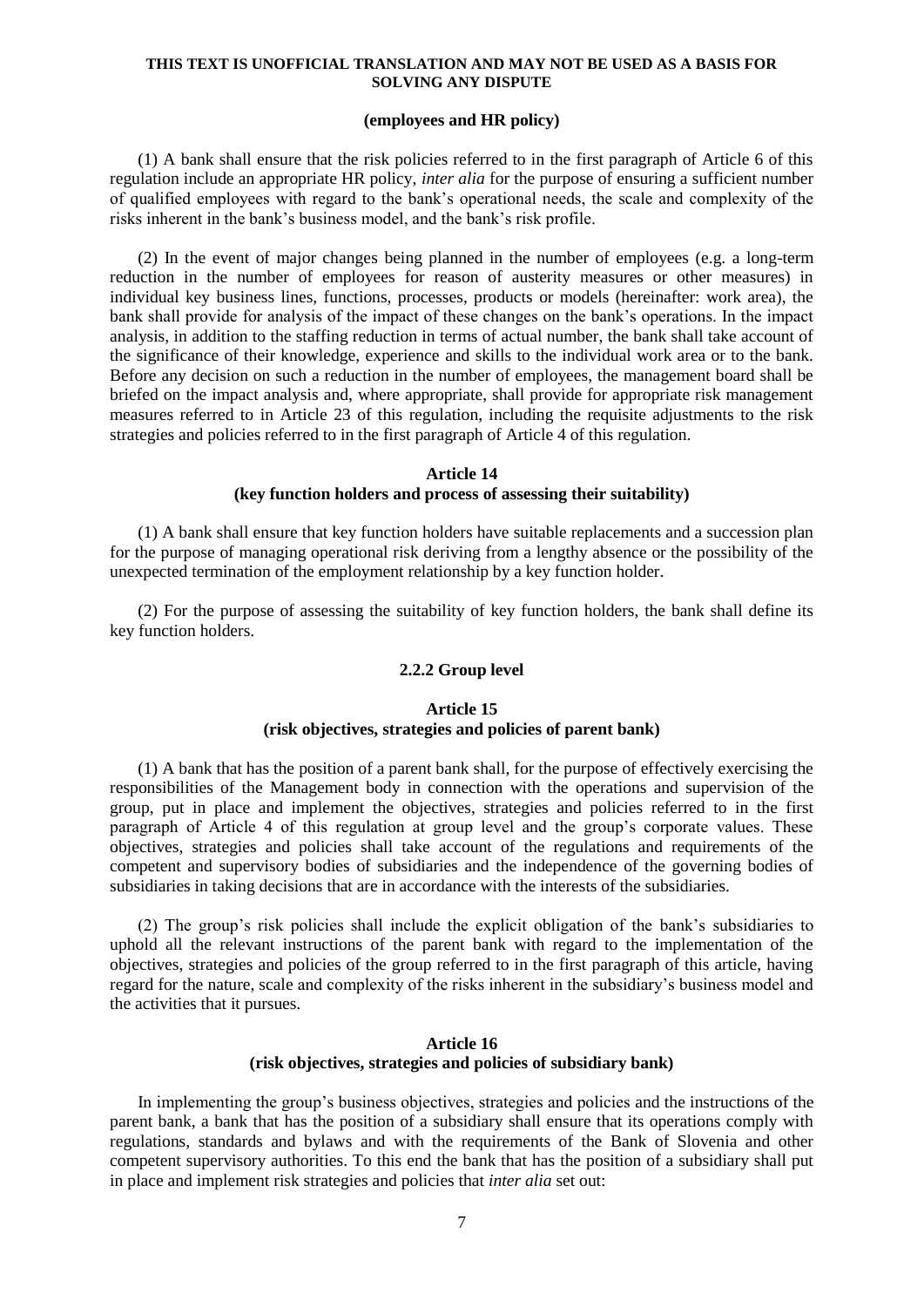## **(employees and HR policy)**

(1) A bank shall ensure that the risk policies referred to in the first paragraph of Article 6 of this regulation include an appropriate HR policy, *inter alia* for the purpose of ensuring a sufficient number of qualified employees with regard to the bank's operational needs, the scale and complexity of the risks inherent in the bank's business model, and the bank's risk profile.

(2) In the event of major changes being planned in the number of employees (e.g. a long-term reduction in the number of employees for reason of austerity measures or other measures) in individual key business lines, functions, processes, products or models (hereinafter: work area), the bank shall provide for analysis of the impact of these changes on the bank's operations. In the impact analysis, in addition to the staffing reduction in terms of actual number, the bank shall take account of the significance of their knowledge, experience and skills to the individual work area or to the bank. Before any decision on such a reduction in the number of employees, the management board shall be briefed on the impact analysis and, where appropriate, shall provide for appropriate risk management measures referred to in Article 23 of this regulation, including the requisite adjustments to the risk strategies and policies referred to in the first paragraph of Article 4 of this regulation.

#### **Article 14**

## **(key function holders and process of assessing their suitability)**

(1) A bank shall ensure that key function holders have suitable replacements and a succession plan for the purpose of managing operational risk deriving from a lengthy absence or the possibility of the unexpected termination of the employment relationship by a key function holder.

(2) For the purpose of assessing the suitability of key function holders, the bank shall define its key function holders.

### **2.2.2 Group level**

### **Article 15 (risk objectives, strategies and policies of parent bank)**

(1) A bank that has the position of a parent bank shall, for the purpose of effectively exercising the responsibilities of the Management body in connection with the operations and supervision of the group, put in place and implement the objectives, strategies and policies referred to in the first paragraph of Article 4 of this regulation at group level and the group's corporate values. These objectives, strategies and policies shall take account of the regulations and requirements of the competent and supervisory bodies of subsidiaries and the independence of the governing bodies of subsidiaries in taking decisions that are in accordance with the interests of the subsidiaries.

(2) The group's risk policies shall include the explicit obligation of the bank's subsidiaries to uphold all the relevant instructions of the parent bank with regard to the implementation of the objectives, strategies and policies of the group referred to in the first paragraph of this article, having regard for the nature, scale and complexity of the risks inherent in the subsidiary's business model and the activities that it pursues.

## **Article 16 (risk objectives, strategies and policies of subsidiary bank)**

In implementing the group's business objectives, strategies and policies and the instructions of the parent bank, a bank that has the position of a subsidiary shall ensure that its operations comply with regulations, standards and bylaws and with the requirements of the Bank of Slovenia and other competent supervisory authorities. To this end the bank that has the position of a subsidiary shall put in place and implement risk strategies and policies that *inter alia* set out: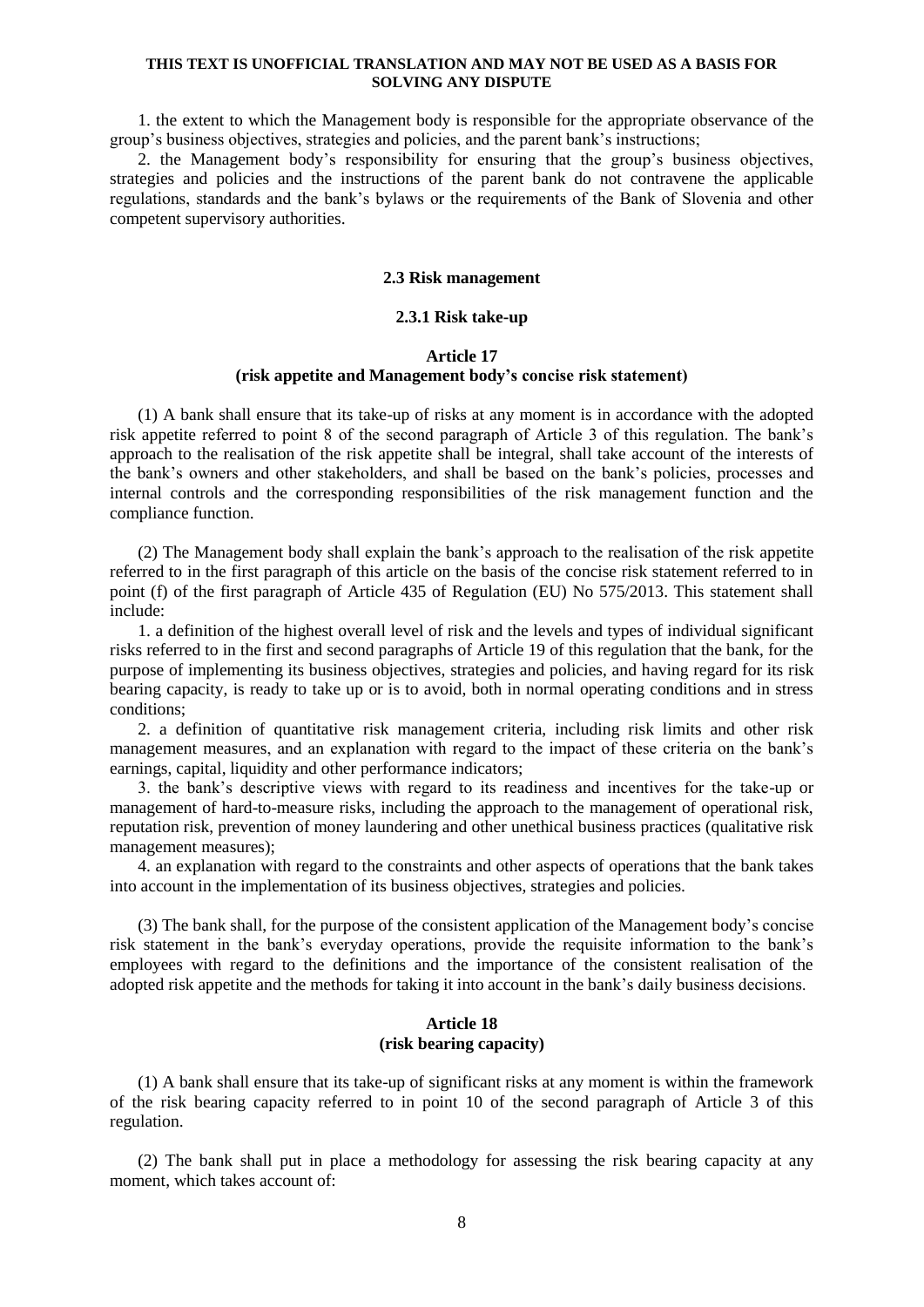1. the extent to which the Management body is responsible for the appropriate observance of the group's business objectives, strategies and policies, and the parent bank's instructions;

2. the Management body's responsibility for ensuring that the group's business objectives, strategies and policies and the instructions of the parent bank do not contravene the applicable regulations, standards and the bank's bylaws or the requirements of the Bank of Slovenia and other competent supervisory authorities.

### **2.3 Risk management**

### **2.3.1 Risk take-up**

## **Article 17 (risk appetite and Management body's concise risk statement)**

(1) A bank shall ensure that its take-up of risks at any moment is in accordance with the adopted risk appetite referred to point 8 of the second paragraph of Article 3 of this regulation. The bank's approach to the realisation of the risk appetite shall be integral, shall take account of the interests of the bank's owners and other stakeholders, and shall be based on the bank's policies, processes and internal controls and the corresponding responsibilities of the risk management function and the compliance function.

(2) The Management body shall explain the bank's approach to the realisation of the risk appetite referred to in the first paragraph of this article on the basis of the concise risk statement referred to in point (f) of the first paragraph of Article 435 of Regulation (EU) No 575/2013. This statement shall include:

1. a definition of the highest overall level of risk and the levels and types of individual significant risks referred to in the first and second paragraphs of Article 19 of this regulation that the bank, for the purpose of implementing its business objectives, strategies and policies, and having regard for its risk bearing capacity, is ready to take up or is to avoid, both in normal operating conditions and in stress conditions;

2. a definition of quantitative risk management criteria, including risk limits and other risk management measures, and an explanation with regard to the impact of these criteria on the bank's earnings, capital, liquidity and other performance indicators;

3. the bank's descriptive views with regard to its readiness and incentives for the take-up or management of hard-to-measure risks, including the approach to the management of operational risk, reputation risk, prevention of money laundering and other unethical business practices (qualitative risk management measures);

4. an explanation with regard to the constraints and other aspects of operations that the bank takes into account in the implementation of its business objectives, strategies and policies.

(3) The bank shall, for the purpose of the consistent application of the Management body's concise risk statement in the bank's everyday operations, provide the requisite information to the bank's employees with regard to the definitions and the importance of the consistent realisation of the adopted risk appetite and the methods for taking it into account in the bank's daily business decisions.

### **Article 18 (risk bearing capacity)**

(1) A bank shall ensure that its take-up of significant risks at any moment is within the framework of the risk bearing capacity referred to in point 10 of the second paragraph of Article 3 of this regulation.

(2) The bank shall put in place a methodology for assessing the risk bearing capacity at any moment, which takes account of: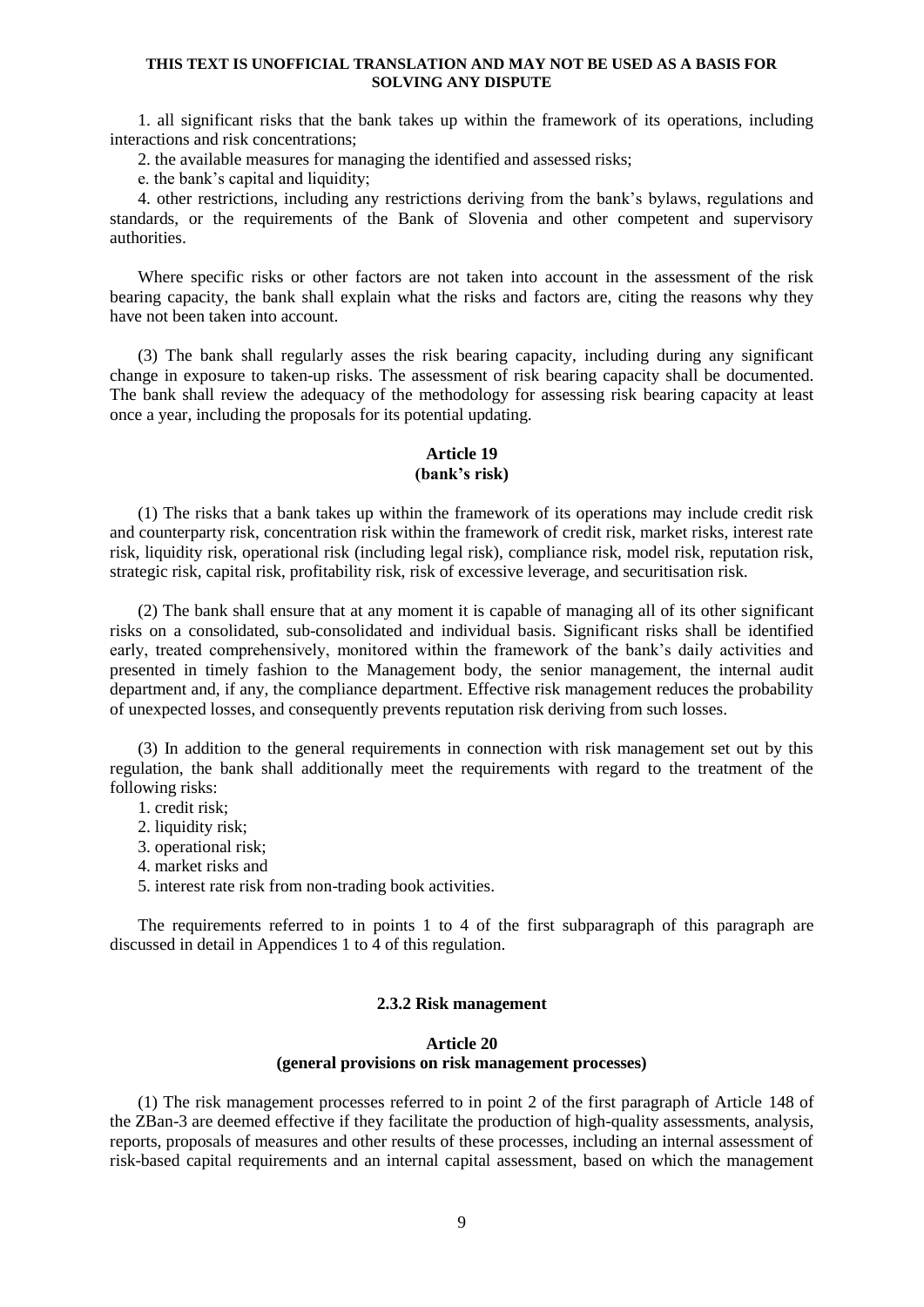1. all significant risks that the bank takes up within the framework of its operations, including interactions and risk concentrations;

2. the available measures for managing the identified and assessed risks;

e. the bank's capital and liquidity;

4. other restrictions, including any restrictions deriving from the bank's bylaws, regulations and standards, or the requirements of the Bank of Slovenia and other competent and supervisory authorities.

Where specific risks or other factors are not taken into account in the assessment of the risk bearing capacity, the bank shall explain what the risks and factors are, citing the reasons why they have not been taken into account.

(3) The bank shall regularly asses the risk bearing capacity, including during any significant change in exposure to taken-up risks. The assessment of risk bearing capacity shall be documented. The bank shall review the adequacy of the methodology for assessing risk bearing capacity at least once a year, including the proposals for its potential updating.

# **Article 19**

## **(bank's risk)**

(1) The risks that a bank takes up within the framework of its operations may include credit risk and counterparty risk, concentration risk within the framework of credit risk, market risks, interest rate risk, liquidity risk, operational risk (including legal risk), compliance risk, model risk, reputation risk, strategic risk, capital risk, profitability risk, risk of excessive leverage, and securitisation risk.

(2) The bank shall ensure that at any moment it is capable of managing all of its other significant risks on a consolidated, sub-consolidated and individual basis. Significant risks shall be identified early, treated comprehensively, monitored within the framework of the bank's daily activities and presented in timely fashion to the Management body, the senior management, the internal audit department and, if any, the compliance department. Effective risk management reduces the probability of unexpected losses, and consequently prevents reputation risk deriving from such losses.

(3) In addition to the general requirements in connection with risk management set out by this regulation, the bank shall additionally meet the requirements with regard to the treatment of the following risks:

- 1. credit risk;
- 2. liquidity risk:
- 3. operational risk;
- 4. market risks and
- 5. interest rate risk from non-trading book activities.

The requirements referred to in points 1 to 4 of the first subparagraph of this paragraph are discussed in detail in Appendices 1 to 4 of this regulation.

### **2.3.2 Risk management**

### **Article 20**

## **(general provisions on risk management processes)**

(1) The risk management processes referred to in point 2 of the first paragraph of Article 148 of the ZBan-3 are deemed effective if they facilitate the production of high-quality assessments, analysis, reports, proposals of measures and other results of these processes, including an internal assessment of risk-based capital requirements and an internal capital assessment, based on which the management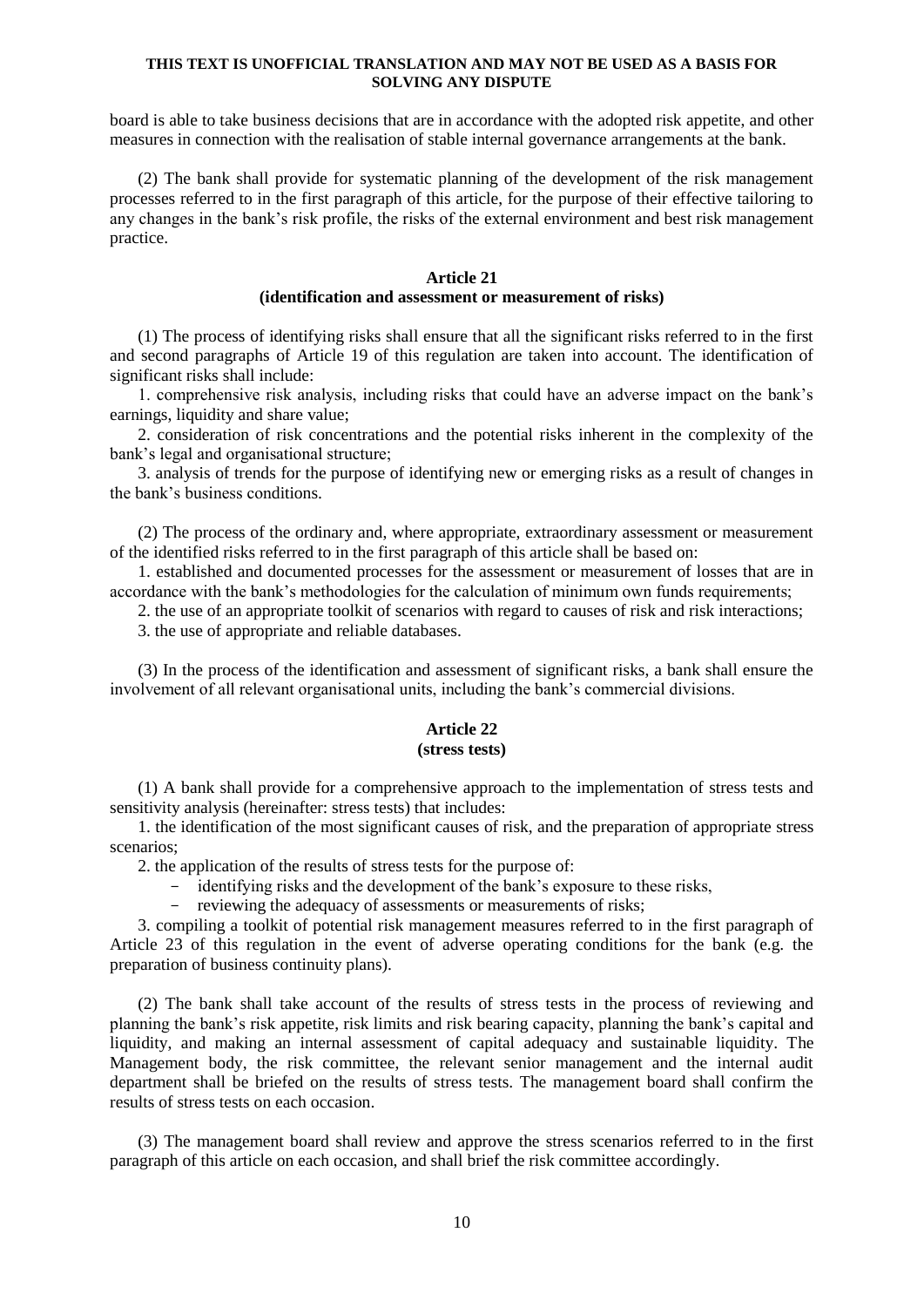board is able to take business decisions that are in accordance with the adopted risk appetite, and other measures in connection with the realisation of stable internal governance arrangements at the bank.

(2) The bank shall provide for systematic planning of the development of the risk management processes referred to in the first paragraph of this article, for the purpose of their effective tailoring to any changes in the bank's risk profile, the risks of the external environment and best risk management practice.

#### **Article 21**

## **(identification and assessment or measurement of risks)**

(1) The process of identifying risks shall ensure that all the significant risks referred to in the first and second paragraphs of Article 19 of this regulation are taken into account. The identification of significant risks shall include:

1. comprehensive risk analysis, including risks that could have an adverse impact on the bank's earnings, liquidity and share value;

2. consideration of risk concentrations and the potential risks inherent in the complexity of the bank's legal and organisational structure;

3. analysis of trends for the purpose of identifying new or emerging risks as a result of changes in the bank's business conditions.

(2) The process of the ordinary and, where appropriate, extraordinary assessment or measurement of the identified risks referred to in the first paragraph of this article shall be based on:

1. established and documented processes for the assessment or measurement of losses that are in accordance with the bank's methodologies for the calculation of minimum own funds requirements;

2. the use of an appropriate toolkit of scenarios with regard to causes of risk and risk interactions;

3. the use of appropriate and reliable databases.

(3) In the process of the identification and assessment of significant risks, a bank shall ensure the involvement of all relevant organisational units, including the bank's commercial divisions.

## **Article 22 (stress tests)**

(1) A bank shall provide for a comprehensive approach to the implementation of stress tests and sensitivity analysis (hereinafter: stress tests) that includes:

1. the identification of the most significant causes of risk, and the preparation of appropriate stress scenarios;

2. the application of the results of stress tests for the purpose of:

- identifying risks and the development of the bank's exposure to these risks,
- reviewing the adequacy of assessments or measurements of risks;

3. compiling a toolkit of potential risk management measures referred to in the first paragraph of Article 23 of this regulation in the event of adverse operating conditions for the bank (e.g. the preparation of business continuity plans).

(2) The bank shall take account of the results of stress tests in the process of reviewing and planning the bank's risk appetite, risk limits and risk bearing capacity, planning the bank's capital and liquidity, and making an internal assessment of capital adequacy and sustainable liquidity. The Management body, the risk committee, the relevant senior management and the internal audit department shall be briefed on the results of stress tests. The management board shall confirm the results of stress tests on each occasion.

(3) The management board shall review and approve the stress scenarios referred to in the first paragraph of this article on each occasion, and shall brief the risk committee accordingly.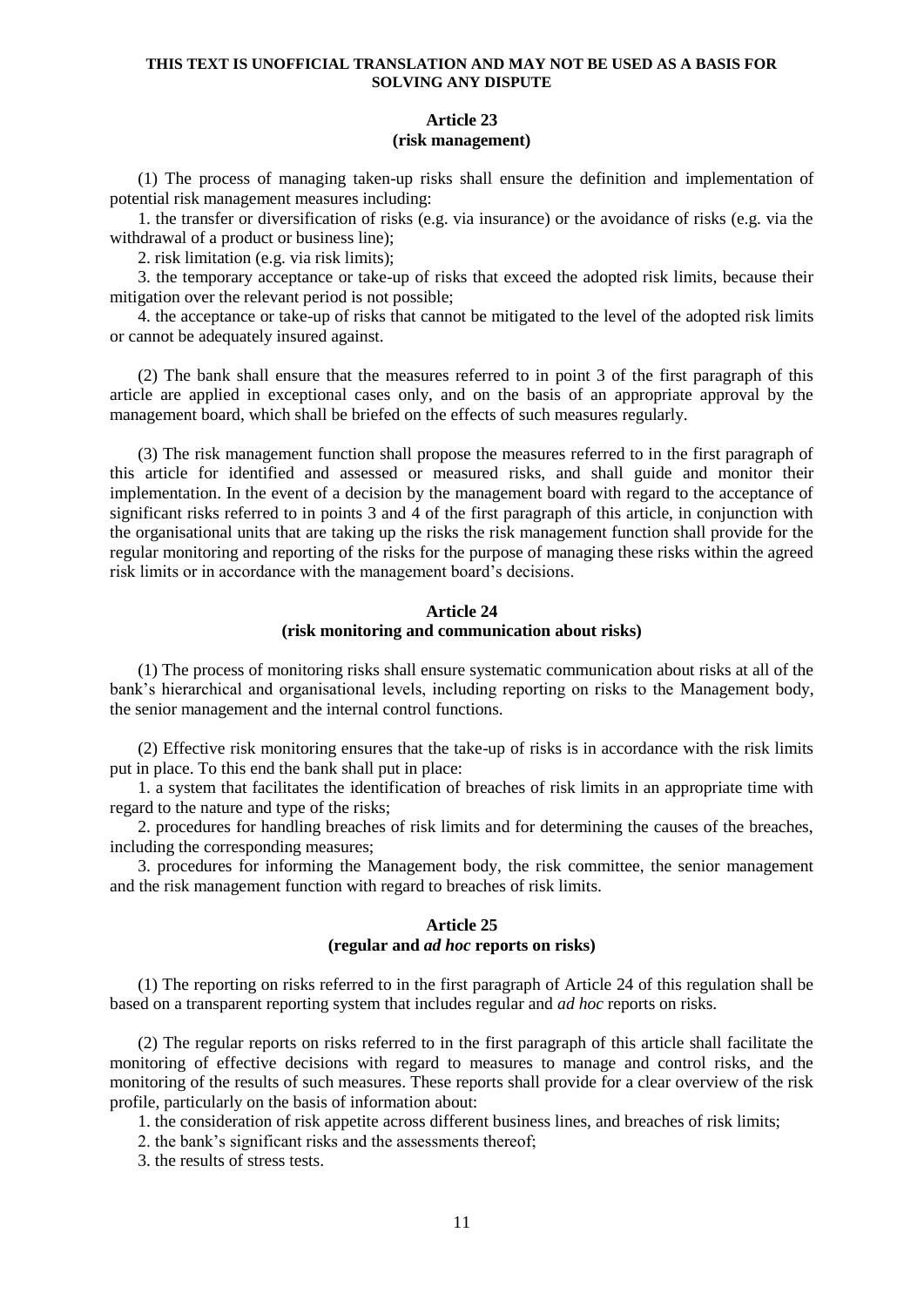## **Article 23 (risk management)**

(1) The process of managing taken-up risks shall ensure the definition and implementation of potential risk management measures including:

1. the transfer or diversification of risks (e.g. via insurance) or the avoidance of risks (e.g. via the withdrawal of a product or business line);

2. risk limitation (e.g. via risk limits);

3. the temporary acceptance or take-up of risks that exceed the adopted risk limits, because their mitigation over the relevant period is not possible;

4. the acceptance or take-up of risks that cannot be mitigated to the level of the adopted risk limits or cannot be adequately insured against.

(2) The bank shall ensure that the measures referred to in point 3 of the first paragraph of this article are applied in exceptional cases only, and on the basis of an appropriate approval by the management board, which shall be briefed on the effects of such measures regularly.

(3) The risk management function shall propose the measures referred to in the first paragraph of this article for identified and assessed or measured risks, and shall guide and monitor their implementation. In the event of a decision by the management board with regard to the acceptance of significant risks referred to in points 3 and 4 of the first paragraph of this article, in conjunction with the organisational units that are taking up the risks the risk management function shall provide for the regular monitoring and reporting of the risks for the purpose of managing these risks within the agreed risk limits or in accordance with the management board's decisions.

## **Article 24 (risk monitoring and communication about risks)**

(1) The process of monitoring risks shall ensure systematic communication about risks at all of the bank's hierarchical and organisational levels, including reporting on risks to the Management body, the senior management and the internal control functions.

(2) Effective risk monitoring ensures that the take-up of risks is in accordance with the risk limits put in place. To this end the bank shall put in place:

1. a system that facilitates the identification of breaches of risk limits in an appropriate time with regard to the nature and type of the risks;

2. procedures for handling breaches of risk limits and for determining the causes of the breaches, including the corresponding measures;

3. procedures for informing the Management body, the risk committee, the senior management and the risk management function with regard to breaches of risk limits.

## **Article 25 (regular and** *ad hoc* **reports on risks)**

(1) The reporting on risks referred to in the first paragraph of Article 24 of this regulation shall be based on a transparent reporting system that includes regular and *ad hoc* reports on risks.

(2) The regular reports on risks referred to in the first paragraph of this article shall facilitate the monitoring of effective decisions with regard to measures to manage and control risks, and the monitoring of the results of such measures. These reports shall provide for a clear overview of the risk profile, particularly on the basis of information about:

1. the consideration of risk appetite across different business lines, and breaches of risk limits;

2. the bank's significant risks and the assessments thereof;

3. the results of stress tests.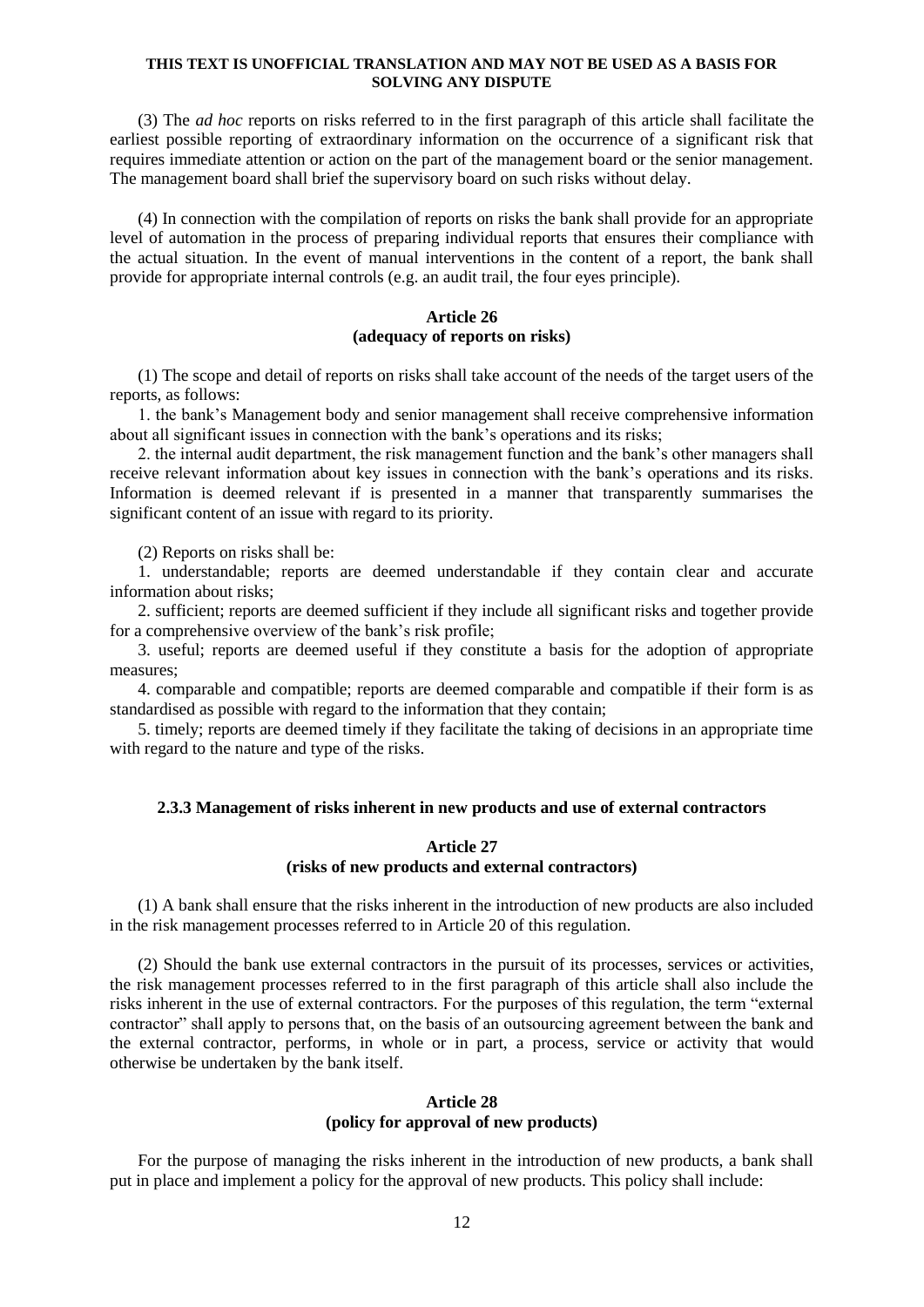(3) The *ad hoc* reports on risks referred to in the first paragraph of this article shall facilitate the earliest possible reporting of extraordinary information on the occurrence of a significant risk that requires immediate attention or action on the part of the management board or the senior management. The management board shall brief the supervisory board on such risks without delay.

(4) In connection with the compilation of reports on risks the bank shall provide for an appropriate level of automation in the process of preparing individual reports that ensures their compliance with the actual situation. In the event of manual interventions in the content of a report, the bank shall provide for appropriate internal controls (e.g. an audit trail, the four eyes principle).

## **Article 26 (adequacy of reports on risks)**

(1) The scope and detail of reports on risks shall take account of the needs of the target users of the reports, as follows:

1. the bank's Management body and senior management shall receive comprehensive information about all significant issues in connection with the bank's operations and its risks;

2. the internal audit department, the risk management function and the bank's other managers shall receive relevant information about key issues in connection with the bank's operations and its risks. Information is deemed relevant if is presented in a manner that transparently summarises the significant content of an issue with regard to its priority.

(2) Reports on risks shall be:

1. understandable; reports are deemed understandable if they contain clear and accurate information about risks;

2. sufficient; reports are deemed sufficient if they include all significant risks and together provide for a comprehensive overview of the bank's risk profile;

3. useful; reports are deemed useful if they constitute a basis for the adoption of appropriate measures;

4. comparable and compatible; reports are deemed comparable and compatible if their form is as standardised as possible with regard to the information that they contain;

5. timely; reports are deemed timely if they facilitate the taking of decisions in an appropriate time with regard to the nature and type of the risks.

## **2.3.3 Management of risks inherent in new products and use of external contractors**

## **Article 27 (risks of new products and external contractors)**

(1) A bank shall ensure that the risks inherent in the introduction of new products are also included in the risk management processes referred to in Article 20 of this regulation.

(2) Should the bank use external contractors in the pursuit of its processes, services or activities, the risk management processes referred to in the first paragraph of this article shall also include the risks inherent in the use of external contractors. For the purposes of this regulation, the term "external contractor" shall apply to persons that, on the basis of an outsourcing agreement between the bank and the external contractor, performs, in whole or in part, a process, service or activity that would otherwise be undertaken by the bank itself.

### **Article 28 (policy for approval of new products)**

For the purpose of managing the risks inherent in the introduction of new products, a bank shall put in place and implement a policy for the approval of new products. This policy shall include: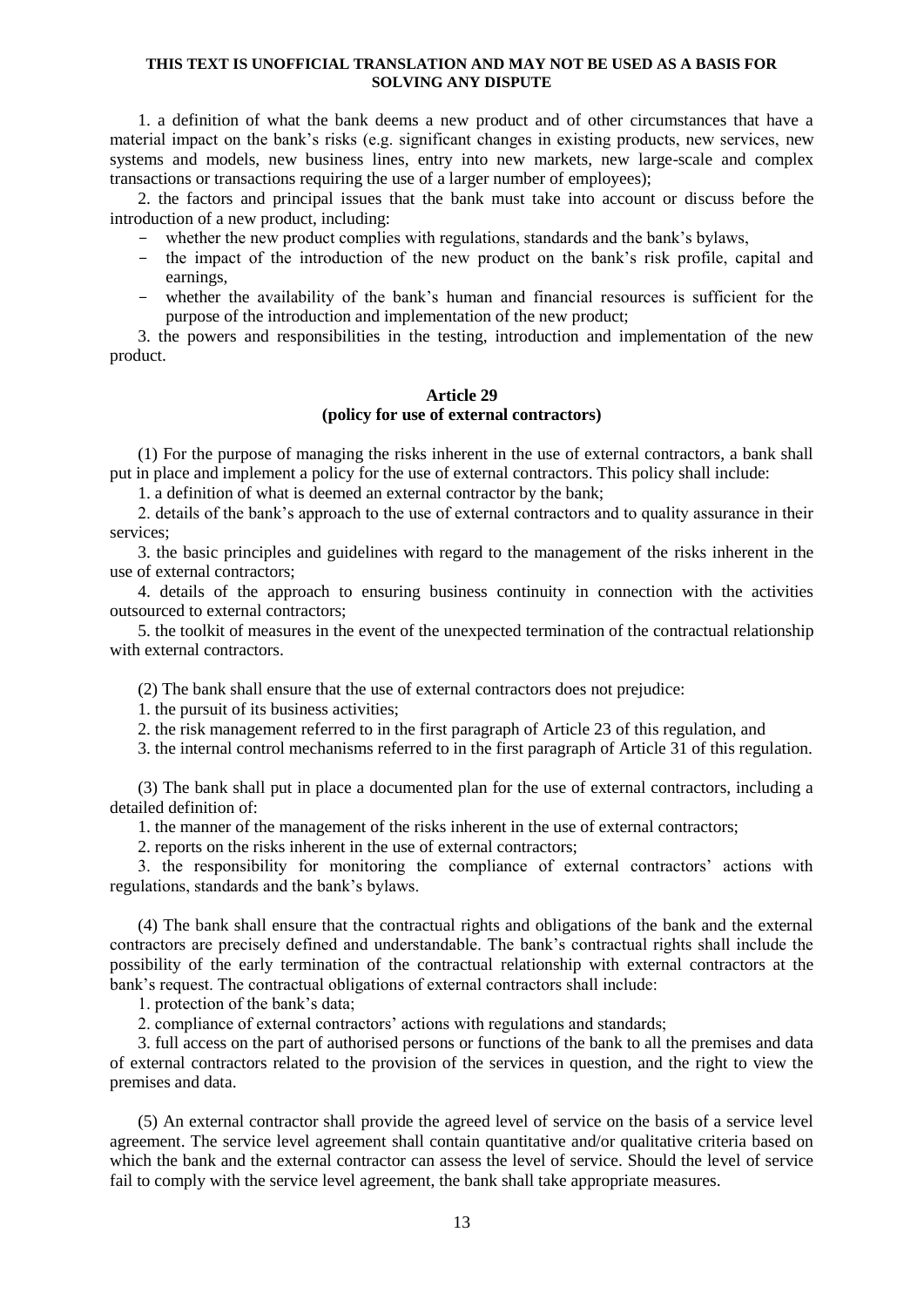1. a definition of what the bank deems a new product and of other circumstances that have a material impact on the bank's risks (e.g. significant changes in existing products, new services, new systems and models, new business lines, entry into new markets, new large-scale and complex transactions or transactions requiring the use of a larger number of employees);

2. the factors and principal issues that the bank must take into account or discuss before the introduction of a new product, including:

- whether the new product complies with regulations, standards and the bank's bylaws,
- the impact of the introduction of the new product on the bank's risk profile, capital and earnings,
- whether the availability of the bank's human and financial resources is sufficient for the purpose of the introduction and implementation of the new product;

3. the powers and responsibilities in the testing, introduction and implementation of the new product.

### **Article 29 (policy for use of external contractors)**

(1) For the purpose of managing the risks inherent in the use of external contractors, a bank shall put in place and implement a policy for the use of external contractors. This policy shall include:

1. a definition of what is deemed an external contractor by the bank;

2. details of the bank's approach to the use of external contractors and to quality assurance in their services;

3. the basic principles and guidelines with regard to the management of the risks inherent in the use of external contractors;

4. details of the approach to ensuring business continuity in connection with the activities outsourced to external contractors;

5. the toolkit of measures in the event of the unexpected termination of the contractual relationship with external contractors.

(2) The bank shall ensure that the use of external contractors does not prejudice:

1. the pursuit of its business activities;

2. the risk management referred to in the first paragraph of Article 23 of this regulation, and

3. the internal control mechanisms referred to in the first paragraph of Article 31 of this regulation.

(3) The bank shall put in place a documented plan for the use of external contractors, including a detailed definition of:

1. the manner of the management of the risks inherent in the use of external contractors;

2. reports on the risks inherent in the use of external contractors;

3. the responsibility for monitoring the compliance of external contractors' actions with regulations, standards and the bank's bylaws.

(4) The bank shall ensure that the contractual rights and obligations of the bank and the external contractors are precisely defined and understandable. The bank's contractual rights shall include the possibility of the early termination of the contractual relationship with external contractors at the bank's request. The contractual obligations of external contractors shall include:

1. protection of the bank's data;

2. compliance of external contractors' actions with regulations and standards;

3. full access on the part of authorised persons or functions of the bank to all the premises and data of external contractors related to the provision of the services in question, and the right to view the premises and data.

(5) An external contractor shall provide the agreed level of service on the basis of a service level agreement. The service level agreement shall contain quantitative and/or qualitative criteria based on which the bank and the external contractor can assess the level of service. Should the level of service fail to comply with the service level agreement, the bank shall take appropriate measures.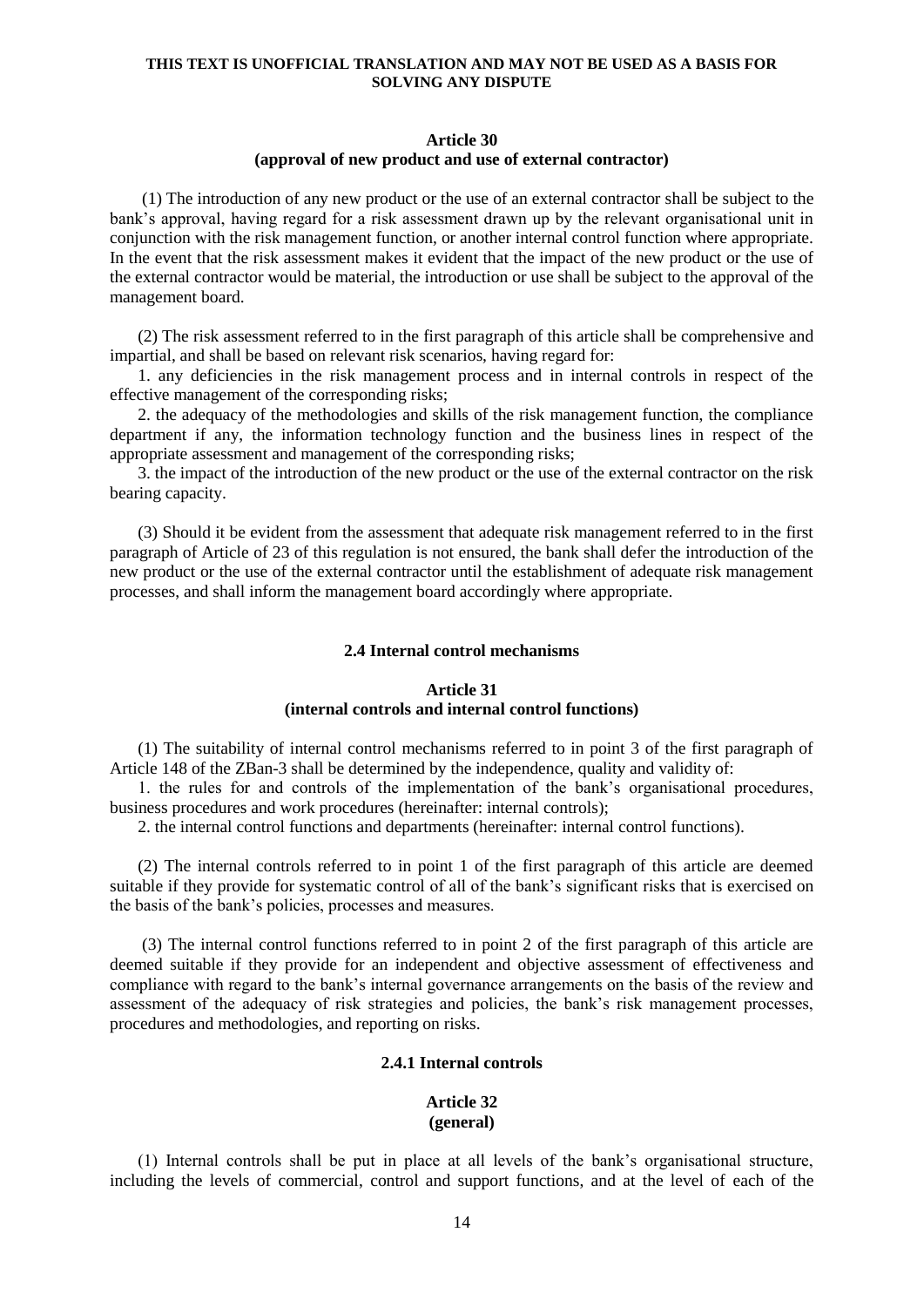## **Article 30 (approval of new product and use of external contractor)**

(1) The introduction of any new product or the use of an external contractor shall be subject to the bank's approval, having regard for a risk assessment drawn up by the relevant organisational unit in conjunction with the risk management function, or another internal control function where appropriate. In the event that the risk assessment makes it evident that the impact of the new product or the use of the external contractor would be material, the introduction or use shall be subject to the approval of the management board.

(2) The risk assessment referred to in the first paragraph of this article shall be comprehensive and impartial, and shall be based on relevant risk scenarios, having regard for:

1. any deficiencies in the risk management process and in internal controls in respect of the effective management of the corresponding risks;

2. the adequacy of the methodologies and skills of the risk management function, the compliance department if any, the information technology function and the business lines in respect of the appropriate assessment and management of the corresponding risks;

3. the impact of the introduction of the new product or the use of the external contractor on the risk bearing capacity.

(3) Should it be evident from the assessment that adequate risk management referred to in the first paragraph of Article of 23 of this regulation is not ensured, the bank shall defer the introduction of the new product or the use of the external contractor until the establishment of adequate risk management processes, and shall inform the management board accordingly where appropriate.

#### **2.4 Internal control mechanisms**

## **Article 31 (internal controls and internal control functions)**

(1) The suitability of internal control mechanisms referred to in point 3 of the first paragraph of Article 148 of the ZBan-3 shall be determined by the independence, quality and validity of:

1. the rules for and controls of the implementation of the bank's organisational procedures, business procedures and work procedures (hereinafter: internal controls);

2. the internal control functions and departments (hereinafter: internal control functions).

(2) The internal controls referred to in point 1 of the first paragraph of this article are deemed suitable if they provide for systematic control of all of the bank's significant risks that is exercised on the basis of the bank's policies, processes and measures.

(3) The internal control functions referred to in point 2 of the first paragraph of this article are deemed suitable if they provide for an independent and objective assessment of effectiveness and compliance with regard to the bank's internal governance arrangements on the basis of the review and assessment of the adequacy of risk strategies and policies, the bank's risk management processes, procedures and methodologies, and reporting on risks.

## **2.4.1 Internal controls**

#### **Article 32 (general)**

(1) Internal controls shall be put in place at all levels of the bank's organisational structure, including the levels of commercial, control and support functions, and at the level of each of the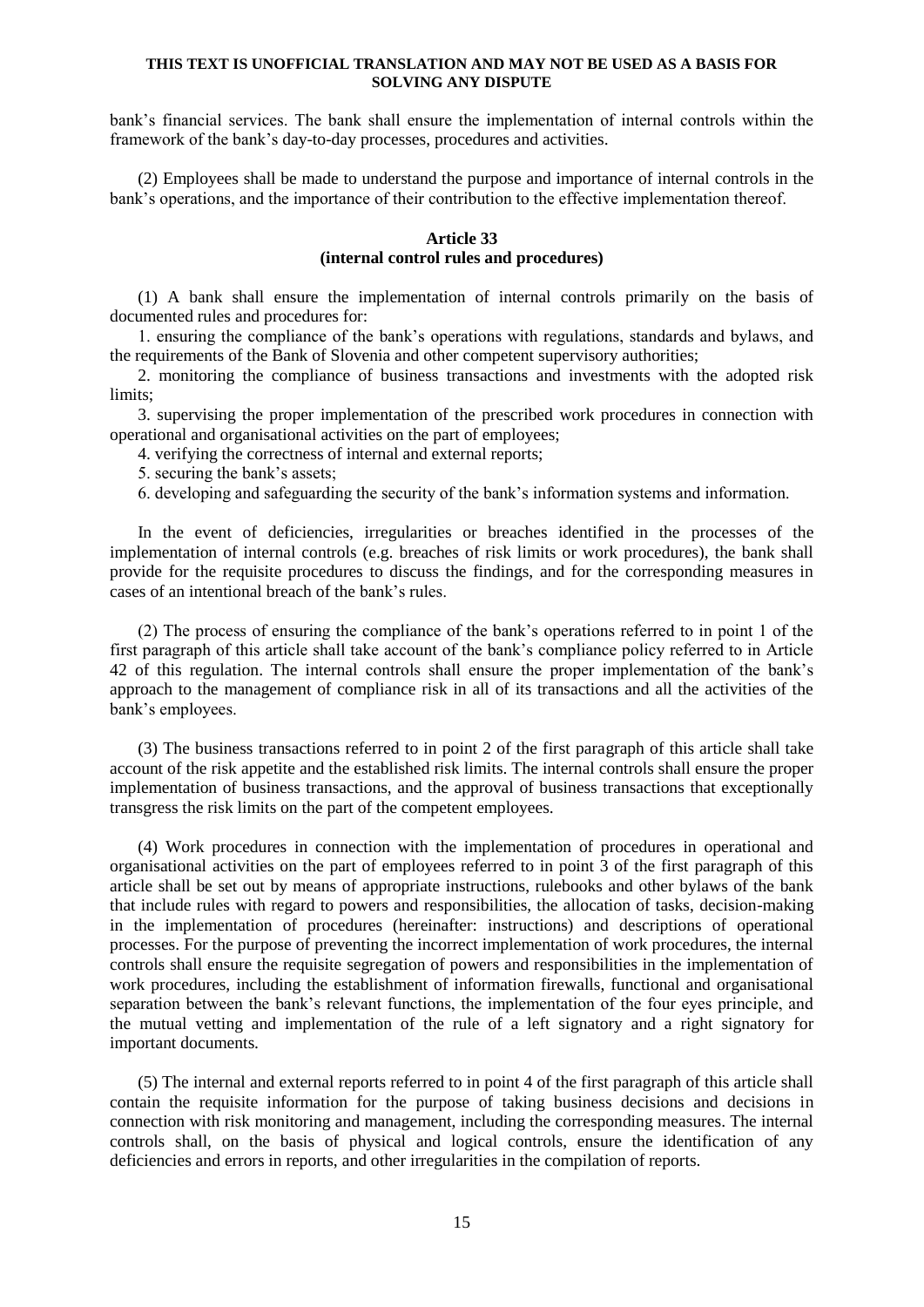bank's financial services. The bank shall ensure the implementation of internal controls within the framework of the bank's day-to-day processes, procedures and activities.

(2) Employees shall be made to understand the purpose and importance of internal controls in the bank's operations, and the importance of their contribution to the effective implementation thereof.

### **Article 33 (internal control rules and procedures)**

(1) A bank shall ensure the implementation of internal controls primarily on the basis of documented rules and procedures for:

1. ensuring the compliance of the bank's operations with regulations, standards and bylaws, and the requirements of the Bank of Slovenia and other competent supervisory authorities;

2. monitoring the compliance of business transactions and investments with the adopted risk limits;

3. supervising the proper implementation of the prescribed work procedures in connection with operational and organisational activities on the part of employees;

4. verifying the correctness of internal and external reports;

- 5. securing the bank's assets;
- 6. developing and safeguarding the security of the bank's information systems and information.

In the event of deficiencies, irregularities or breaches identified in the processes of the implementation of internal controls (e.g. breaches of risk limits or work procedures), the bank shall provide for the requisite procedures to discuss the findings, and for the corresponding measures in cases of an intentional breach of the bank's rules.

(2) The process of ensuring the compliance of the bank's operations referred to in point 1 of the first paragraph of this article shall take account of the bank's compliance policy referred to in Article 42 of this regulation. The internal controls shall ensure the proper implementation of the bank's approach to the management of compliance risk in all of its transactions and all the activities of the bank's employees.

(3) The business transactions referred to in point 2 of the first paragraph of this article shall take account of the risk appetite and the established risk limits. The internal controls shall ensure the proper implementation of business transactions, and the approval of business transactions that exceptionally transgress the risk limits on the part of the competent employees.

(4) Work procedures in connection with the implementation of procedures in operational and organisational activities on the part of employees referred to in point 3 of the first paragraph of this article shall be set out by means of appropriate instructions, rulebooks and other bylaws of the bank that include rules with regard to powers and responsibilities, the allocation of tasks, decision-making in the implementation of procedures (hereinafter: instructions) and descriptions of operational processes. For the purpose of preventing the incorrect implementation of work procedures, the internal controls shall ensure the requisite segregation of powers and responsibilities in the implementation of work procedures, including the establishment of information firewalls, functional and organisational separation between the bank's relevant functions, the implementation of the four eyes principle, and the mutual vetting and implementation of the rule of a left signatory and a right signatory for important documents.

(5) The internal and external reports referred to in point 4 of the first paragraph of this article shall contain the requisite information for the purpose of taking business decisions and decisions in connection with risk monitoring and management, including the corresponding measures. The internal controls shall, on the basis of physical and logical controls, ensure the identification of any deficiencies and errors in reports, and other irregularities in the compilation of reports.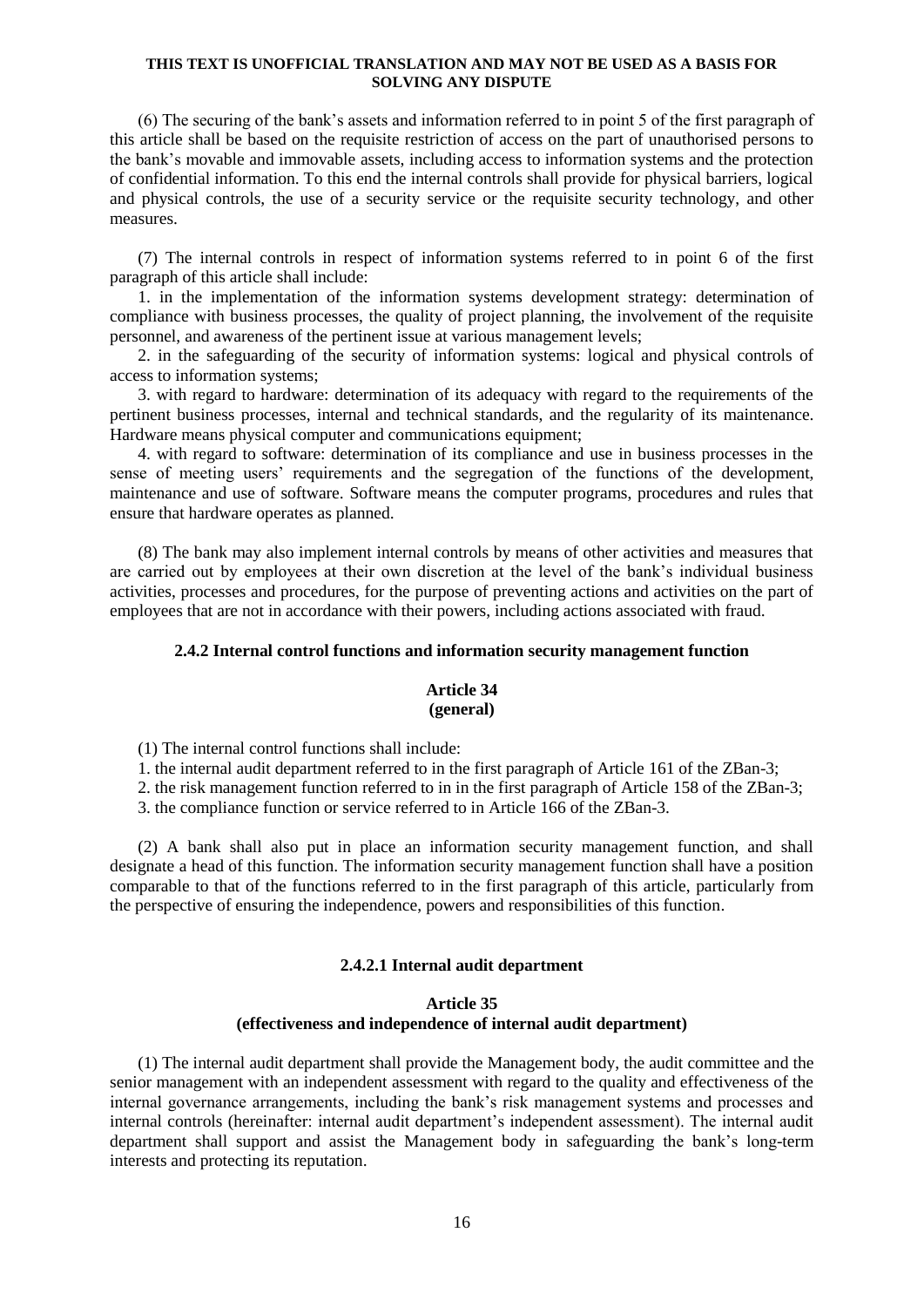(6) The securing of the bank's assets and information referred to in point 5 of the first paragraph of this article shall be based on the requisite restriction of access on the part of unauthorised persons to the bank's movable and immovable assets, including access to information systems and the protection of confidential information. To this end the internal controls shall provide for physical barriers, logical and physical controls, the use of a security service or the requisite security technology, and other measures.

(7) The internal controls in respect of information systems referred to in point 6 of the first paragraph of this article shall include:

1. in the implementation of the information systems development strategy: determination of compliance with business processes, the quality of project planning, the involvement of the requisite personnel, and awareness of the pertinent issue at various management levels;

2. in the safeguarding of the security of information systems: logical and physical controls of access to information systems;

3. with regard to hardware: determination of its adequacy with regard to the requirements of the pertinent business processes, internal and technical standards, and the regularity of its maintenance. Hardware means physical computer and communications equipment;

4. with regard to software: determination of its compliance and use in business processes in the sense of meeting users' requirements and the segregation of the functions of the development, maintenance and use of software. Software means the computer programs, procedures and rules that ensure that hardware operates as planned.

(8) The bank may also implement internal controls by means of other activities and measures that are carried out by employees at their own discretion at the level of the bank's individual business activities, processes and procedures, for the purpose of preventing actions and activities on the part of employees that are not in accordance with their powers, including actions associated with fraud.

#### **2.4.2 Internal control functions and information security management function**

### **Article 34 (general)**

(1) The internal control functions shall include:

1. the internal audit department referred to in the first paragraph of Article 161 of the ZBan-3;

2. the risk management function referred to in in the first paragraph of Article 158 of the ZBan-3;

3. the compliance function or service referred to in Article 166 of the ZBan-3.

(2) A bank shall also put in place an information security management function, and shall designate a head of this function. The information security management function shall have a position comparable to that of the functions referred to in the first paragraph of this article, particularly from the perspective of ensuring the independence, powers and responsibilities of this function.

## **2.4.2.1 Internal audit department**

## **Article 35 (effectiveness and independence of internal audit department)**

(1) The internal audit department shall provide the Management body, the audit committee and the senior management with an independent assessment with regard to the quality and effectiveness of the internal governance arrangements, including the bank's risk management systems and processes and internal controls (hereinafter: internal audit department's independent assessment). The internal audit department shall support and assist the Management body in safeguarding the bank's long-term interests and protecting its reputation.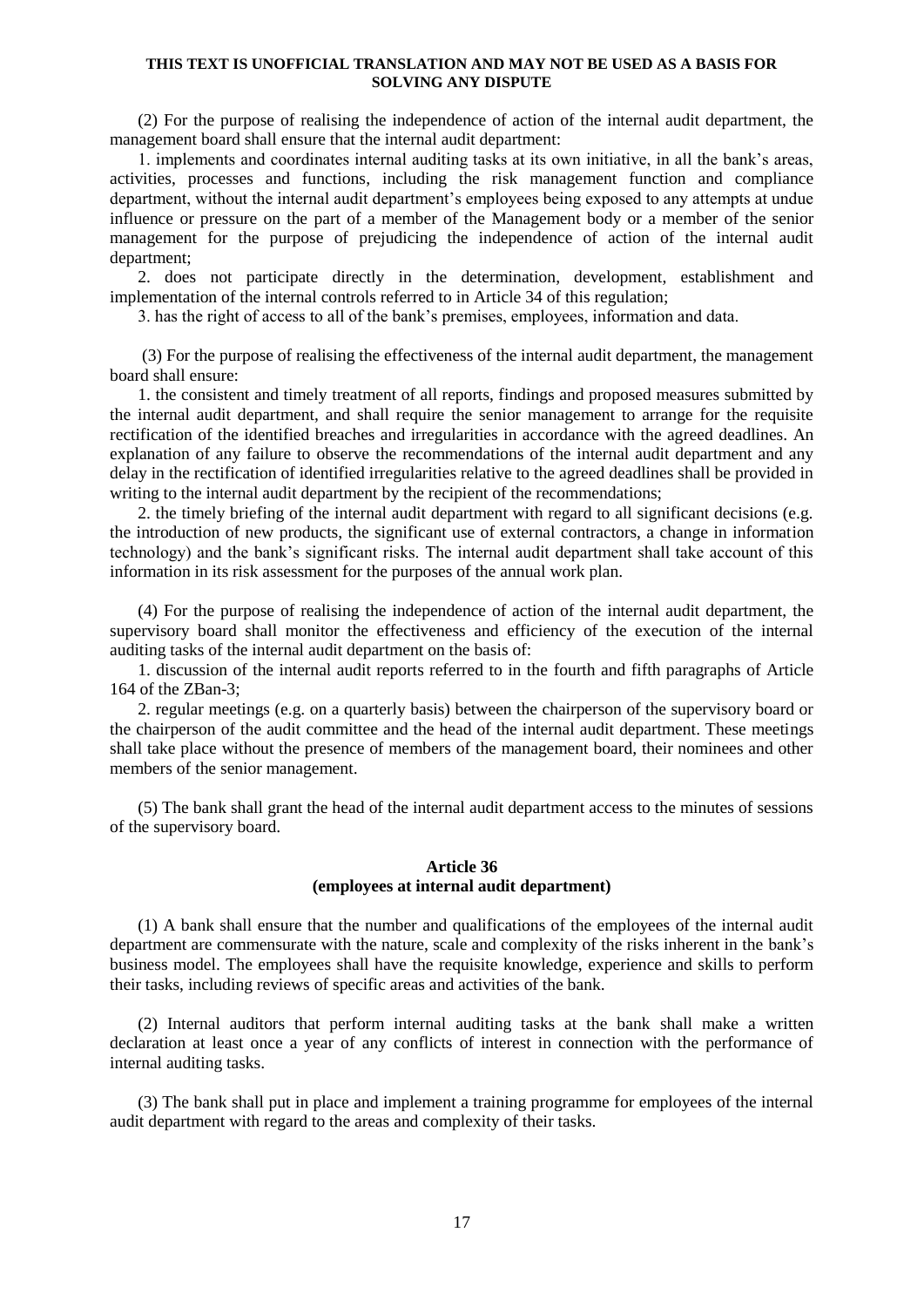(2) For the purpose of realising the independence of action of the internal audit department, the management board shall ensure that the internal audit department:

1. implements and coordinates internal auditing tasks at its own initiative, in all the bank's areas, activities, processes and functions, including the risk management function and compliance department, without the internal audit department's employees being exposed to any attempts at undue influence or pressure on the part of a member of the Management body or a member of the senior management for the purpose of prejudicing the independence of action of the internal audit department;

2. does not participate directly in the determination, development, establishment and implementation of the internal controls referred to in Article 34 of this regulation;

3. has the right of access to all of the bank's premises, employees, information and data.

(3) For the purpose of realising the effectiveness of the internal audit department, the management board shall ensure:

1. the consistent and timely treatment of all reports, findings and proposed measures submitted by the internal audit department, and shall require the senior management to arrange for the requisite rectification of the identified breaches and irregularities in accordance with the agreed deadlines. An explanation of any failure to observe the recommendations of the internal audit department and any delay in the rectification of identified irregularities relative to the agreed deadlines shall be provided in writing to the internal audit department by the recipient of the recommendations;

2. the timely briefing of the internal audit department with regard to all significant decisions (e.g. the introduction of new products, the significant use of external contractors, a change in information technology) and the bank's significant risks. The internal audit department shall take account of this information in its risk assessment for the purposes of the annual work plan.

(4) For the purpose of realising the independence of action of the internal audit department, the supervisory board shall monitor the effectiveness and efficiency of the execution of the internal auditing tasks of the internal audit department on the basis of:

1. discussion of the internal audit reports referred to in the fourth and fifth paragraphs of Article 164 of the ZBan-3;

2. regular meetings (e.g. on a quarterly basis) between the chairperson of the supervisory board or the chairperson of the audit committee and the head of the internal audit department. These meetings shall take place without the presence of members of the management board, their nominees and other members of the senior management.

(5) The bank shall grant the head of the internal audit department access to the minutes of sessions of the supervisory board.

## **Article 36 (employees at internal audit department)**

(1) A bank shall ensure that the number and qualifications of the employees of the internal audit department are commensurate with the nature, scale and complexity of the risks inherent in the bank's business model. The employees shall have the requisite knowledge, experience and skills to perform their tasks, including reviews of specific areas and activities of the bank.

(2) Internal auditors that perform internal auditing tasks at the bank shall make a written declaration at least once a year of any conflicts of interest in connection with the performance of internal auditing tasks.

(3) The bank shall put in place and implement a training programme for employees of the internal audit department with regard to the areas and complexity of their tasks.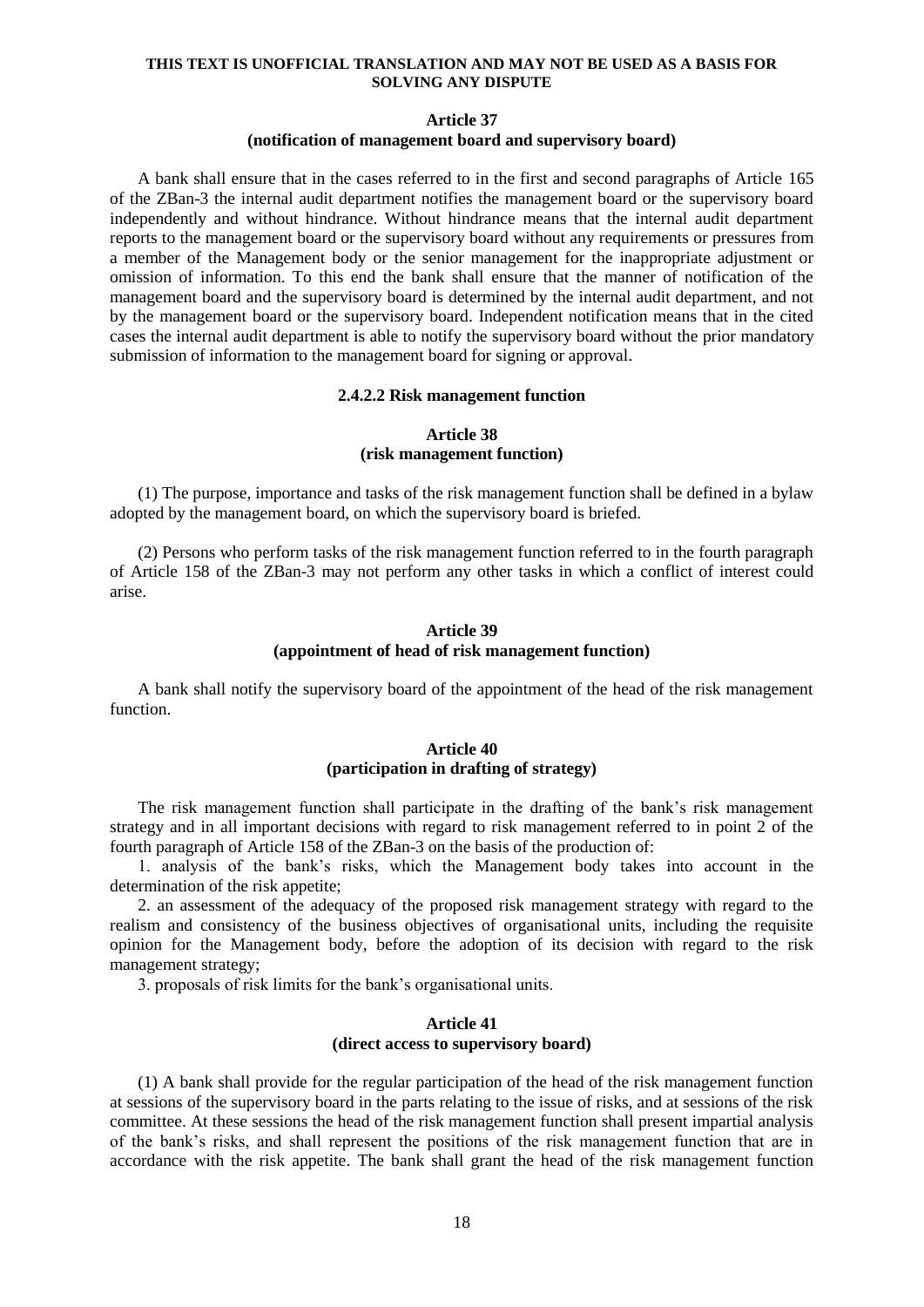## **Article 37**

#### **(notification of management board and supervisory board)**

A bank shall ensure that in the cases referred to in the first and second paragraphs of Article 165 of the ZBan-3 the internal audit department notifies the management board or the supervisory board independently and without hindrance. Without hindrance means that the internal audit department reports to the management board or the supervisory board without any requirements or pressures from a member of the Management body or the senior management for the inappropriate adjustment or omission of information. To this end the bank shall ensure that the manner of notification of the management board and the supervisory board is determined by the internal audit department, and not by the management board or the supervisory board. Independent notification means that in the cited cases the internal audit department is able to notify the supervisory board without the prior mandatory submission of information to the management board for signing or approval.

#### **2.4.2.2 Risk management function**

## **Article 38 (risk management function)**

(1) The purpose, importance and tasks of the risk management function shall be defined in a bylaw adopted by the management board, on which the supervisory board is briefed.

(2) Persons who perform tasks of the risk management function referred to in the fourth paragraph of Article 158 of the ZBan-3 may not perform any other tasks in which a conflict of interest could arise.

### **Article 39 (appointment of head of risk management function)**

A bank shall notify the supervisory board of the appointment of the head of the risk management function.

## **Article 40 (participation in drafting of strategy)**

The risk management function shall participate in the drafting of the bank's risk management strategy and in all important decisions with regard to risk management referred to in point 2 of the fourth paragraph of Article 158 of the ZBan-3 on the basis of the production of:

1. analysis of the bank's risks, which the Management body takes into account in the determination of the risk appetite;

2. an assessment of the adequacy of the proposed risk management strategy with regard to the realism and consistency of the business objectives of organisational units, including the requisite opinion for the Management body, before the adoption of its decision with regard to the risk management strategy;

3. proposals of risk limits for the bank's organisational units.

#### **Article 41 (direct access to supervisory board)**

(1) A bank shall provide for the regular participation of the head of the risk management function at sessions of the supervisory board in the parts relating to the issue of risks, and at sessions of the risk committee. At these sessions the head of the risk management function shall present impartial analysis of the bank's risks, and shall represent the positions of the risk management function that are in accordance with the risk appetite. The bank shall grant the head of the risk management function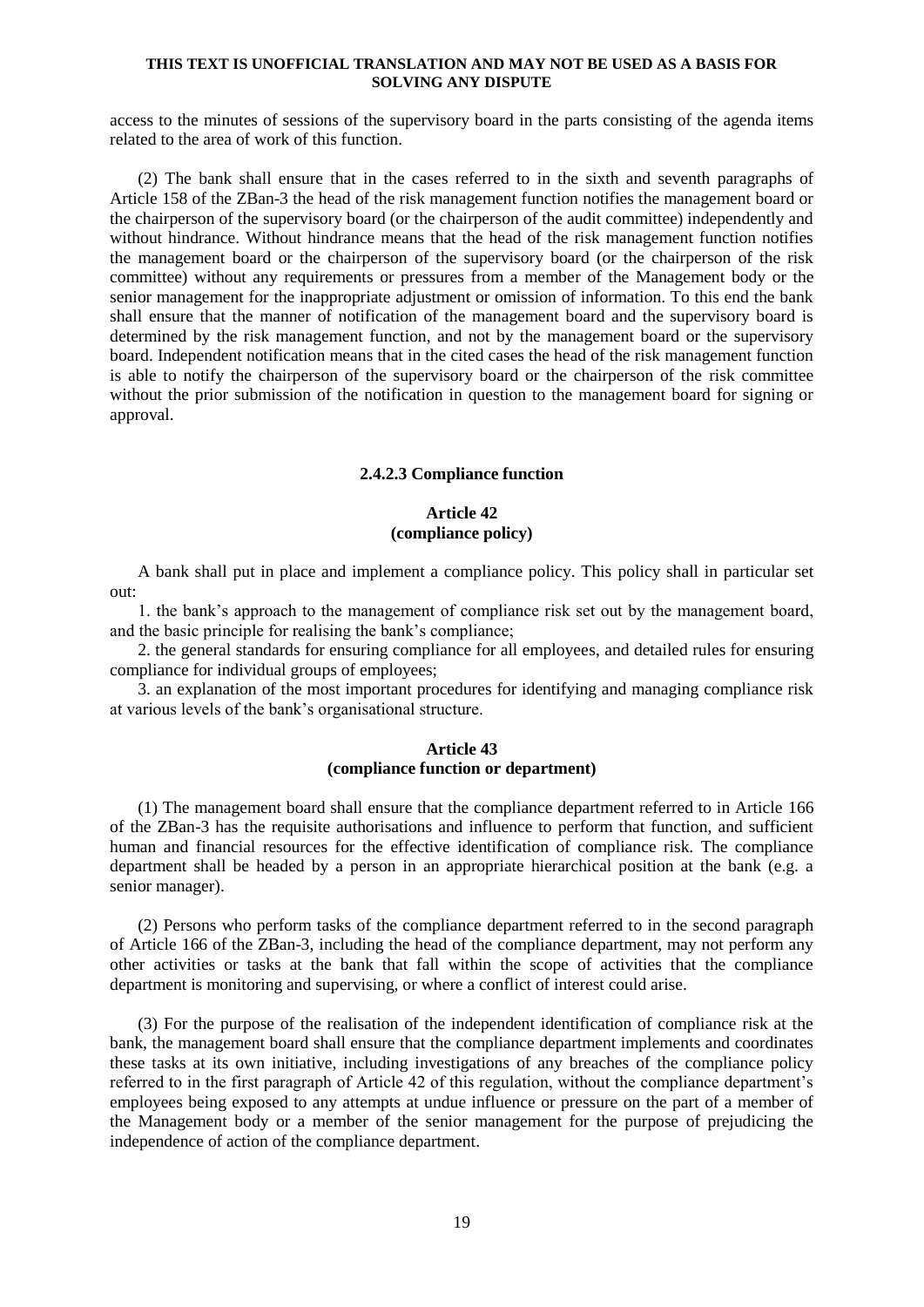access to the minutes of sessions of the supervisory board in the parts consisting of the agenda items related to the area of work of this function.

(2) The bank shall ensure that in the cases referred to in the sixth and seventh paragraphs of Article 158 of the ZBan-3 the head of the risk management function notifies the management board or the chairperson of the supervisory board (or the chairperson of the audit committee) independently and without hindrance. Without hindrance means that the head of the risk management function notifies the management board or the chairperson of the supervisory board (or the chairperson of the risk committee) without any requirements or pressures from a member of the Management body or the senior management for the inappropriate adjustment or omission of information. To this end the bank shall ensure that the manner of notification of the management board and the supervisory board is determined by the risk management function, and not by the management board or the supervisory board. Independent notification means that in the cited cases the head of the risk management function is able to notify the chairperson of the supervisory board or the chairperson of the risk committee without the prior submission of the notification in question to the management board for signing or approval.

#### **2.4.2.3 Compliance function**

## **Article 42 (compliance policy)**

A bank shall put in place and implement a compliance policy. This policy shall in particular set out:

1. the bank's approach to the management of compliance risk set out by the management board, and the basic principle for realising the bank's compliance;

2. the general standards for ensuring compliance for all employees, and detailed rules for ensuring compliance for individual groups of employees;

3. an explanation of the most important procedures for identifying and managing compliance risk at various levels of the bank's organisational structure.

## **Article 43 (compliance function or department)**

(1) The management board shall ensure that the compliance department referred to in Article 166 of the ZBan-3 has the requisite authorisations and influence to perform that function, and sufficient human and financial resources for the effective identification of compliance risk. The compliance department shall be headed by a person in an appropriate hierarchical position at the bank (e.g. a senior manager).

(2) Persons who perform tasks of the compliance department referred to in the second paragraph of Article 166 of the ZBan-3, including the head of the compliance department, may not perform any other activities or tasks at the bank that fall within the scope of activities that the compliance department is monitoring and supervising, or where a conflict of interest could arise.

(3) For the purpose of the realisation of the independent identification of compliance risk at the bank, the management board shall ensure that the compliance department implements and coordinates these tasks at its own initiative, including investigations of any breaches of the compliance policy referred to in the first paragraph of Article 42 of this regulation, without the compliance department's employees being exposed to any attempts at undue influence or pressure on the part of a member of the Management body or a member of the senior management for the purpose of prejudicing the independence of action of the compliance department.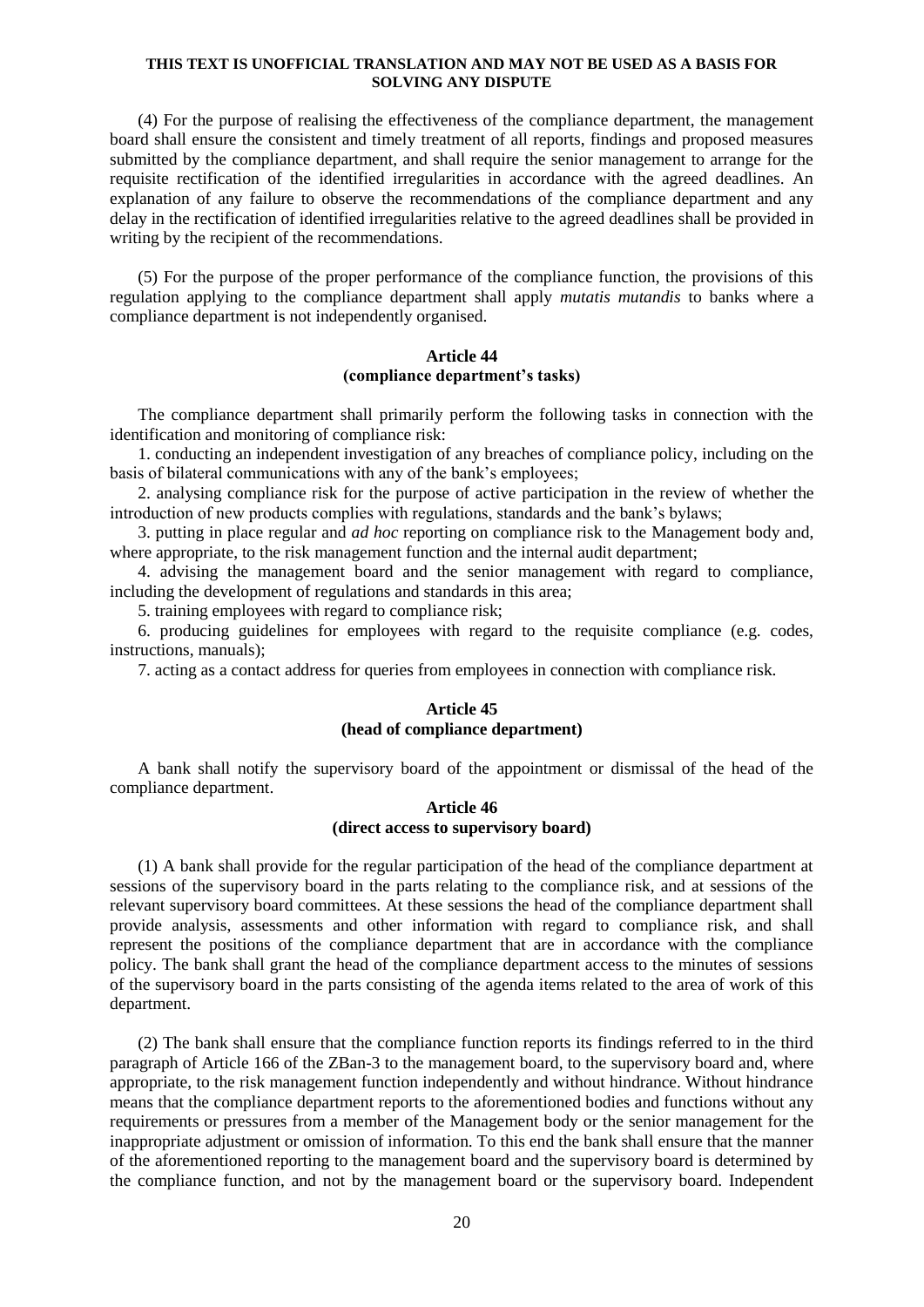(4) For the purpose of realising the effectiveness of the compliance department, the management board shall ensure the consistent and timely treatment of all reports, findings and proposed measures submitted by the compliance department, and shall require the senior management to arrange for the requisite rectification of the identified irregularities in accordance with the agreed deadlines. An explanation of any failure to observe the recommendations of the compliance department and any delay in the rectification of identified irregularities relative to the agreed deadlines shall be provided in writing by the recipient of the recommendations.

(5) For the purpose of the proper performance of the compliance function, the provisions of this regulation applying to the compliance department shall apply *mutatis mutandis* to banks where a compliance department is not independently organised.

## **Article 44 (compliance department's tasks)**

The compliance department shall primarily perform the following tasks in connection with the identification and monitoring of compliance risk:

1. conducting an independent investigation of any breaches of compliance policy, including on the basis of bilateral communications with any of the bank's employees;

2. analysing compliance risk for the purpose of active participation in the review of whether the introduction of new products complies with regulations, standards and the bank's bylaws;

3. putting in place regular and *ad hoc* reporting on compliance risk to the Management body and, where appropriate, to the risk management function and the internal audit department;

4. advising the management board and the senior management with regard to compliance, including the development of regulations and standards in this area;

5. training employees with regard to compliance risk;

6. producing guidelines for employees with regard to the requisite compliance (e.g. codes, instructions, manuals);

7. acting as a contact address for queries from employees in connection with compliance risk.

## **Article 45 (head of compliance department)**

A bank shall notify the supervisory board of the appointment or dismissal of the head of the compliance department.

### **Article 46 (direct access to supervisory board)**

(1) A bank shall provide for the regular participation of the head of the compliance department at sessions of the supervisory board in the parts relating to the compliance risk, and at sessions of the relevant supervisory board committees. At these sessions the head of the compliance department shall provide analysis, assessments and other information with regard to compliance risk, and shall represent the positions of the compliance department that are in accordance with the compliance policy. The bank shall grant the head of the compliance department access to the minutes of sessions of the supervisory board in the parts consisting of the agenda items related to the area of work of this department.

(2) The bank shall ensure that the compliance function reports its findings referred to in the third paragraph of Article 166 of the ZBan-3 to the management board, to the supervisory board and, where appropriate, to the risk management function independently and without hindrance. Without hindrance means that the compliance department reports to the aforementioned bodies and functions without any requirements or pressures from a member of the Management body or the senior management for the inappropriate adjustment or omission of information. To this end the bank shall ensure that the manner of the aforementioned reporting to the management board and the supervisory board is determined by the compliance function, and not by the management board or the supervisory board. Independent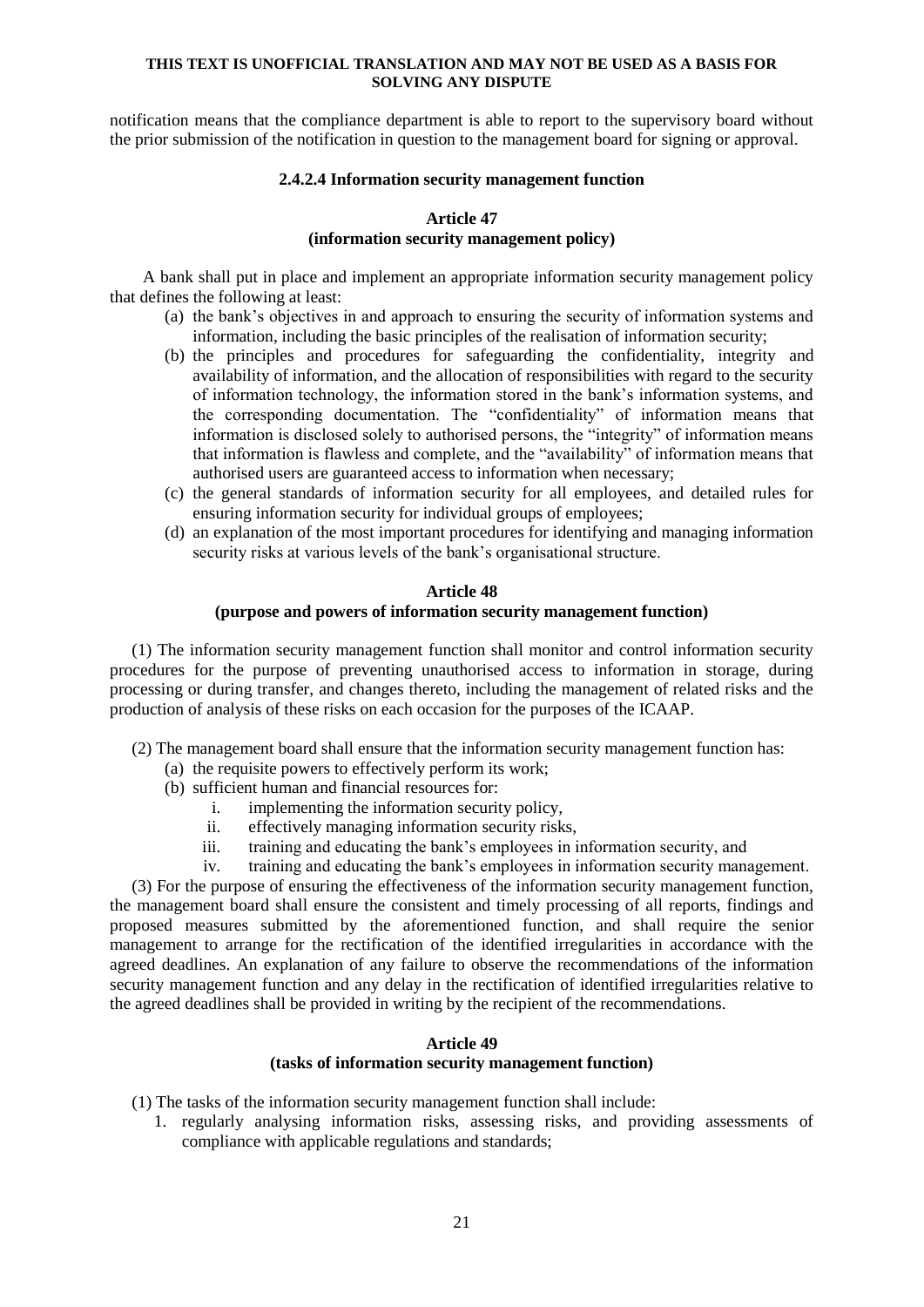notification means that the compliance department is able to report to the supervisory board without the prior submission of the notification in question to the management board for signing or approval.

## **2.4.2.4 Information security management function**

## **Article 47**

## **(information security management policy)**

A bank shall put in place and implement an appropriate information security management policy that defines the following at least:

- (a) the bank's objectives in and approach to ensuring the security of information systems and information, including the basic principles of the realisation of information security;
- (b) the principles and procedures for safeguarding the confidentiality, integrity and availability of information, and the allocation of responsibilities with regard to the security of information technology, the information stored in the bank's information systems, and the corresponding documentation. The "confidentiality" of information means that information is disclosed solely to authorised persons, the "integrity" of information means that information is flawless and complete, and the "availability" of information means that authorised users are guaranteed access to information when necessary;
- (c) the general standards of information security for all employees, and detailed rules for ensuring information security for individual groups of employees;
- (d) an explanation of the most important procedures for identifying and managing information security risks at various levels of the bank's organisational structure.

### **Article 48**

### **(purpose and powers of information security management function)**

(1) The information security management function shall monitor and control information security procedures for the purpose of preventing unauthorised access to information in storage, during processing or during transfer, and changes thereto, including the management of related risks and the production of analysis of these risks on each occasion for the purposes of the ICAAP.

(2) The management board shall ensure that the information security management function has:

- (a) the requisite powers to effectively perform its work;
- (b) sufficient human and financial resources for:
	- i. implementing the information security policy,
	- ii. effectively managing information security risks,
	- iii. training and educating the bank's employees in information security, and
	- iv. training and educating the bank's employees in information security management.

(3) For the purpose of ensuring the effectiveness of the information security management function, the management board shall ensure the consistent and timely processing of all reports, findings and proposed measures submitted by the aforementioned function, and shall require the senior management to arrange for the rectification of the identified irregularities in accordance with the agreed deadlines. An explanation of any failure to observe the recommendations of the information security management function and any delay in the rectification of identified irregularities relative to the agreed deadlines shall be provided in writing by the recipient of the recommendations.

## **Article 49**

## **(tasks of information security management function)**

(1) The tasks of the information security management function shall include:

1. regularly analysing information risks, assessing risks, and providing assessments of compliance with applicable regulations and standards;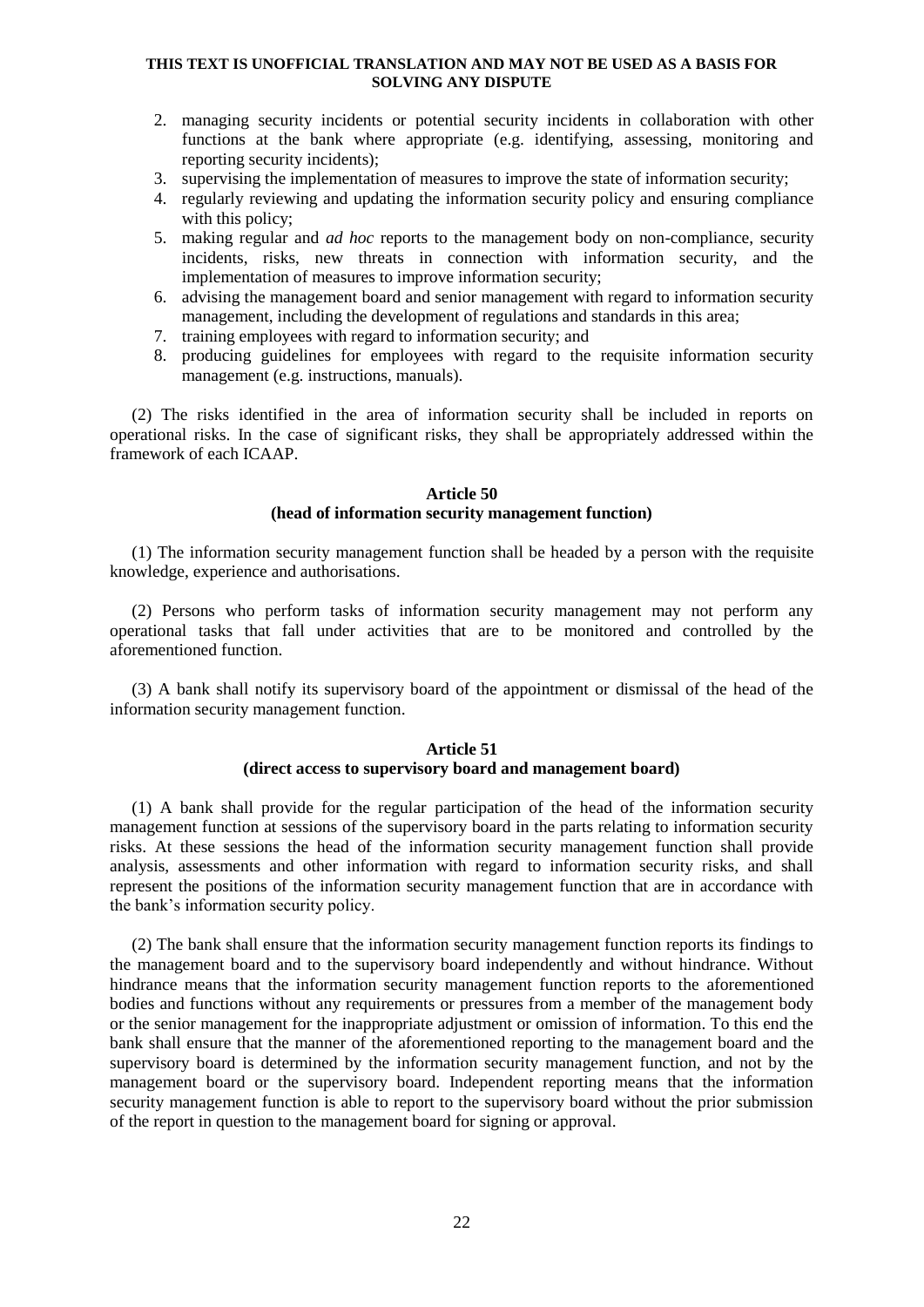- 2. managing security incidents or potential security incidents in collaboration with other functions at the bank where appropriate (e.g. identifying, assessing, monitoring and reporting security incidents);
- 3. supervising the implementation of measures to improve the state of information security;
- 4. regularly reviewing and updating the information security policy and ensuring compliance with this policy;
- 5. making regular and *ad hoc* reports to the management body on non-compliance, security incidents, risks, new threats in connection with information security, and the implementation of measures to improve information security;
- 6. advising the management board and senior management with regard to information security management, including the development of regulations and standards in this area;
- 7. training employees with regard to information security; and
- 8. producing guidelines for employees with regard to the requisite information security management (e.g. instructions, manuals).

(2) The risks identified in the area of information security shall be included in reports on operational risks. In the case of significant risks, they shall be appropriately addressed within the framework of each ICAAP.

### **Article 50 (head of information security management function)**

(1) The information security management function shall be headed by a person with the requisite knowledge, experience and authorisations.

(2) Persons who perform tasks of information security management may not perform any operational tasks that fall under activities that are to be monitored and controlled by the aforementioned function.

(3) A bank shall notify its supervisory board of the appointment or dismissal of the head of the information security management function.

### **Article 51 (direct access to supervisory board and management board)**

(1) A bank shall provide for the regular participation of the head of the information security management function at sessions of the supervisory board in the parts relating to information security risks. At these sessions the head of the information security management function shall provide analysis, assessments and other information with regard to information security risks, and shall represent the positions of the information security management function that are in accordance with the bank's information security policy.

(2) The bank shall ensure that the information security management function reports its findings to the management board and to the supervisory board independently and without hindrance. Without hindrance means that the information security management function reports to the aforementioned bodies and functions without any requirements or pressures from a member of the management body or the senior management for the inappropriate adjustment or omission of information. To this end the bank shall ensure that the manner of the aforementioned reporting to the management board and the supervisory board is determined by the information security management function, and not by the management board or the supervisory board. Independent reporting means that the information security management function is able to report to the supervisory board without the prior submission of the report in question to the management board for signing or approval.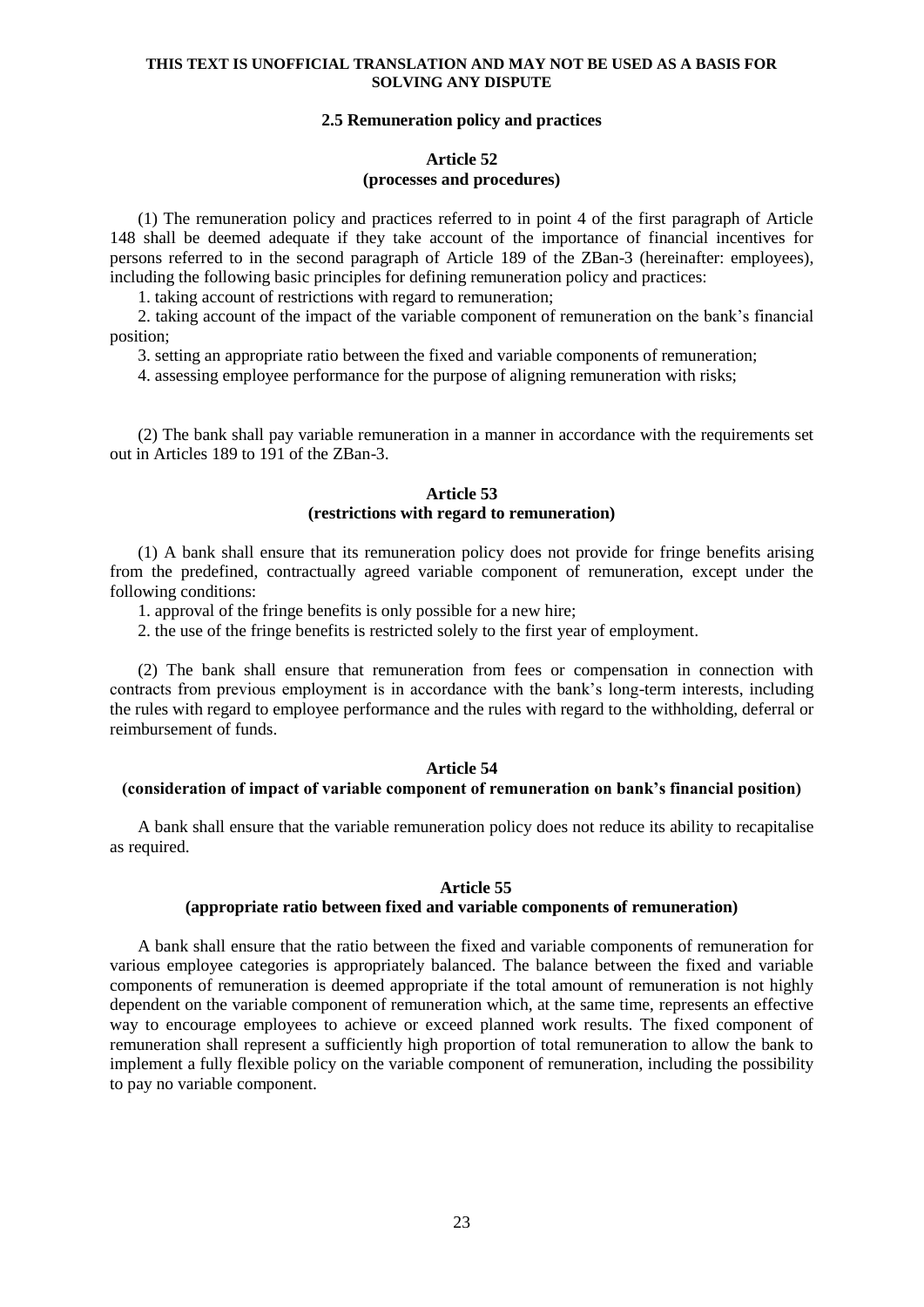## **2.5 Remuneration policy and practices**

## **Article 52 (processes and procedures)**

(1) The remuneration policy and practices referred to in point 4 of the first paragraph of Article 148 shall be deemed adequate if they take account of the importance of financial incentives for persons referred to in the second paragraph of Article 189 of the ZBan-3 (hereinafter: employees), including the following basic principles for defining remuneration policy and practices:

1. taking account of restrictions with regard to remuneration;

2. taking account of the impact of the variable component of remuneration on the bank's financial position;

3. setting an appropriate ratio between the fixed and variable components of remuneration;

4. assessing employee performance for the purpose of aligning remuneration with risks;

(2) The bank shall pay variable remuneration in a manner in accordance with the requirements set out in Articles 189 to 191 of the ZBan-3.

## **Article 53 (restrictions with regard to remuneration)**

(1) A bank shall ensure that its remuneration policy does not provide for fringe benefits arising from the predefined, contractually agreed variable component of remuneration, except under the following conditions:

1. approval of the fringe benefits is only possible for a new hire;

2. the use of the fringe benefits is restricted solely to the first year of employment.

(2) The bank shall ensure that remuneration from fees or compensation in connection with contracts from previous employment is in accordance with the bank's long-term interests, including the rules with regard to employee performance and the rules with regard to the withholding, deferral or reimbursement of funds.

## **Article 54**

## **(consideration of impact of variable component of remuneration on bank's financial position)**

A bank shall ensure that the variable remuneration policy does not reduce its ability to recapitalise as required.

## **Article 55**

## **(appropriate ratio between fixed and variable components of remuneration)**

A bank shall ensure that the ratio between the fixed and variable components of remuneration for various employee categories is appropriately balanced. The balance between the fixed and variable components of remuneration is deemed appropriate if the total amount of remuneration is not highly dependent on the variable component of remuneration which, at the same time, represents an effective way to encourage employees to achieve or exceed planned work results. The fixed component of remuneration shall represent a sufficiently high proportion of total remuneration to allow the bank to implement a fully flexible policy on the variable component of remuneration, including the possibility to pay no variable component.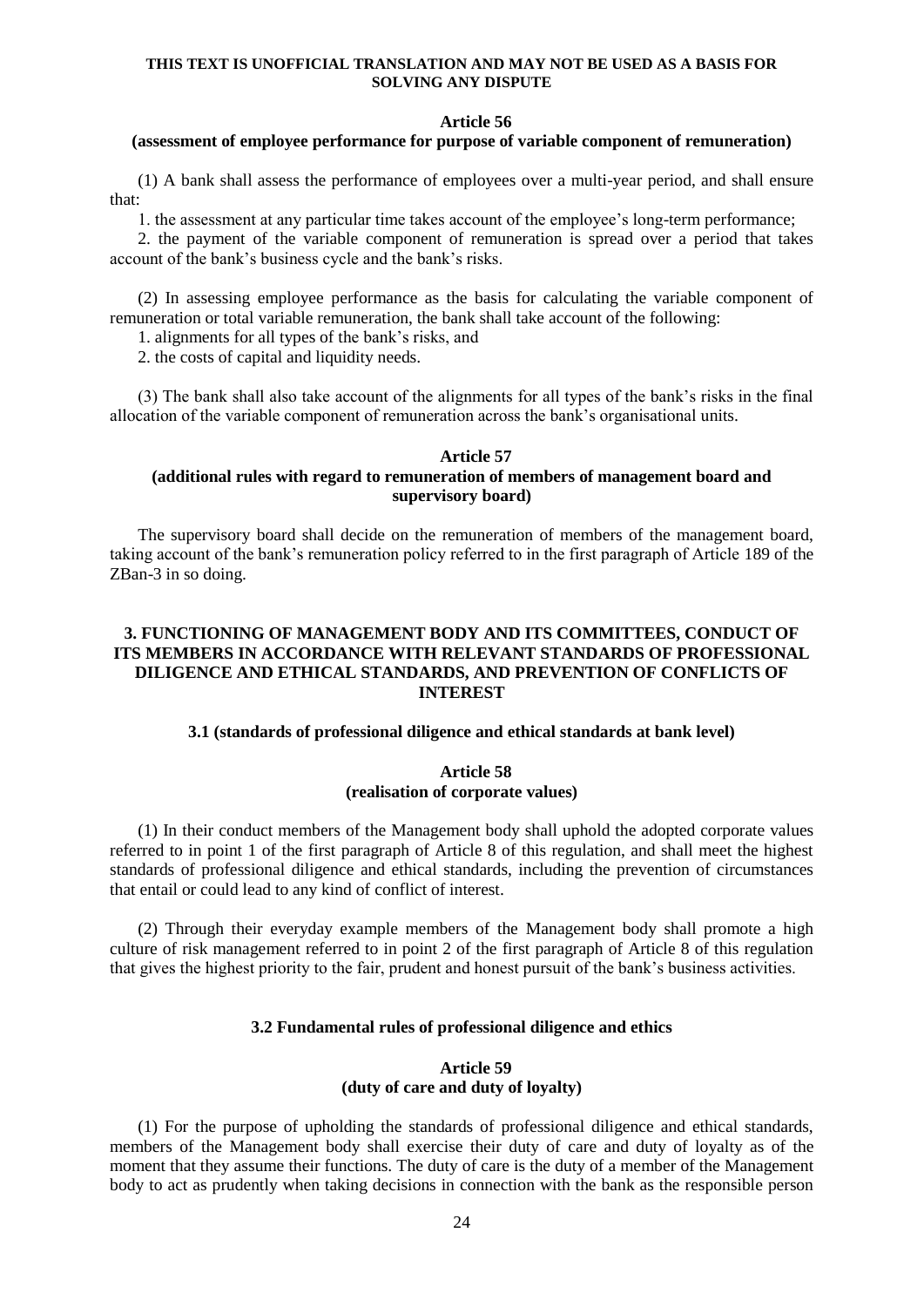#### **Article 56**

### **(assessment of employee performance for purpose of variable component of remuneration)**

(1) A bank shall assess the performance of employees over a multi-year period, and shall ensure that:

1. the assessment at any particular time takes account of the employee's long-term performance;

2. the payment of the variable component of remuneration is spread over a period that takes account of the bank's business cycle and the bank's risks.

(2) In assessing employee performance as the basis for calculating the variable component of remuneration or total variable remuneration, the bank shall take account of the following:

1. alignments for all types of the bank's risks, and

2. the costs of capital and liquidity needs.

(3) The bank shall also take account of the alignments for all types of the bank's risks in the final allocation of the variable component of remuneration across the bank's organisational units.

### **Article 57 (additional rules with regard to remuneration of members of management board and supervisory board)**

The supervisory board shall decide on the remuneration of members of the management board, taking account of the bank's remuneration policy referred to in the first paragraph of Article 189 of the ZBan-3 in so doing.

## **3. FUNCTIONING OF MANAGEMENT BODY AND ITS COMMITTEES, CONDUCT OF ITS MEMBERS IN ACCORDANCE WITH RELEVANT STANDARDS OF PROFESSIONAL DILIGENCE AND ETHICAL STANDARDS, AND PREVENTION OF CONFLICTS OF INTEREST**

### **3.1 (standards of professional diligence and ethical standards at bank level)**

### **Article 58 (realisation of corporate values)**

(1) In their conduct members of the Management body shall uphold the adopted corporate values referred to in point 1 of the first paragraph of Article 8 of this regulation, and shall meet the highest standards of professional diligence and ethical standards, including the prevention of circumstances that entail or could lead to any kind of conflict of interest.

(2) Through their everyday example members of the Management body shall promote a high culture of risk management referred to in point 2 of the first paragraph of Article 8 of this regulation that gives the highest priority to the fair, prudent and honest pursuit of the bank's business activities.

### **3.2 Fundamental rules of professional diligence and ethics**

## **Article 59 (duty of care and duty of loyalty)**

(1) For the purpose of upholding the standards of professional diligence and ethical standards, members of the Management body shall exercise their duty of care and duty of loyalty as of the moment that they assume their functions. The duty of care is the duty of a member of the Management body to act as prudently when taking decisions in connection with the bank as the responsible person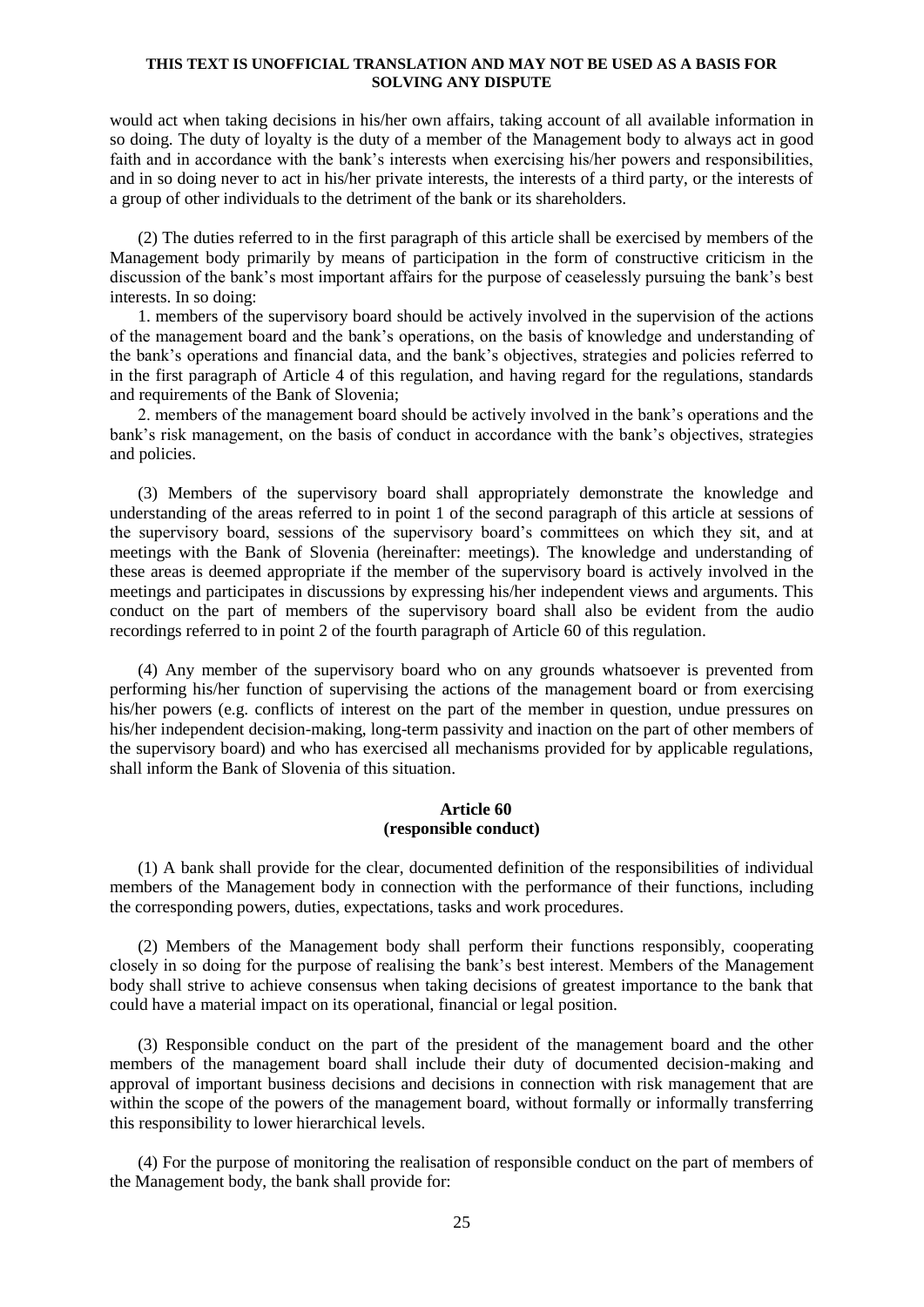would act when taking decisions in his/her own affairs, taking account of all available information in so doing. The duty of loyalty is the duty of a member of the Management body to always act in good faith and in accordance with the bank's interests when exercising his/her powers and responsibilities, and in so doing never to act in his/her private interests, the interests of a third party, or the interests of a group of other individuals to the detriment of the bank or its shareholders.

(2) The duties referred to in the first paragraph of this article shall be exercised by members of the Management body primarily by means of participation in the form of constructive criticism in the discussion of the bank's most important affairs for the purpose of ceaselessly pursuing the bank's best interests. In so doing:

1. members of the supervisory board should be actively involved in the supervision of the actions of the management board and the bank's operations, on the basis of knowledge and understanding of the bank's operations and financial data, and the bank's objectives, strategies and policies referred to in the first paragraph of Article 4 of this regulation, and having regard for the regulations, standards and requirements of the Bank of Slovenia;

2. members of the management board should be actively involved in the bank's operations and the bank's risk management, on the basis of conduct in accordance with the bank's objectives, strategies and policies.

(3) Members of the supervisory board shall appropriately demonstrate the knowledge and understanding of the areas referred to in point 1 of the second paragraph of this article at sessions of the supervisory board, sessions of the supervisory board's committees on which they sit, and at meetings with the Bank of Slovenia (hereinafter: meetings). The knowledge and understanding of these areas is deemed appropriate if the member of the supervisory board is actively involved in the meetings and participates in discussions by expressing his/her independent views and arguments. This conduct on the part of members of the supervisory board shall also be evident from the audio recordings referred to in point 2 of the fourth paragraph of Article 60 of this regulation.

(4) Any member of the supervisory board who on any grounds whatsoever is prevented from performing his/her function of supervising the actions of the management board or from exercising his/her powers (e.g. conflicts of interest on the part of the member in question, undue pressures on his/her independent decision-making, long-term passivity and inaction on the part of other members of the supervisory board) and who has exercised all mechanisms provided for by applicable regulations, shall inform the Bank of Slovenia of this situation.

## **Article 60 (responsible conduct)**

(1) A bank shall provide for the clear, documented definition of the responsibilities of individual members of the Management body in connection with the performance of their functions, including the corresponding powers, duties, expectations, tasks and work procedures.

(2) Members of the Management body shall perform their functions responsibly, cooperating closely in so doing for the purpose of realising the bank's best interest. Members of the Management body shall strive to achieve consensus when taking decisions of greatest importance to the bank that could have a material impact on its operational, financial or legal position.

(3) Responsible conduct on the part of the president of the management board and the other members of the management board shall include their duty of documented decision-making and approval of important business decisions and decisions in connection with risk management that are within the scope of the powers of the management board, without formally or informally transferring this responsibility to lower hierarchical levels.

(4) For the purpose of monitoring the realisation of responsible conduct on the part of members of the Management body, the bank shall provide for: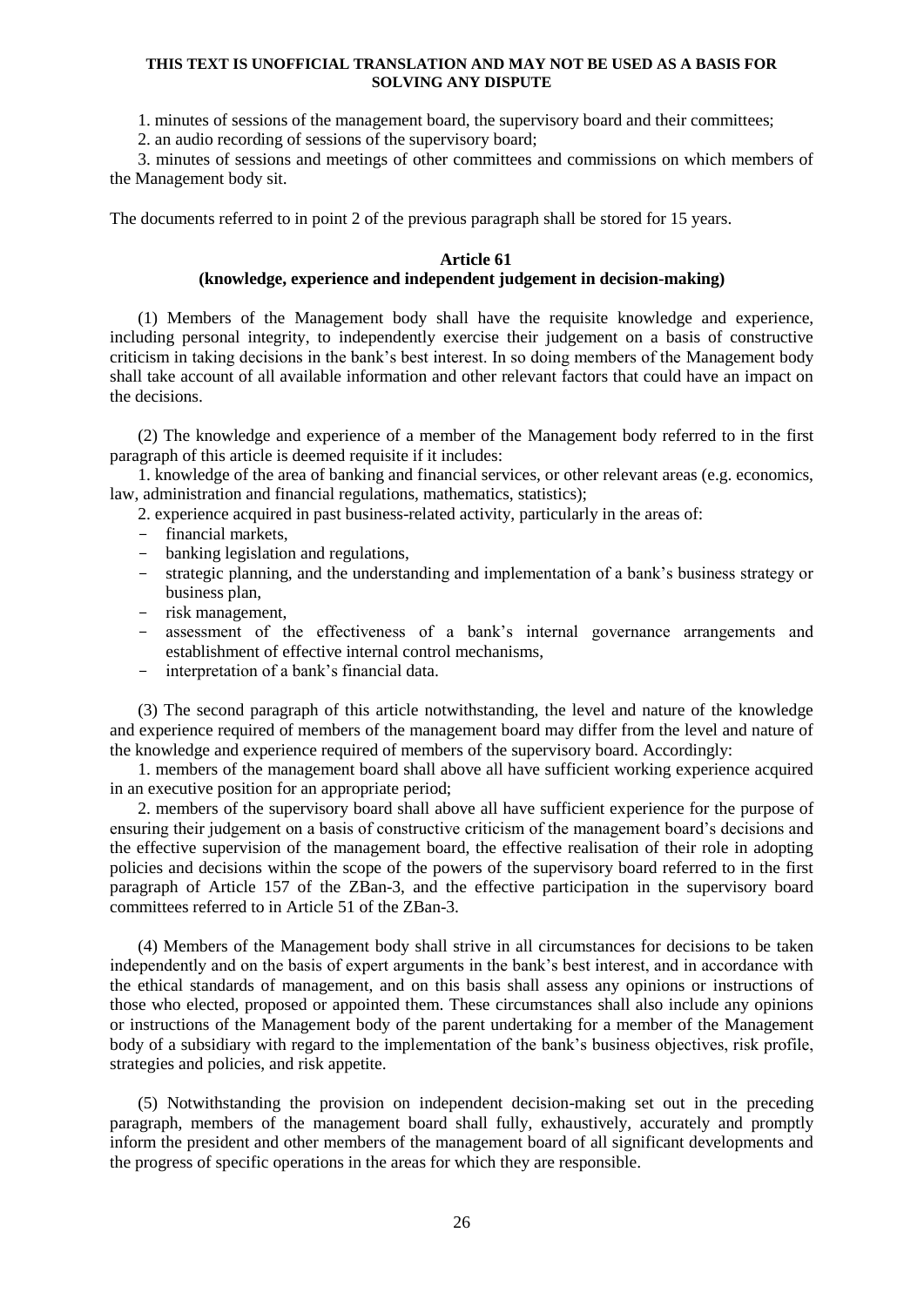1. minutes of sessions of the management board, the supervisory board and their committees;

2. an audio recording of sessions of the supervisory board;

3. minutes of sessions and meetings of other committees and commissions on which members of the Management body sit.

The documents referred to in point 2 of the previous paragraph shall be stored for 15 years.

## **Article 61**

## **(knowledge, experience and independent judgement in decision-making)**

(1) Members of the Management body shall have the requisite knowledge and experience, including personal integrity, to independently exercise their judgement on a basis of constructive criticism in taking decisions in the bank's best interest. In so doing members of the Management body shall take account of all available information and other relevant factors that could have an impact on the decisions.

(2) The knowledge and experience of a member of the Management body referred to in the first paragraph of this article is deemed requisite if it includes:

1. knowledge of the area of banking and financial services, or other relevant areas (e.g. economics, law, administration and financial regulations, mathematics, statistics);

2. experience acquired in past business-related activity, particularly in the areas of:

- financial markets,
- banking legislation and regulations,
- strategic planning, and the understanding and implementation of a bank's business strategy or business plan,
- risk management,
- assessment of the effectiveness of a bank's internal governance arrangements and establishment of effective internal control mechanisms,
- interpretation of a bank's financial data.

(3) The second paragraph of this article notwithstanding, the level and nature of the knowledge and experience required of members of the management board may differ from the level and nature of the knowledge and experience required of members of the supervisory board. Accordingly:

1. members of the management board shall above all have sufficient working experience acquired in an executive position for an appropriate period;

2. members of the supervisory board shall above all have sufficient experience for the purpose of ensuring their judgement on a basis of constructive criticism of the management board's decisions and the effective supervision of the management board, the effective realisation of their role in adopting policies and decisions within the scope of the powers of the supervisory board referred to in the first paragraph of Article 157 of the ZBan-3, and the effective participation in the supervisory board committees referred to in Article 51 of the ZBan-3.

(4) Members of the Management body shall strive in all circumstances for decisions to be taken independently and on the basis of expert arguments in the bank's best interest, and in accordance with the ethical standards of management, and on this basis shall assess any opinions or instructions of those who elected, proposed or appointed them. These circumstances shall also include any opinions or instructions of the Management body of the parent undertaking for a member of the Management body of a subsidiary with regard to the implementation of the bank's business objectives, risk profile, strategies and policies, and risk appetite.

(5) Notwithstanding the provision on independent decision-making set out in the preceding paragraph, members of the management board shall fully, exhaustively, accurately and promptly inform the president and other members of the management board of all significant developments and the progress of specific operations in the areas for which they are responsible.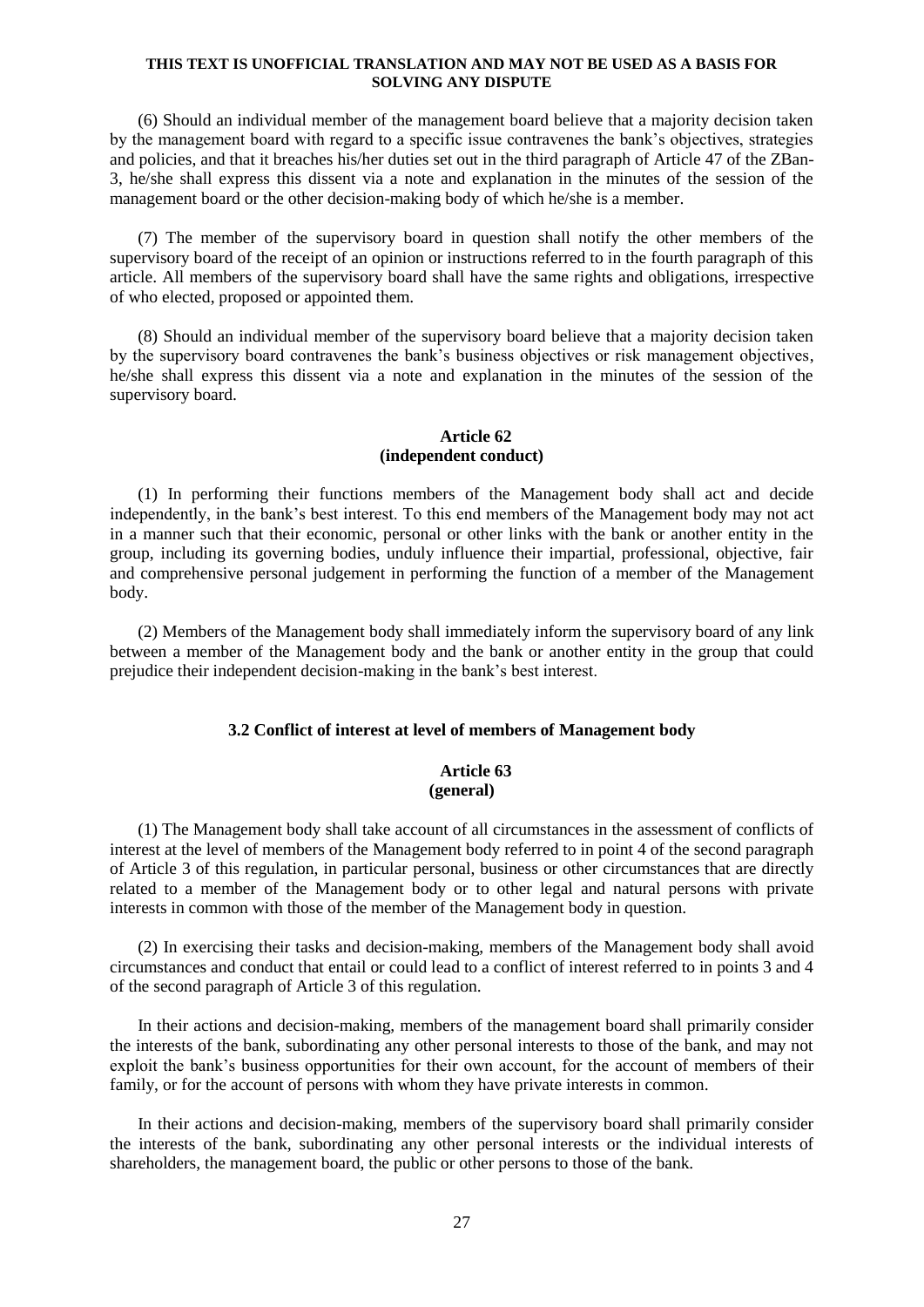(6) Should an individual member of the management board believe that a majority decision taken by the management board with regard to a specific issue contravenes the bank's objectives, strategies and policies, and that it breaches his/her duties set out in the third paragraph of Article 47 of the ZBan-3, he/she shall express this dissent via a note and explanation in the minutes of the session of the management board or the other decision-making body of which he/she is a member.

(7) The member of the supervisory board in question shall notify the other members of the supervisory board of the receipt of an opinion or instructions referred to in the fourth paragraph of this article. All members of the supervisory board shall have the same rights and obligations, irrespective of who elected, proposed or appointed them.

(8) Should an individual member of the supervisory board believe that a majority decision taken by the supervisory board contravenes the bank's business objectives or risk management objectives, he/she shall express this dissent via a note and explanation in the minutes of the session of the supervisory board.

## **Article 62 (independent conduct)**

(1) In performing their functions members of the Management body shall act and decide independently, in the bank's best interest. To this end members of the Management body may not act in a manner such that their economic, personal or other links with the bank or another entity in the group, including its governing bodies, unduly influence their impartial, professional, objective, fair and comprehensive personal judgement in performing the function of a member of the Management body.

(2) Members of the Management body shall immediately inform the supervisory board of any link between a member of the Management body and the bank or another entity in the group that could prejudice their independent decision-making in the bank's best interest.

#### **3.2 Conflict of interest at level of members of Management body**

## **Article 63 (general)**

(1) The Management body shall take account of all circumstances in the assessment of conflicts of interest at the level of members of the Management body referred to in point 4 of the second paragraph of Article 3 of this regulation, in particular personal, business or other circumstances that are directly related to a member of the Management body or to other legal and natural persons with private interests in common with those of the member of the Management body in question.

(2) In exercising their tasks and decision-making, members of the Management body shall avoid circumstances and conduct that entail or could lead to a conflict of interest referred to in points 3 and 4 of the second paragraph of Article 3 of this regulation.

In their actions and decision-making, members of the management board shall primarily consider the interests of the bank, subordinating any other personal interests to those of the bank, and may not exploit the bank's business opportunities for their own account, for the account of members of their family, or for the account of persons with whom they have private interests in common.

In their actions and decision-making, members of the supervisory board shall primarily consider the interests of the bank, subordinating any other personal interests or the individual interests of shareholders, the management board, the public or other persons to those of the bank.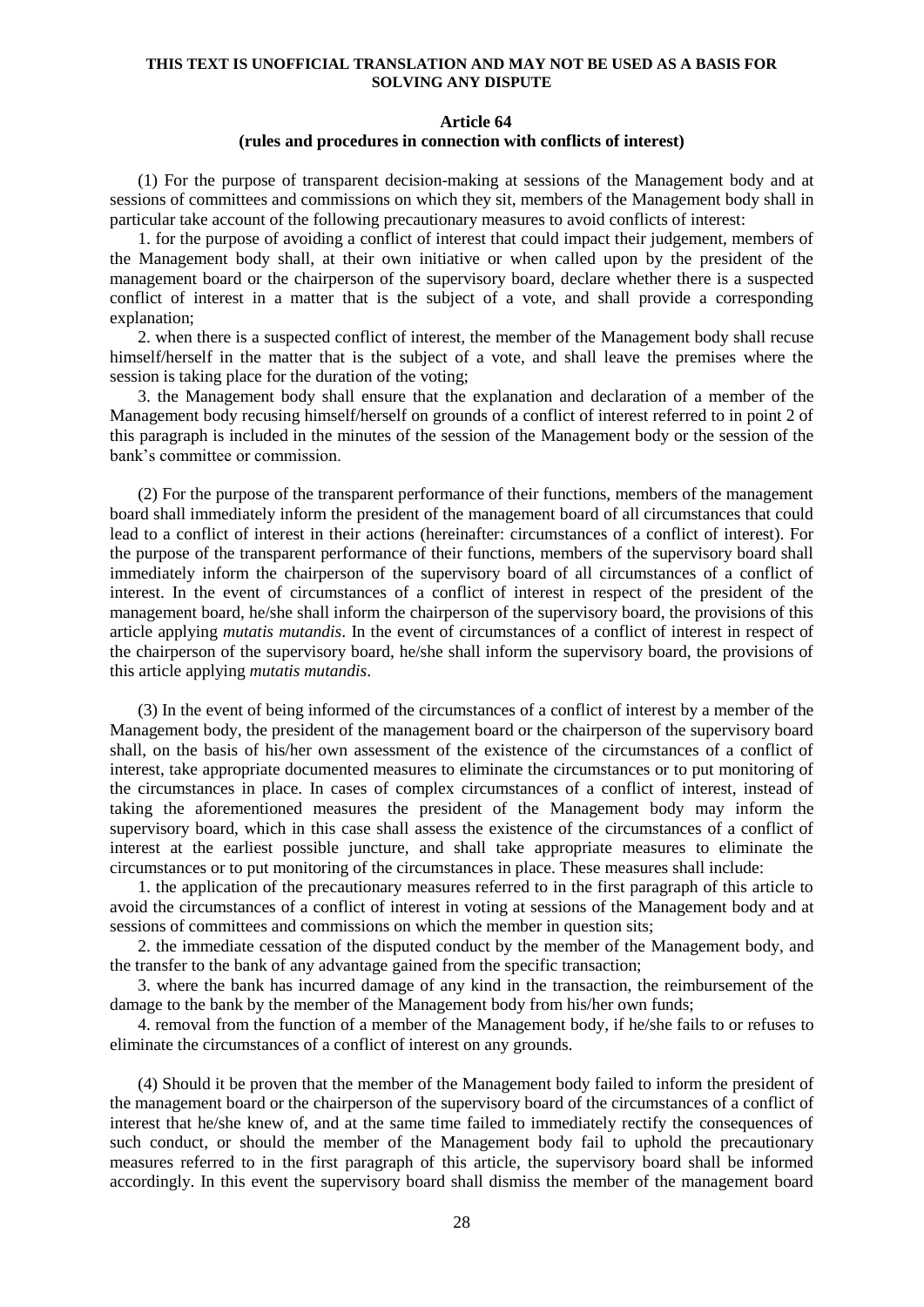#### **Article 64**

### **(rules and procedures in connection with conflicts of interest)**

(1) For the purpose of transparent decision-making at sessions of the Management body and at sessions of committees and commissions on which they sit, members of the Management body shall in particular take account of the following precautionary measures to avoid conflicts of interest:

1. for the purpose of avoiding a conflict of interest that could impact their judgement, members of the Management body shall, at their own initiative or when called upon by the president of the management board or the chairperson of the supervisory board, declare whether there is a suspected conflict of interest in a matter that is the subject of a vote, and shall provide a corresponding explanation;

2. when there is a suspected conflict of interest, the member of the Management body shall recuse himself/herself in the matter that is the subject of a vote, and shall leave the premises where the session is taking place for the duration of the voting;

3. the Management body shall ensure that the explanation and declaration of a member of the Management body recusing himself/herself on grounds of a conflict of interest referred to in point 2 of this paragraph is included in the minutes of the session of the Management body or the session of the bank's committee or commission.

(2) For the purpose of the transparent performance of their functions, members of the management board shall immediately inform the president of the management board of all circumstances that could lead to a conflict of interest in their actions (hereinafter: circumstances of a conflict of interest). For the purpose of the transparent performance of their functions, members of the supervisory board shall immediately inform the chairperson of the supervisory board of all circumstances of a conflict of interest. In the event of circumstances of a conflict of interest in respect of the president of the management board, he/she shall inform the chairperson of the supervisory board, the provisions of this article applying *mutatis mutandis*. In the event of circumstances of a conflict of interest in respect of the chairperson of the supervisory board, he/she shall inform the supervisory board, the provisions of this article applying *mutatis mutandis*.

(3) In the event of being informed of the circumstances of a conflict of interest by a member of the Management body, the president of the management board or the chairperson of the supervisory board shall, on the basis of his/her own assessment of the existence of the circumstances of a conflict of interest, take appropriate documented measures to eliminate the circumstances or to put monitoring of the circumstances in place. In cases of complex circumstances of a conflict of interest, instead of taking the aforementioned measures the president of the Management body may inform the supervisory board, which in this case shall assess the existence of the circumstances of a conflict of interest at the earliest possible juncture, and shall take appropriate measures to eliminate the circumstances or to put monitoring of the circumstances in place. These measures shall include:

1. the application of the precautionary measures referred to in the first paragraph of this article to avoid the circumstances of a conflict of interest in voting at sessions of the Management body and at sessions of committees and commissions on which the member in question sits;

2. the immediate cessation of the disputed conduct by the member of the Management body, and the transfer to the bank of any advantage gained from the specific transaction;

3. where the bank has incurred damage of any kind in the transaction, the reimbursement of the damage to the bank by the member of the Management body from his/her own funds;

4. removal from the function of a member of the Management body, if he/she fails to or refuses to eliminate the circumstances of a conflict of interest on any grounds.

(4) Should it be proven that the member of the Management body failed to inform the president of the management board or the chairperson of the supervisory board of the circumstances of a conflict of interest that he/she knew of, and at the same time failed to immediately rectify the consequences of such conduct, or should the member of the Management body fail to uphold the precautionary measures referred to in the first paragraph of this article, the supervisory board shall be informed accordingly. In this event the supervisory board shall dismiss the member of the management board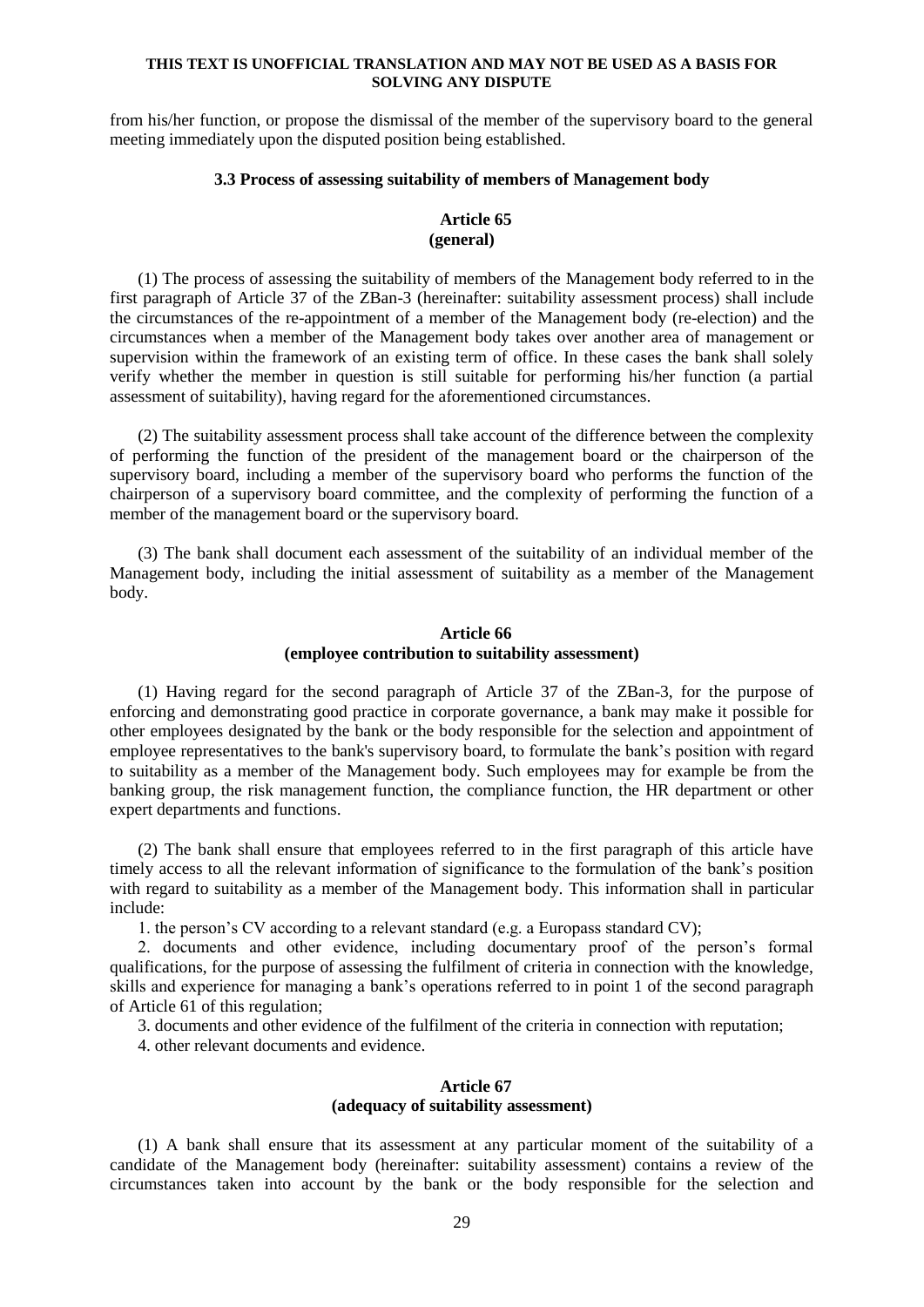from his/her function, or propose the dismissal of the member of the supervisory board to the general meeting immediately upon the disputed position being established.

### **3.3 Process of assessing suitability of members of Management body**

## **Article 65 (general)**

(1) The process of assessing the suitability of members of the Management body referred to in the first paragraph of Article 37 of the ZBan-3 (hereinafter: suitability assessment process) shall include the circumstances of the re-appointment of a member of the Management body (re-election) and the circumstances when a member of the Management body takes over another area of management or supervision within the framework of an existing term of office. In these cases the bank shall solely verify whether the member in question is still suitable for performing his/her function (a partial assessment of suitability), having regard for the aforementioned circumstances.

(2) The suitability assessment process shall take account of the difference between the complexity of performing the function of the president of the management board or the chairperson of the supervisory board, including a member of the supervisory board who performs the function of the chairperson of a supervisory board committee, and the complexity of performing the function of a member of the management board or the supervisory board.

(3) The bank shall document each assessment of the suitability of an individual member of the Management body, including the initial assessment of suitability as a member of the Management body.

## **Article 66 (employee contribution to suitability assessment)**

(1) Having regard for the second paragraph of Article 37 of the ZBan-3, for the purpose of enforcing and demonstrating good practice in corporate governance, a bank may make it possible for other employees designated by the bank or the body responsible for the selection and appointment of employee representatives to the bank's supervisory board, to formulate the bank's position with regard to suitability as a member of the Management body. Such employees may for example be from the banking group, the risk management function, the compliance function, the HR department or other expert departments and functions.

(2) The bank shall ensure that employees referred to in the first paragraph of this article have timely access to all the relevant information of significance to the formulation of the bank's position with regard to suitability as a member of the Management body. This information shall in particular include:

1. the person's CV according to a relevant standard (e.g. a Europass standard CV);

2. documents and other evidence, including documentary proof of the person's formal qualifications, for the purpose of assessing the fulfilment of criteria in connection with the knowledge, skills and experience for managing a bank's operations referred to in point 1 of the second paragraph of Article 61 of this regulation;

3. documents and other evidence of the fulfilment of the criteria in connection with reputation;

4. other relevant documents and evidence.

## **Article 67 (adequacy of suitability assessment)**

(1) A bank shall ensure that its assessment at any particular moment of the suitability of a candidate of the Management body (hereinafter: suitability assessment) contains a review of the circumstances taken into account by the bank or the body responsible for the selection and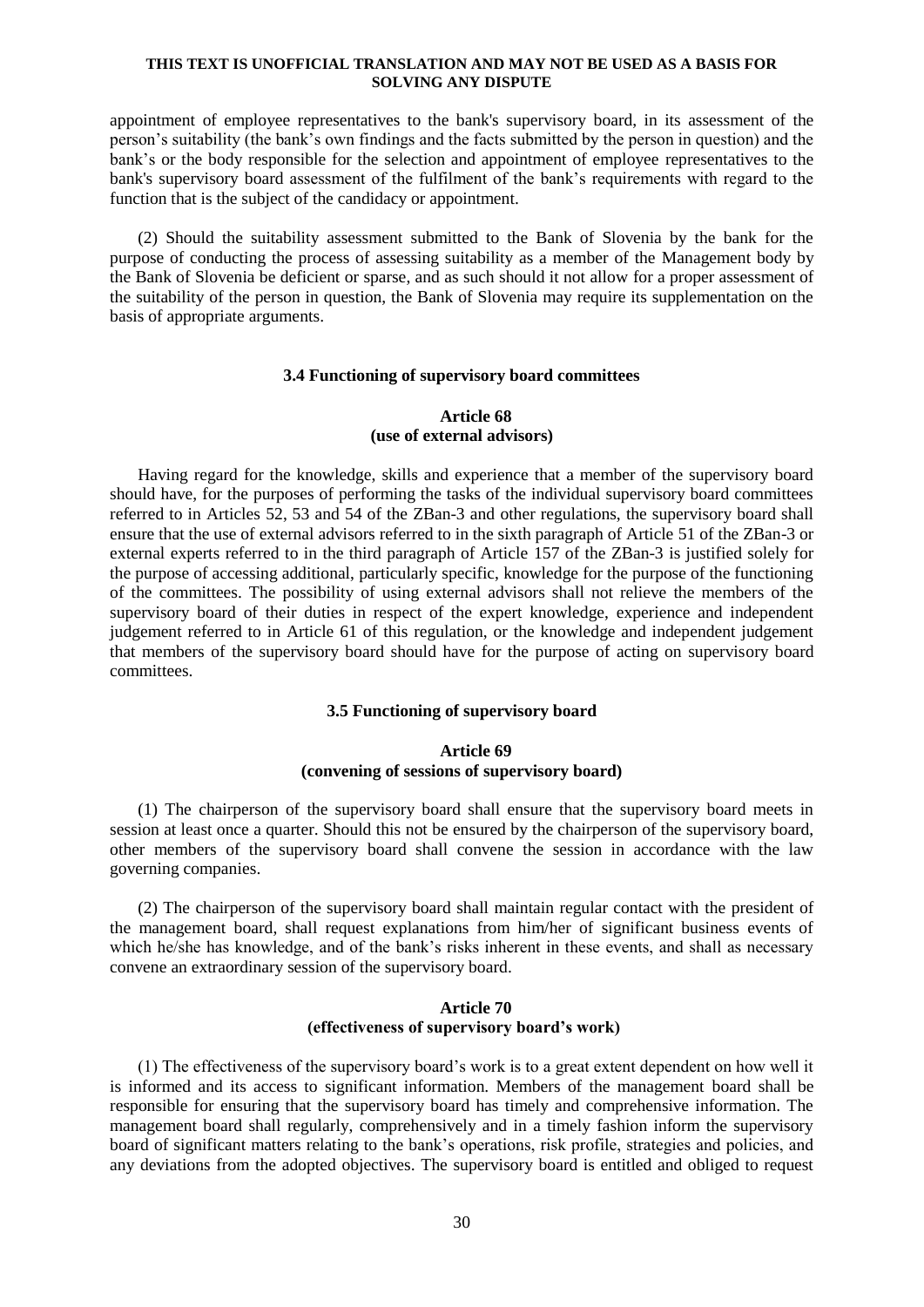appointment of employee representatives to the bank's supervisory board, in its assessment of the person's suitability (the bank's own findings and the facts submitted by the person in question) and the bank's or the body responsible for the selection and appointment of employee representatives to the bank's supervisory board assessment of the fulfilment of the bank's requirements with regard to the function that is the subject of the candidacy or appointment.

(2) Should the suitability assessment submitted to the Bank of Slovenia by the bank for the purpose of conducting the process of assessing suitability as a member of the Management body by the Bank of Slovenia be deficient or sparse, and as such should it not allow for a proper assessment of the suitability of the person in question, the Bank of Slovenia may require its supplementation on the basis of appropriate arguments.

#### **3.4 Functioning of supervisory board committees**

### **Article 68 (use of external advisors)**

Having regard for the knowledge, skills and experience that a member of the supervisory board should have, for the purposes of performing the tasks of the individual supervisory board committees referred to in Articles 52, 53 and 54 of the ZBan-3 and other regulations, the supervisory board shall ensure that the use of external advisors referred to in the sixth paragraph of Article 51 of the ZBan-3 or external experts referred to in the third paragraph of Article 157 of the ZBan-3 is justified solely for the purpose of accessing additional, particularly specific, knowledge for the purpose of the functioning of the committees. The possibility of using external advisors shall not relieve the members of the supervisory board of their duties in respect of the expert knowledge, experience and independent judgement referred to in Article 61 of this regulation, or the knowledge and independent judgement that members of the supervisory board should have for the purpose of acting on supervisory board committees.

## **3.5 Functioning of supervisory board**

### **Article 69 (convening of sessions of supervisory board)**

(1) The chairperson of the supervisory board shall ensure that the supervisory board meets in session at least once a quarter. Should this not be ensured by the chairperson of the supervisory board, other members of the supervisory board shall convene the session in accordance with the law governing companies.

(2) The chairperson of the supervisory board shall maintain regular contact with the president of the management board, shall request explanations from him/her of significant business events of which he/she has knowledge, and of the bank's risks inherent in these events, and shall as necessary convene an extraordinary session of the supervisory board.

## **Article 70 (effectiveness of supervisory board's work)**

(1) The effectiveness of the supervisory board's work is to a great extent dependent on how well it is informed and its access to significant information. Members of the management board shall be responsible for ensuring that the supervisory board has timely and comprehensive information. The management board shall regularly, comprehensively and in a timely fashion inform the supervisory board of significant matters relating to the bank's operations, risk profile, strategies and policies, and any deviations from the adopted objectives. The supervisory board is entitled and obliged to request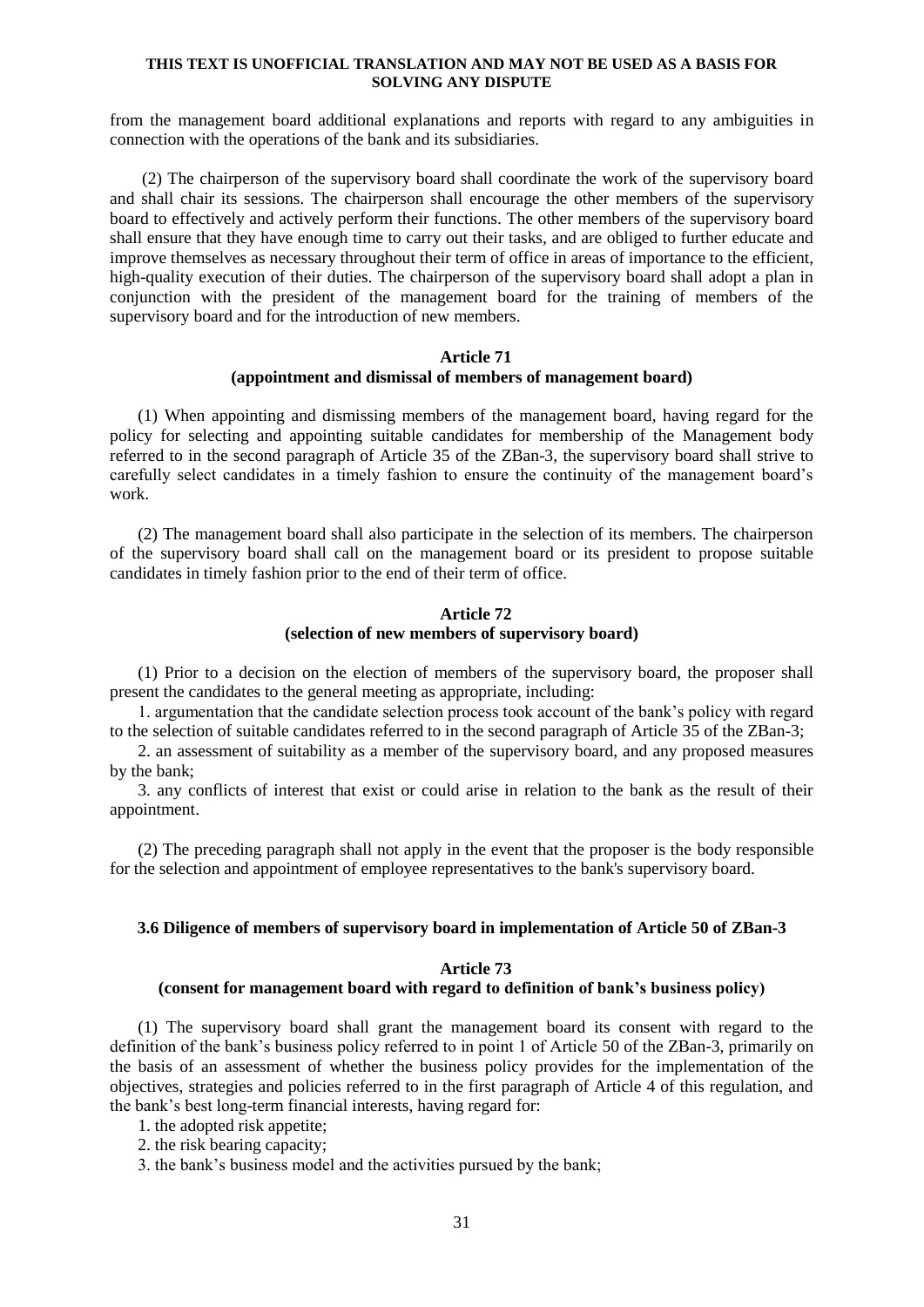from the management board additional explanations and reports with regard to any ambiguities in connection with the operations of the bank and its subsidiaries.

(2) The chairperson of the supervisory board shall coordinate the work of the supervisory board and shall chair its sessions. The chairperson shall encourage the other members of the supervisory board to effectively and actively perform their functions. The other members of the supervisory board shall ensure that they have enough time to carry out their tasks, and are obliged to further educate and improve themselves as necessary throughout their term of office in areas of importance to the efficient, high-quality execution of their duties. The chairperson of the supervisory board shall adopt a plan in conjunction with the president of the management board for the training of members of the supervisory board and for the introduction of new members.

### **Article 71 (appointment and dismissal of members of management board)**

(1) When appointing and dismissing members of the management board, having regard for the policy for selecting and appointing suitable candidates for membership of the Management body referred to in the second paragraph of Article 35 of the ZBan-3, the supervisory board shall strive to carefully select candidates in a timely fashion to ensure the continuity of the management board's work.

(2) The management board shall also participate in the selection of its members. The chairperson of the supervisory board shall call on the management board or its president to propose suitable candidates in timely fashion prior to the end of their term of office.

## **Article 72 (selection of new members of supervisory board)**

(1) Prior to a decision on the election of members of the supervisory board, the proposer shall present the candidates to the general meeting as appropriate, including:

1. argumentation that the candidate selection process took account of the bank's policy with regard to the selection of suitable candidates referred to in the second paragraph of Article 35 of the ZBan-3;

2. an assessment of suitability as a member of the supervisory board, and any proposed measures by the bank;

3. any conflicts of interest that exist or could arise in relation to the bank as the result of their appointment.

(2) The preceding paragraph shall not apply in the event that the proposer is the body responsible for the selection and appointment of employee representatives to the bank's supervisory board.

### **3.6 Diligence of members of supervisory board in implementation of Article 50 of ZBan-3**

### **Article 73**

### **(consent for management board with regard to definition of bank's business policy)**

(1) The supervisory board shall grant the management board its consent with regard to the definition of the bank's business policy referred to in point 1 of Article 50 of the ZBan-3, primarily on the basis of an assessment of whether the business policy provides for the implementation of the objectives, strategies and policies referred to in the first paragraph of Article 4 of this regulation, and the bank's best long-term financial interests, having regard for:

- 1. the adopted risk appetite;
- 2. the risk bearing capacity;
- 3. the bank's business model and the activities pursued by the bank;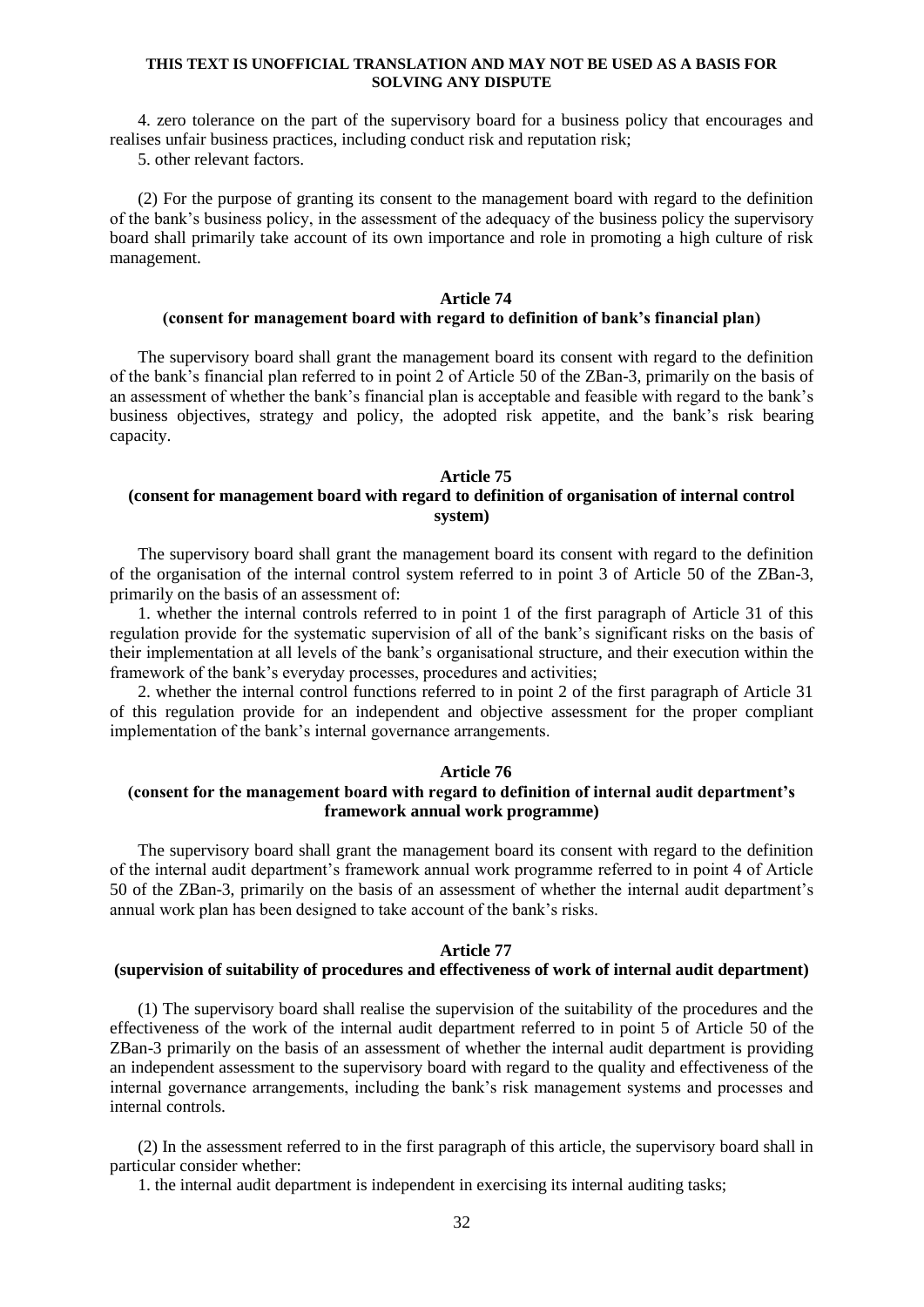4. zero tolerance on the part of the supervisory board for a business policy that encourages and realises unfair business practices, including conduct risk and reputation risk;

5. other relevant factors.

(2) For the purpose of granting its consent to the management board with regard to the definition of the bank's business policy, in the assessment of the adequacy of the business policy the supervisory board shall primarily take account of its own importance and role in promoting a high culture of risk management.

### **Article 74**

## **(consent for management board with regard to definition of bank's financial plan)**

The supervisory board shall grant the management board its consent with regard to the definition of the bank's financial plan referred to in point 2 of Article 50 of the ZBan-3, primarily on the basis of an assessment of whether the bank's financial plan is acceptable and feasible with regard to the bank's business objectives, strategy and policy, the adopted risk appetite, and the bank's risk bearing capacity.

#### **Article 75**

## **(consent for management board with regard to definition of organisation of internal control system)**

The supervisory board shall grant the management board its consent with regard to the definition of the organisation of the internal control system referred to in point 3 of Article 50 of the ZBan-3, primarily on the basis of an assessment of:

1. whether the internal controls referred to in point 1 of the first paragraph of Article 31 of this regulation provide for the systematic supervision of all of the bank's significant risks on the basis of their implementation at all levels of the bank's organisational structure, and their execution within the framework of the bank's everyday processes, procedures and activities;

2. whether the internal control functions referred to in point 2 of the first paragraph of Article 31 of this regulation provide for an independent and objective assessment for the proper compliant implementation of the bank's internal governance arrangements.

### **Article 76**

## **(consent for the management board with regard to definition of internal audit department's framework annual work programme)**

The supervisory board shall grant the management board its consent with regard to the definition of the internal audit department's framework annual work programme referred to in point 4 of Article 50 of the ZBan-3, primarily on the basis of an assessment of whether the internal audit department's annual work plan has been designed to take account of the bank's risks.

### **Article 77**

## **(supervision of suitability of procedures and effectiveness of work of internal audit department)**

(1) The supervisory board shall realise the supervision of the suitability of the procedures and the effectiveness of the work of the internal audit department referred to in point 5 of Article 50 of the ZBan-3 primarily on the basis of an assessment of whether the internal audit department is providing an independent assessment to the supervisory board with regard to the quality and effectiveness of the internal governance arrangements, including the bank's risk management systems and processes and internal controls.

(2) In the assessment referred to in the first paragraph of this article, the supervisory board shall in particular consider whether:

1. the internal audit department is independent in exercising its internal auditing tasks;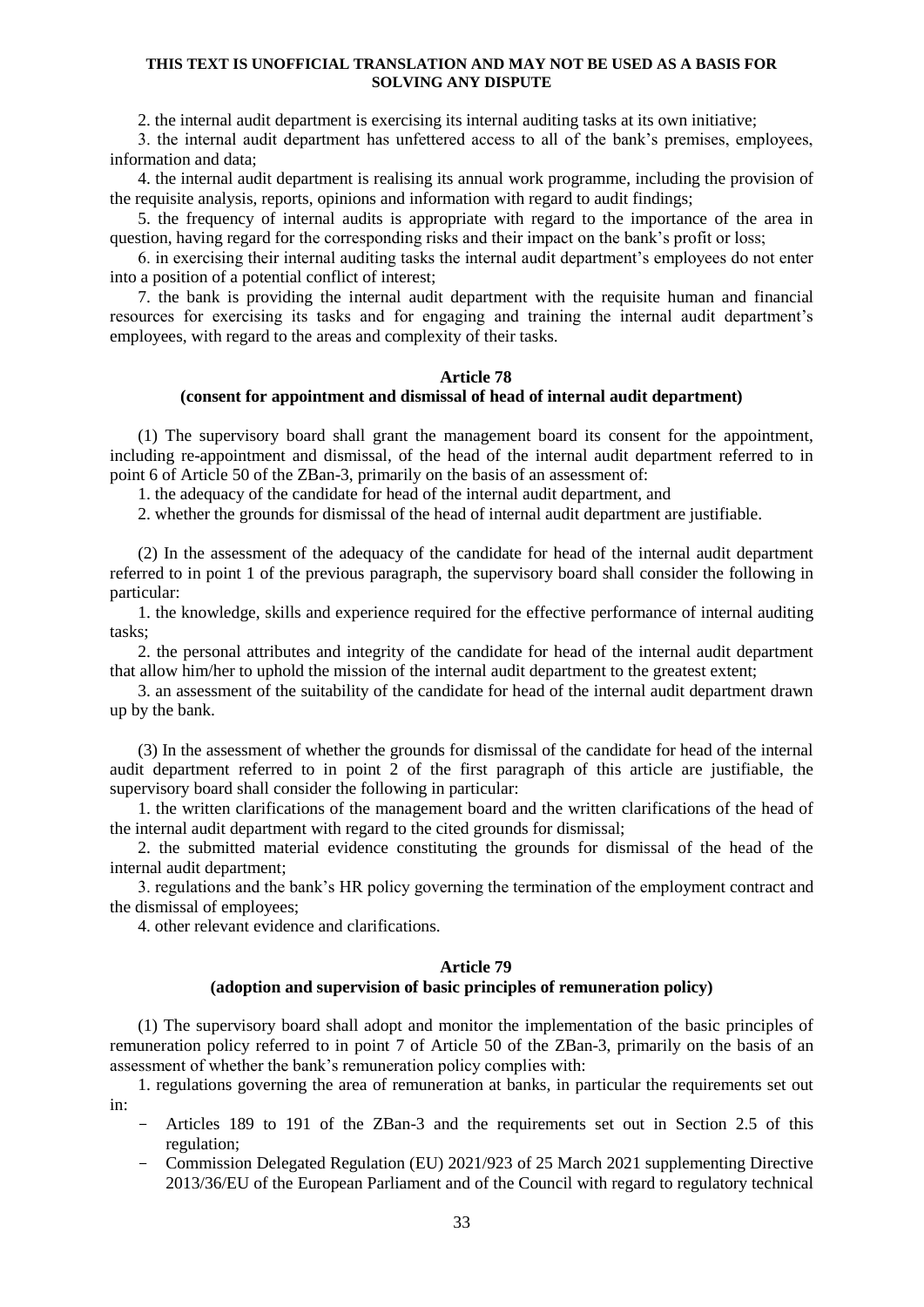2. the internal audit department is exercising its internal auditing tasks at its own initiative;

3. the internal audit department has unfettered access to all of the bank's premises, employees, information and data;

4. the internal audit department is realising its annual work programme, including the provision of the requisite analysis, reports, opinions and information with regard to audit findings;

5. the frequency of internal audits is appropriate with regard to the importance of the area in question, having regard for the corresponding risks and their impact on the bank's profit or loss;

6. in exercising their internal auditing tasks the internal audit department's employees do not enter into a position of a potential conflict of interest;

7. the bank is providing the internal audit department with the requisite human and financial resources for exercising its tasks and for engaging and training the internal audit department's employees, with regard to the areas and complexity of their tasks.

### **Article 78**

#### **(consent for appointment and dismissal of head of internal audit department)**

(1) The supervisory board shall grant the management board its consent for the appointment, including re-appointment and dismissal, of the head of the internal audit department referred to in point 6 of Article 50 of the ZBan-3, primarily on the basis of an assessment of:

1. the adequacy of the candidate for head of the internal audit department, and

2. whether the grounds for dismissal of the head of internal audit department are justifiable.

(2) In the assessment of the adequacy of the candidate for head of the internal audit department referred to in point 1 of the previous paragraph, the supervisory board shall consider the following in particular:

1. the knowledge, skills and experience required for the effective performance of internal auditing tasks;

2. the personal attributes and integrity of the candidate for head of the internal audit department that allow him/her to uphold the mission of the internal audit department to the greatest extent;

3. an assessment of the suitability of the candidate for head of the internal audit department drawn up by the bank.

(3) In the assessment of whether the grounds for dismissal of the candidate for head of the internal audit department referred to in point 2 of the first paragraph of this article are justifiable, the supervisory board shall consider the following in particular:

1. the written clarifications of the management board and the written clarifications of the head of the internal audit department with regard to the cited grounds for dismissal;

2. the submitted material evidence constituting the grounds for dismissal of the head of the internal audit department;

3. regulations and the bank's HR policy governing the termination of the employment contract and the dismissal of employees;

4. other relevant evidence and clarifications.

#### **Article 79**

### **(adoption and supervision of basic principles of remuneration policy)**

(1) The supervisory board shall adopt and monitor the implementation of the basic principles of remuneration policy referred to in point 7 of Article 50 of the ZBan-3, primarily on the basis of an assessment of whether the bank's remuneration policy complies with:

1. regulations governing the area of remuneration at banks, in particular the requirements set out in:

- Articles 189 to 191 of the ZBan-3 and the requirements set out in Section 2.5 of this regulation;
- Commission Delegated Regulation (EU) 2021/923 of 25 March 2021 supplementing Directive 2013/36/EU of the European Parliament and of the Council with regard to regulatory technical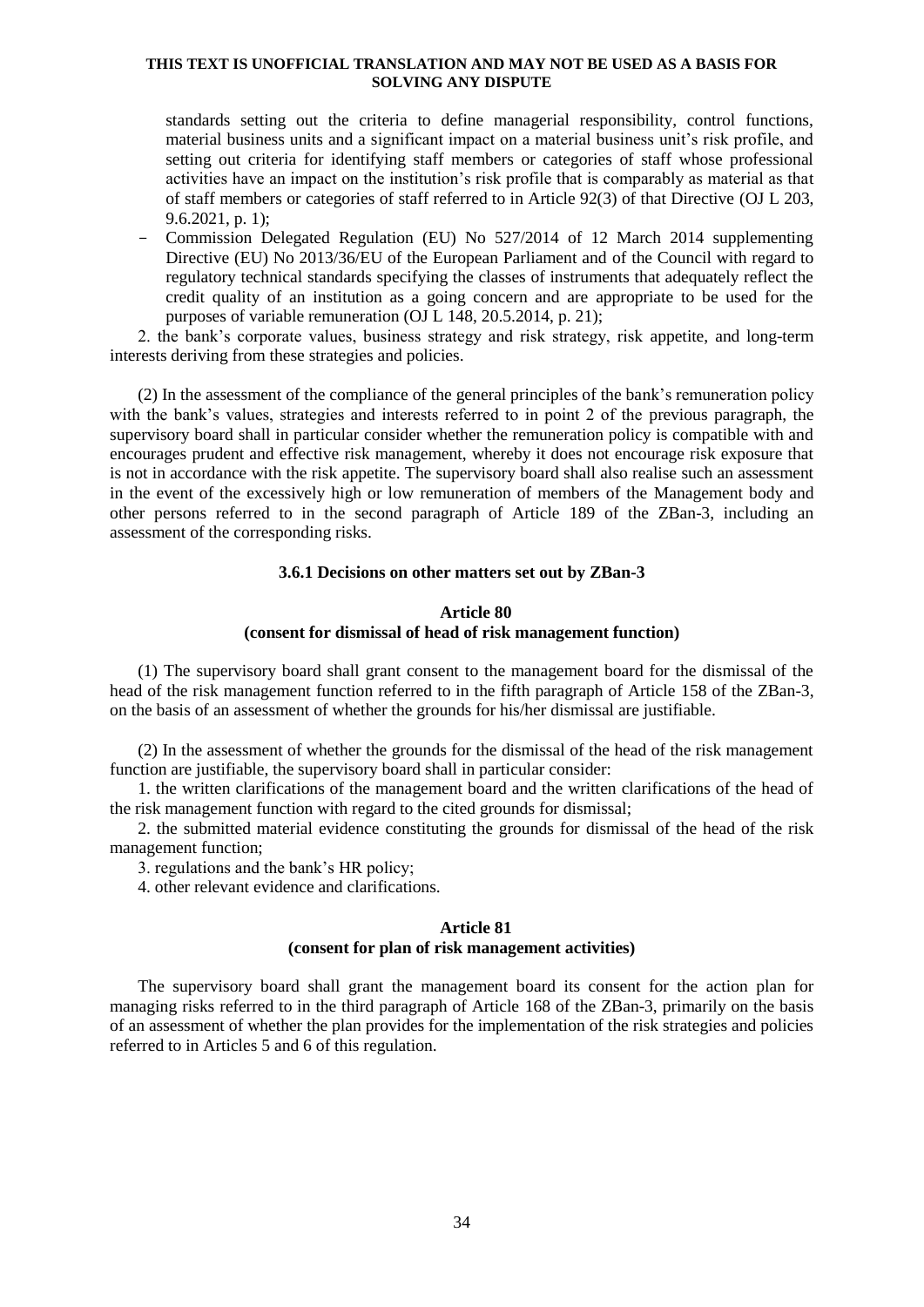standards setting out the criteria to define managerial responsibility, control functions, material business units and a significant impact on a material business unit's risk profile, and setting out criteria for identifying staff members or categories of staff whose professional activities have an impact on the institution's risk profile that is comparably as material as that of staff members or categories of staff referred to in Article 92(3) of that Directive (OJ L 203, 9.6.2021, p. 1);

- Commission Delegated Regulation (EU) No 527/2014 of 12 March 2014 supplementing Directive (EU) No 2013/36/EU of the European Parliament and of the Council with regard to regulatory technical standards specifying the classes of instruments that adequately reflect the credit quality of an institution as a going concern and are appropriate to be used for the purposes of variable remuneration (OJ L 148, 20.5.2014, p. 21);

2. the bank's corporate values, business strategy and risk strategy, risk appetite, and long-term interests deriving from these strategies and policies.

(2) In the assessment of the compliance of the general principles of the bank's remuneration policy with the bank's values, strategies and interests referred to in point 2 of the previous paragraph, the supervisory board shall in particular consider whether the remuneration policy is compatible with and encourages prudent and effective risk management, whereby it does not encourage risk exposure that is not in accordance with the risk appetite. The supervisory board shall also realise such an assessment in the event of the excessively high or low remuneration of members of the Management body and other persons referred to in the second paragraph of Article 189 of the ZBan-3, including an assessment of the corresponding risks.

### **3.6.1 Decisions on other matters set out by ZBan-3**

## **Article 80 (consent for dismissal of head of risk management function)**

(1) The supervisory board shall grant consent to the management board for the dismissal of the head of the risk management function referred to in the fifth paragraph of Article 158 of the ZBan-3, on the basis of an assessment of whether the grounds for his/her dismissal are justifiable.

(2) In the assessment of whether the grounds for the dismissal of the head of the risk management function are justifiable, the supervisory board shall in particular consider:

1. the written clarifications of the management board and the written clarifications of the head of the risk management function with regard to the cited grounds for dismissal;

2. the submitted material evidence constituting the grounds for dismissal of the head of the risk management function;

3. regulations and the bank's HR policy;

4. other relevant evidence and clarifications.

## **Article 81**

## **(consent for plan of risk management activities)**

The supervisory board shall grant the management board its consent for the action plan for managing risks referred to in the third paragraph of Article 168 of the ZBan-3, primarily on the basis of an assessment of whether the plan provides for the implementation of the risk strategies and policies referred to in Articles 5 and 6 of this regulation.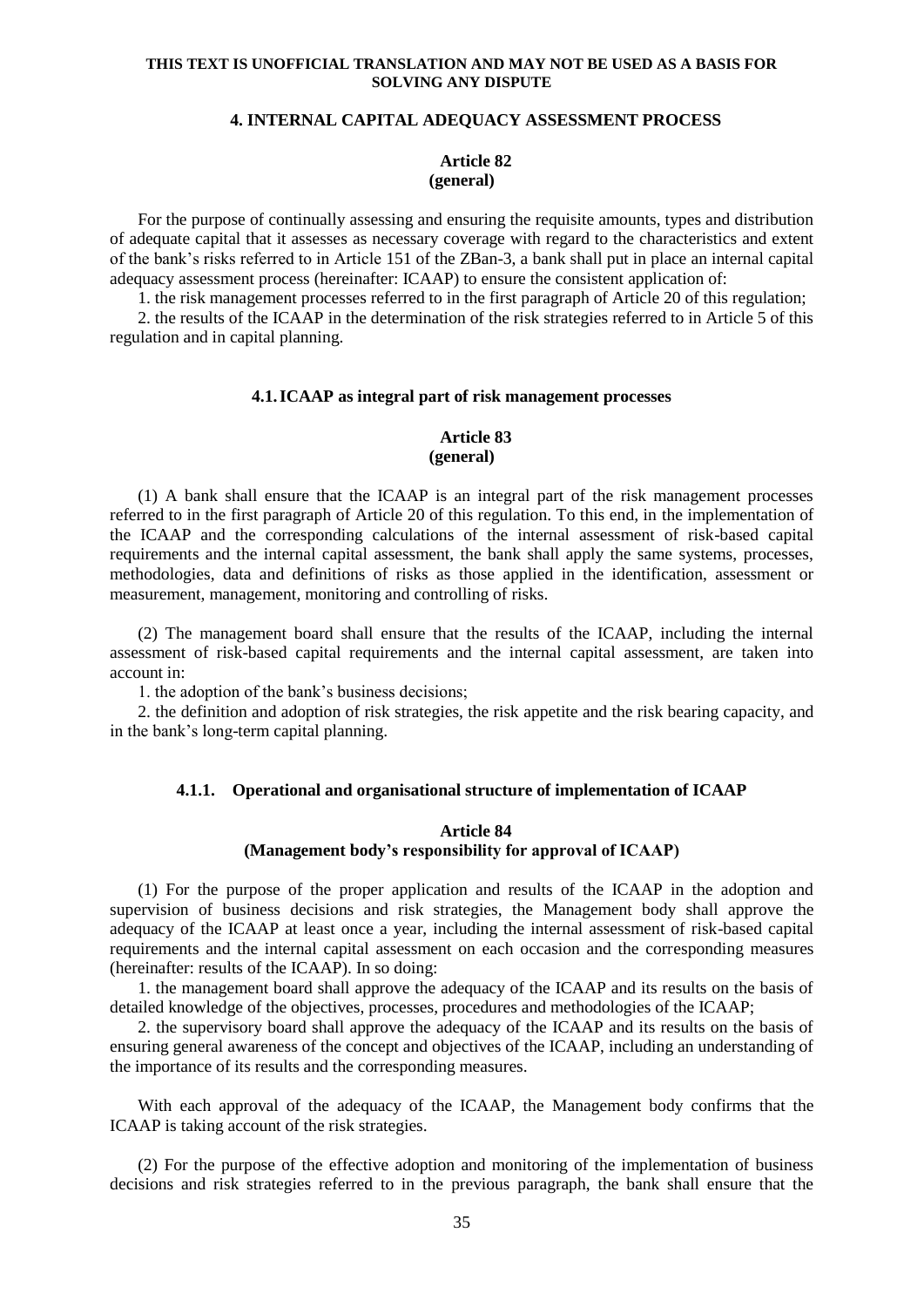## **4. INTERNAL CAPITAL ADEQUACY ASSESSMENT PROCESS**

#### **Article 82 (general)**

For the purpose of continually assessing and ensuring the requisite amounts, types and distribution of adequate capital that it assesses as necessary coverage with regard to the characteristics and extent of the bank's risks referred to in Article 151 of the ZBan-3, a bank shall put in place an internal capital adequacy assessment process (hereinafter: ICAAP) to ensure the consistent application of:

1. the risk management processes referred to in the first paragraph of Article 20 of this regulation;

2. the results of the ICAAP in the determination of the risk strategies referred to in Article 5 of this regulation and in capital planning.

#### **4.1.ICAAP as integral part of risk management processes**

## **Article 83 (general)**

(1) A bank shall ensure that the ICAAP is an integral part of the risk management processes referred to in the first paragraph of Article 20 of this regulation. To this end, in the implementation of the ICAAP and the corresponding calculations of the internal assessment of risk-based capital requirements and the internal capital assessment, the bank shall apply the same systems, processes, methodologies, data and definitions of risks as those applied in the identification, assessment or measurement, management, monitoring and controlling of risks.

(2) The management board shall ensure that the results of the ICAAP, including the internal assessment of risk-based capital requirements and the internal capital assessment, are taken into account in:

1. the adoption of the bank's business decisions;

2. the definition and adoption of risk strategies, the risk appetite and the risk bearing capacity, and in the bank's long-term capital planning.

### **4.1.1. Operational and organisational structure of implementation of ICAAP**

## **Article 84 (Management body's responsibility for approval of ICAAP)**

(1) For the purpose of the proper application and results of the ICAAP in the adoption and supervision of business decisions and risk strategies, the Management body shall approve the adequacy of the ICAAP at least once a year, including the internal assessment of risk-based capital requirements and the internal capital assessment on each occasion and the corresponding measures (hereinafter: results of the ICAAP). In so doing:

1. the management board shall approve the adequacy of the ICAAP and its results on the basis of detailed knowledge of the objectives, processes, procedures and methodologies of the ICAAP;

2. the supervisory board shall approve the adequacy of the ICAAP and its results on the basis of ensuring general awareness of the concept and objectives of the ICAAP, including an understanding of the importance of its results and the corresponding measures.

With each approval of the adequacy of the ICAAP, the Management body confirms that the ICAAP is taking account of the risk strategies.

(2) For the purpose of the effective adoption and monitoring of the implementation of business decisions and risk strategies referred to in the previous paragraph, the bank shall ensure that the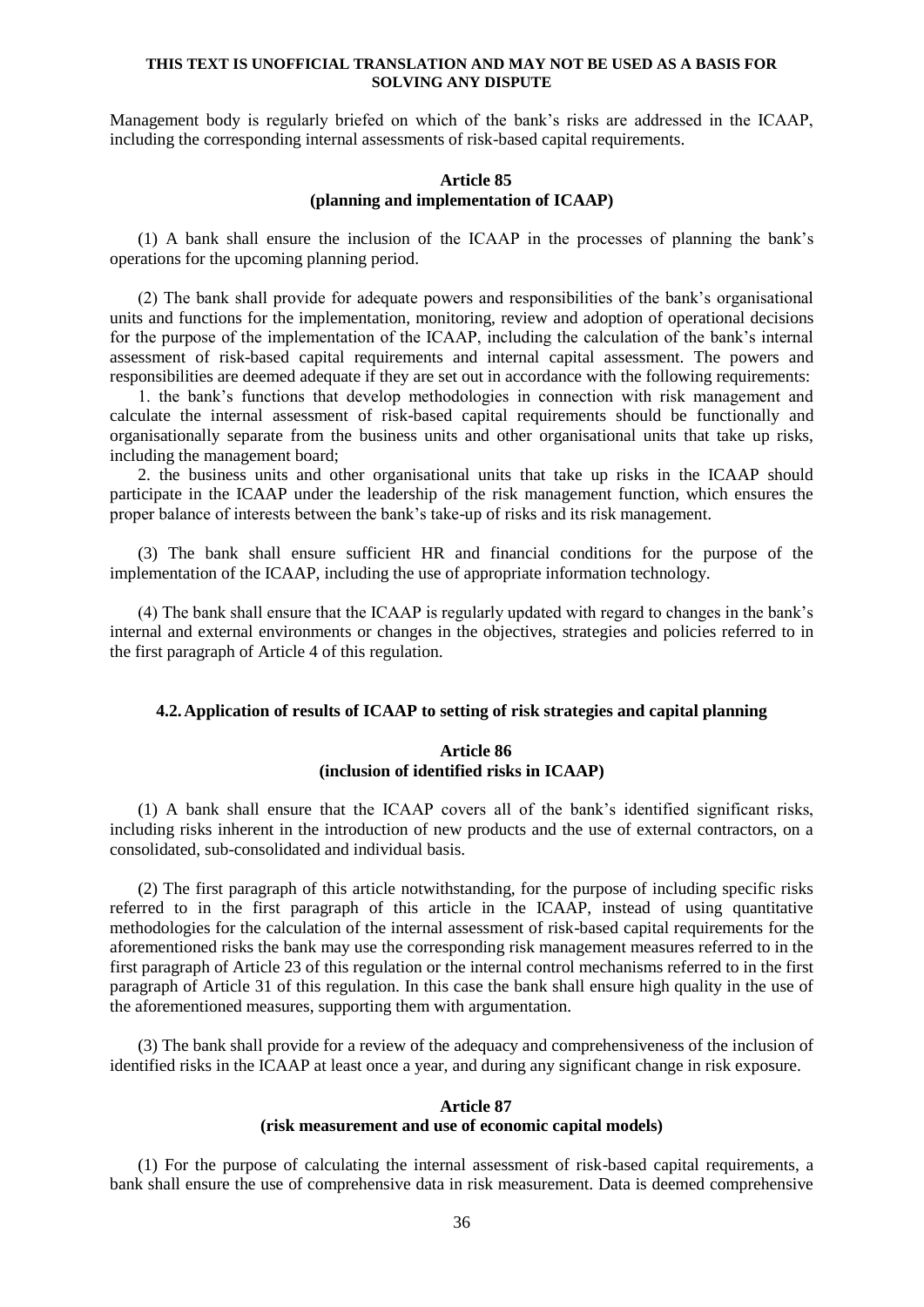Management body is regularly briefed on which of the bank's risks are addressed in the ICAAP, including the corresponding internal assessments of risk-based capital requirements.

## **Article 85 (planning and implementation of ICAAP)**

(1) A bank shall ensure the inclusion of the ICAAP in the processes of planning the bank's operations for the upcoming planning period.

(2) The bank shall provide for adequate powers and responsibilities of the bank's organisational units and functions for the implementation, monitoring, review and adoption of operational decisions for the purpose of the implementation of the ICAAP, including the calculation of the bank's internal assessment of risk-based capital requirements and internal capital assessment. The powers and responsibilities are deemed adequate if they are set out in accordance with the following requirements:

1. the bank's functions that develop methodologies in connection with risk management and calculate the internal assessment of risk-based capital requirements should be functionally and organisationally separate from the business units and other organisational units that take up risks, including the management board;

2. the business units and other organisational units that take up risks in the ICAAP should participate in the ICAAP under the leadership of the risk management function, which ensures the proper balance of interests between the bank's take-up of risks and its risk management.

(3) The bank shall ensure sufficient HR and financial conditions for the purpose of the implementation of the ICAAP, including the use of appropriate information technology.

(4) The bank shall ensure that the ICAAP is regularly updated with regard to changes in the bank's internal and external environments or changes in the objectives, strategies and policies referred to in the first paragraph of Article 4 of this regulation.

## **4.2.Application of results of ICAAP to setting of risk strategies and capital planning**

### **Article 86 (inclusion of identified risks in ICAAP)**

(1) A bank shall ensure that the ICAAP covers all of the bank's identified significant risks, including risks inherent in the introduction of new products and the use of external contractors, on a consolidated, sub-consolidated and individual basis.

(2) The first paragraph of this article notwithstanding, for the purpose of including specific risks referred to in the first paragraph of this article in the ICAAP, instead of using quantitative methodologies for the calculation of the internal assessment of risk-based capital requirements for the aforementioned risks the bank may use the corresponding risk management measures referred to in the first paragraph of Article 23 of this regulation or the internal control mechanisms referred to in the first paragraph of Article 31 of this regulation. In this case the bank shall ensure high quality in the use of the aforementioned measures, supporting them with argumentation.

(3) The bank shall provide for a review of the adequacy and comprehensiveness of the inclusion of identified risks in the ICAAP at least once a year, and during any significant change in risk exposure.

#### **Article 87**

#### **(risk measurement and use of economic capital models)**

(1) For the purpose of calculating the internal assessment of risk-based capital requirements, a bank shall ensure the use of comprehensive data in risk measurement. Data is deemed comprehensive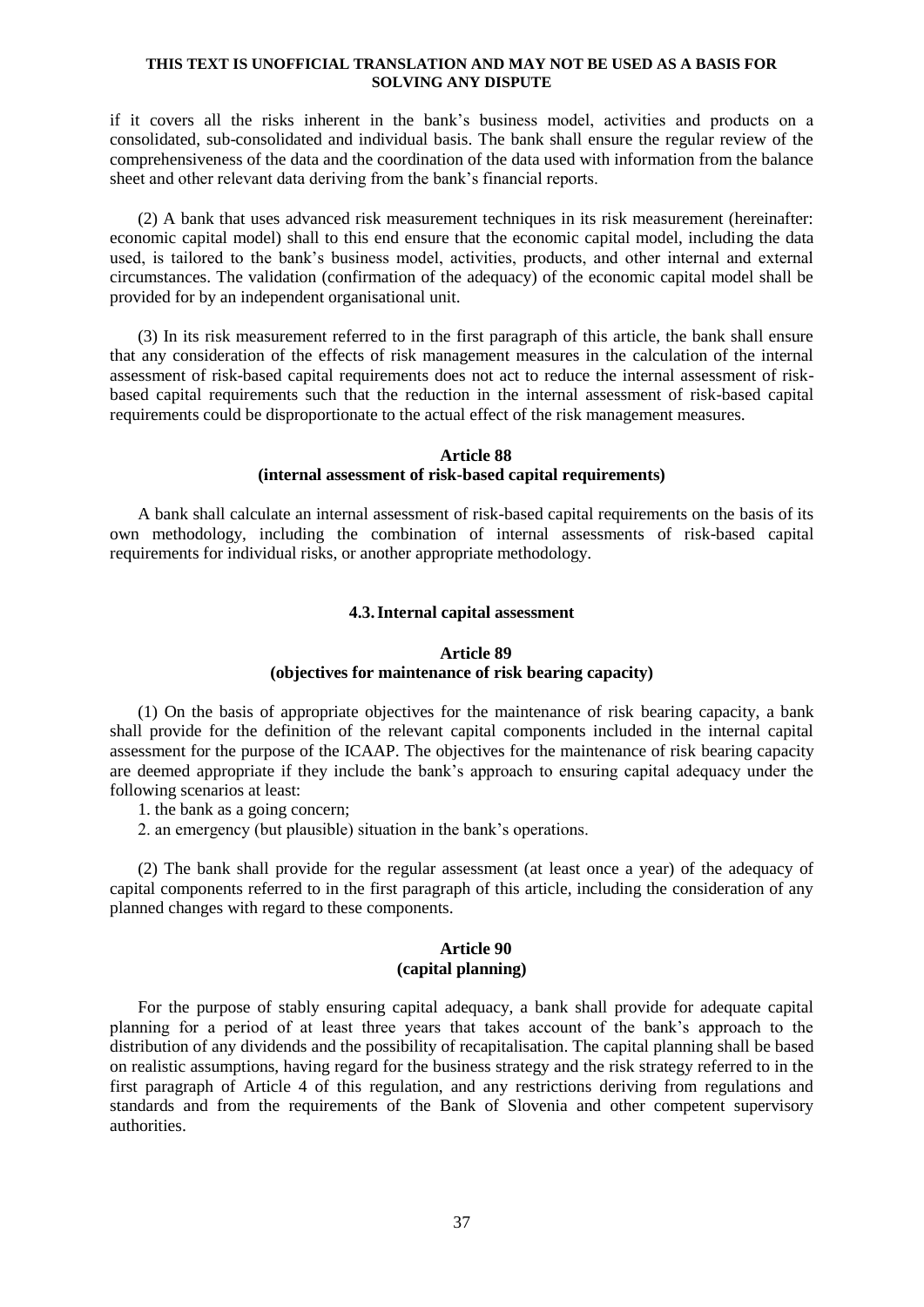if it covers all the risks inherent in the bank's business model, activities and products on a consolidated, sub-consolidated and individual basis. The bank shall ensure the regular review of the comprehensiveness of the data and the coordination of the data used with information from the balance sheet and other relevant data deriving from the bank's financial reports.

(2) A bank that uses advanced risk measurement techniques in its risk measurement (hereinafter: economic capital model) shall to this end ensure that the economic capital model, including the data used, is tailored to the bank's business model, activities, products, and other internal and external circumstances. The validation (confirmation of the adequacy) of the economic capital model shall be provided for by an independent organisational unit.

(3) In its risk measurement referred to in the first paragraph of this article, the bank shall ensure that any consideration of the effects of risk management measures in the calculation of the internal assessment of risk-based capital requirements does not act to reduce the internal assessment of riskbased capital requirements such that the reduction in the internal assessment of risk-based capital requirements could be disproportionate to the actual effect of the risk management measures.

## **Article 88 (internal assessment of risk-based capital requirements)**

A bank shall calculate an internal assessment of risk-based capital requirements on the basis of its own methodology, including the combination of internal assessments of risk-based capital requirements for individual risks, or another appropriate methodology.

#### **4.3.Internal capital assessment**

## **Article 89 (objectives for maintenance of risk bearing capacity)**

(1) On the basis of appropriate objectives for the maintenance of risk bearing capacity, a bank shall provide for the definition of the relevant capital components included in the internal capital assessment for the purpose of the ICAAP. The objectives for the maintenance of risk bearing capacity are deemed appropriate if they include the bank's approach to ensuring capital adequacy under the following scenarios at least:

1. the bank as a going concern;

2. an emergency (but plausible) situation in the bank's operations.

(2) The bank shall provide for the regular assessment (at least once a year) of the adequacy of capital components referred to in the first paragraph of this article, including the consideration of any planned changes with regard to these components.

## **Article 90 (capital planning)**

For the purpose of stably ensuring capital adequacy, a bank shall provide for adequate capital planning for a period of at least three years that takes account of the bank's approach to the distribution of any dividends and the possibility of recapitalisation. The capital planning shall be based on realistic assumptions, having regard for the business strategy and the risk strategy referred to in the first paragraph of Article 4 of this regulation, and any restrictions deriving from regulations and standards and from the requirements of the Bank of Slovenia and other competent supervisory authorities.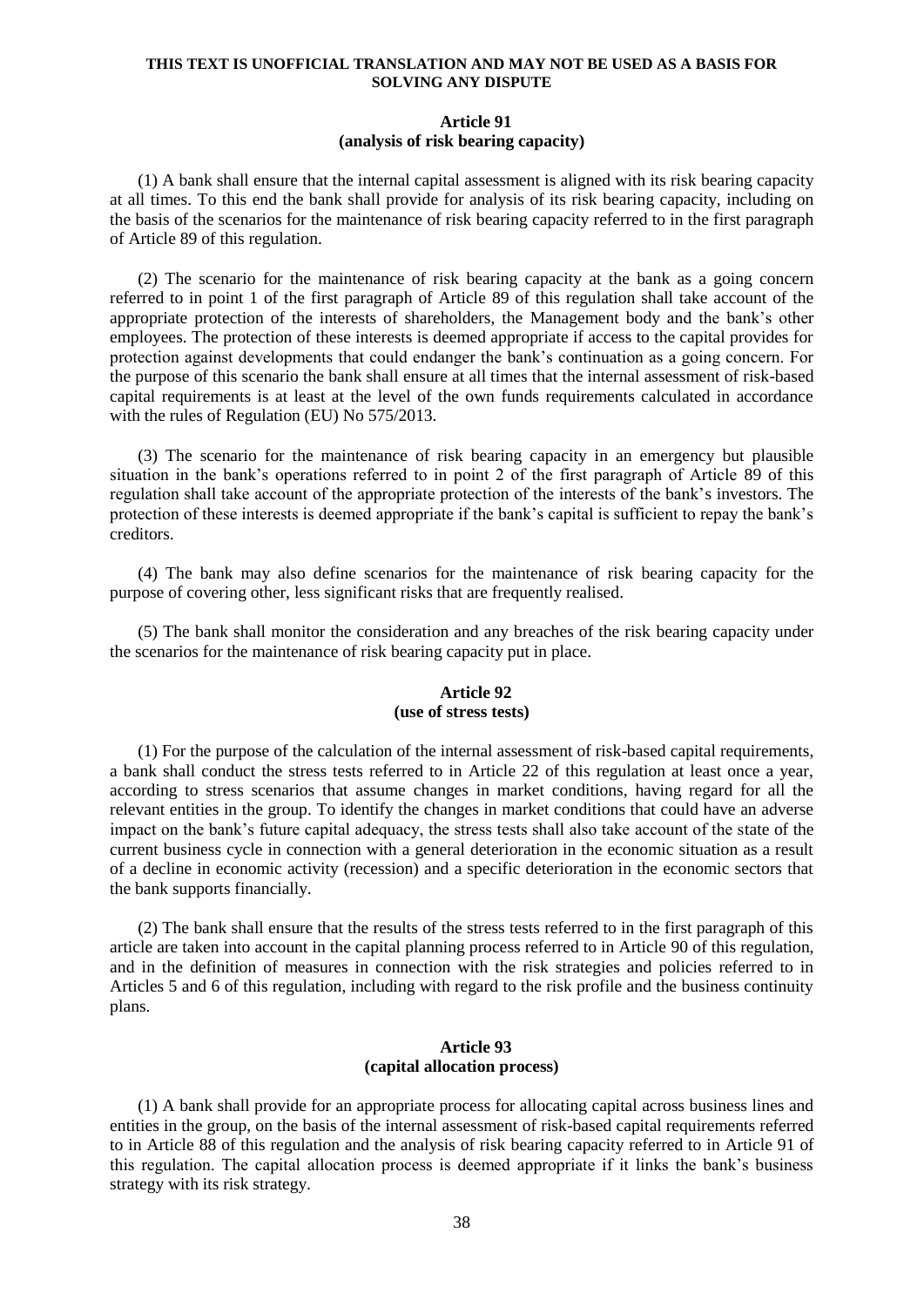## **Article 91 (analysis of risk bearing capacity)**

(1) A bank shall ensure that the internal capital assessment is aligned with its risk bearing capacity at all times. To this end the bank shall provide for analysis of its risk bearing capacity, including on the basis of the scenarios for the maintenance of risk bearing capacity referred to in the first paragraph of Article 89 of this regulation.

(2) The scenario for the maintenance of risk bearing capacity at the bank as a going concern referred to in point 1 of the first paragraph of Article 89 of this regulation shall take account of the appropriate protection of the interests of shareholders, the Management body and the bank's other employees. The protection of these interests is deemed appropriate if access to the capital provides for protection against developments that could endanger the bank's continuation as a going concern. For the purpose of this scenario the bank shall ensure at all times that the internal assessment of risk-based capital requirements is at least at the level of the own funds requirements calculated in accordance with the rules of Regulation (EU) No 575/2013.

(3) The scenario for the maintenance of risk bearing capacity in an emergency but plausible situation in the bank's operations referred to in point 2 of the first paragraph of Article 89 of this regulation shall take account of the appropriate protection of the interests of the bank's investors. The protection of these interests is deemed appropriate if the bank's capital is sufficient to repay the bank's creditors.

(4) The bank may also define scenarios for the maintenance of risk bearing capacity for the purpose of covering other, less significant risks that are frequently realised.

(5) The bank shall monitor the consideration and any breaches of the risk bearing capacity under the scenarios for the maintenance of risk bearing capacity put in place.

## **Article 92 (use of stress tests)**

(1) For the purpose of the calculation of the internal assessment of risk-based capital requirements, a bank shall conduct the stress tests referred to in Article 22 of this regulation at least once a year, according to stress scenarios that assume changes in market conditions, having regard for all the relevant entities in the group. To identify the changes in market conditions that could have an adverse impact on the bank's future capital adequacy, the stress tests shall also take account of the state of the current business cycle in connection with a general deterioration in the economic situation as a result of a decline in economic activity (recession) and a specific deterioration in the economic sectors that the bank supports financially.

(2) The bank shall ensure that the results of the stress tests referred to in the first paragraph of this article are taken into account in the capital planning process referred to in Article 90 of this regulation, and in the definition of measures in connection with the risk strategies and policies referred to in Articles 5 and 6 of this regulation, including with regard to the risk profile and the business continuity plans.

### **Article 93 (capital allocation process)**

(1) A bank shall provide for an appropriate process for allocating capital across business lines and entities in the group, on the basis of the internal assessment of risk-based capital requirements referred to in Article 88 of this regulation and the analysis of risk bearing capacity referred to in Article 91 of this regulation. The capital allocation process is deemed appropriate if it links the bank's business strategy with its risk strategy.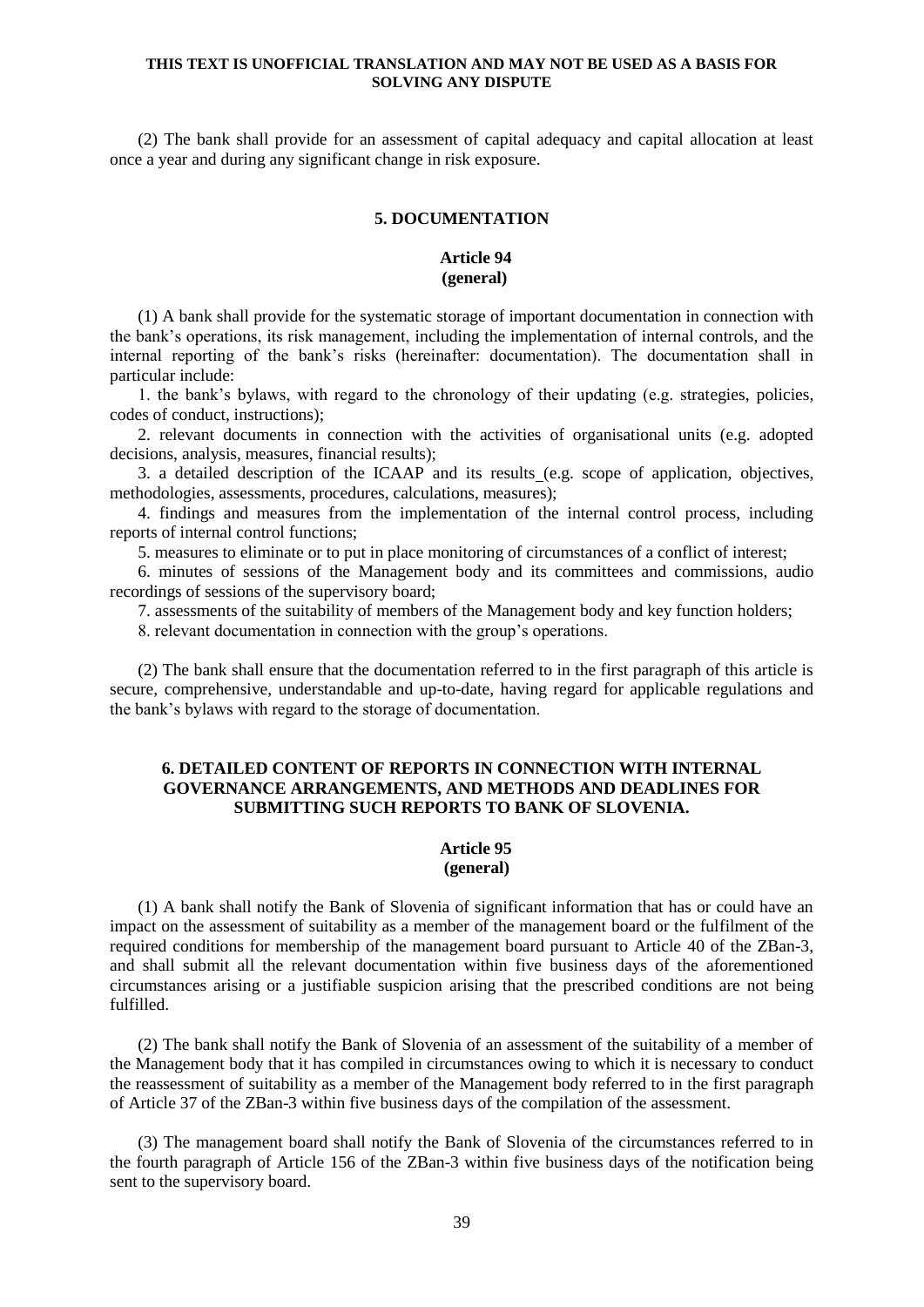(2) The bank shall provide for an assessment of capital adequacy and capital allocation at least once a year and during any significant change in risk exposure.

## **5. DOCUMENTATION**

### **Article 94 (general)**

(1) A bank shall provide for the systematic storage of important documentation in connection with the bank's operations, its risk management, including the implementation of internal controls, and the internal reporting of the bank's risks (hereinafter: documentation). The documentation shall in particular include:

1. the bank's bylaws, with regard to the chronology of their updating (e.g. strategies, policies, codes of conduct, instructions);

2. relevant documents in connection with the activities of organisational units (e.g. adopted decisions, analysis, measures, financial results);

3. a detailed description of the ICAAP and its results (e.g. scope of application, objectives, methodologies, assessments, procedures, calculations, measures);

4. findings and measures from the implementation of the internal control process, including reports of internal control functions;

5. measures to eliminate or to put in place monitoring of circumstances of a conflict of interest;

6. minutes of sessions of the Management body and its committees and commissions, audio recordings of sessions of the supervisory board;

7. assessments of the suitability of members of the Management body and key function holders;

8. relevant documentation in connection with the group's operations.

(2) The bank shall ensure that the documentation referred to in the first paragraph of this article is secure, comprehensive, understandable and up-to-date, having regard for applicable regulations and the bank's bylaws with regard to the storage of documentation.

## **6. DETAILED CONTENT OF REPORTS IN CONNECTION WITH INTERNAL GOVERNANCE ARRANGEMENTS, AND METHODS AND DEADLINES FOR SUBMITTING SUCH REPORTS TO BANK OF SLOVENIA.**

## **Article 95**

## **(general)**

(1) A bank shall notify the Bank of Slovenia of significant information that has or could have an impact on the assessment of suitability as a member of the management board or the fulfilment of the required conditions for membership of the management board pursuant to Article 40 of the ZBan-3, and shall submit all the relevant documentation within five business days of the aforementioned circumstances arising or a justifiable suspicion arising that the prescribed conditions are not being fulfilled.

(2) The bank shall notify the Bank of Slovenia of an assessment of the suitability of a member of the Management body that it has compiled in circumstances owing to which it is necessary to conduct the reassessment of suitability as a member of the Management body referred to in the first paragraph of Article 37 of the ZBan-3 within five business days of the compilation of the assessment.

(3) The management board shall notify the Bank of Slovenia of the circumstances referred to in the fourth paragraph of Article 156 of the ZBan-3 within five business days of the notification being sent to the supervisory board.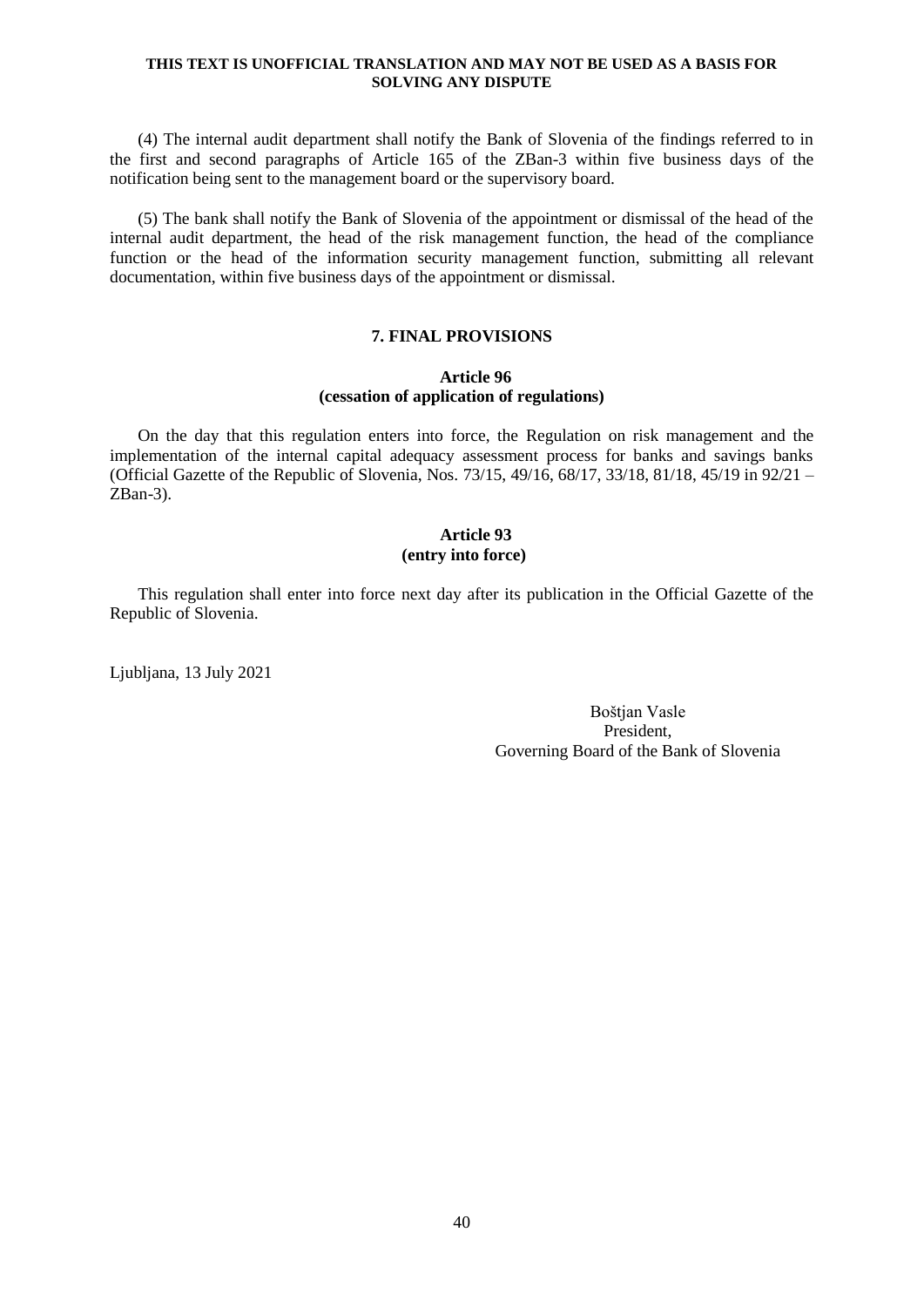(4) The internal audit department shall notify the Bank of Slovenia of the findings referred to in the first and second paragraphs of Article 165 of the ZBan-3 within five business days of the notification being sent to the management board or the supervisory board.

(5) The bank shall notify the Bank of Slovenia of the appointment or dismissal of the head of the internal audit department, the head of the risk management function, the head of the compliance function or the head of the information security management function, submitting all relevant documentation, within five business days of the appointment or dismissal.

### **7. FINAL PROVISIONS**

## **Article 96 (cessation of application of regulations)**

On the day that this regulation enters into force, the Regulation on risk management and the implementation of the internal capital adequacy assessment process for banks and savings banks (Official Gazette of the Republic of Slovenia, Nos.  $73/15$ ,  $49/16$ ,  $68/17$ ,  $33/18$ ,  $81/18$ ,  $45/19$  in  $92/21$  – ZBan-3).

## **Article 93 (entry into force)**

This regulation shall enter into force next day after its publication in the Official Gazette of the Republic of Slovenia.

Ljubljana, 13 July 2021

Boštjan Vasle President, Governing Board of the Bank of Slovenia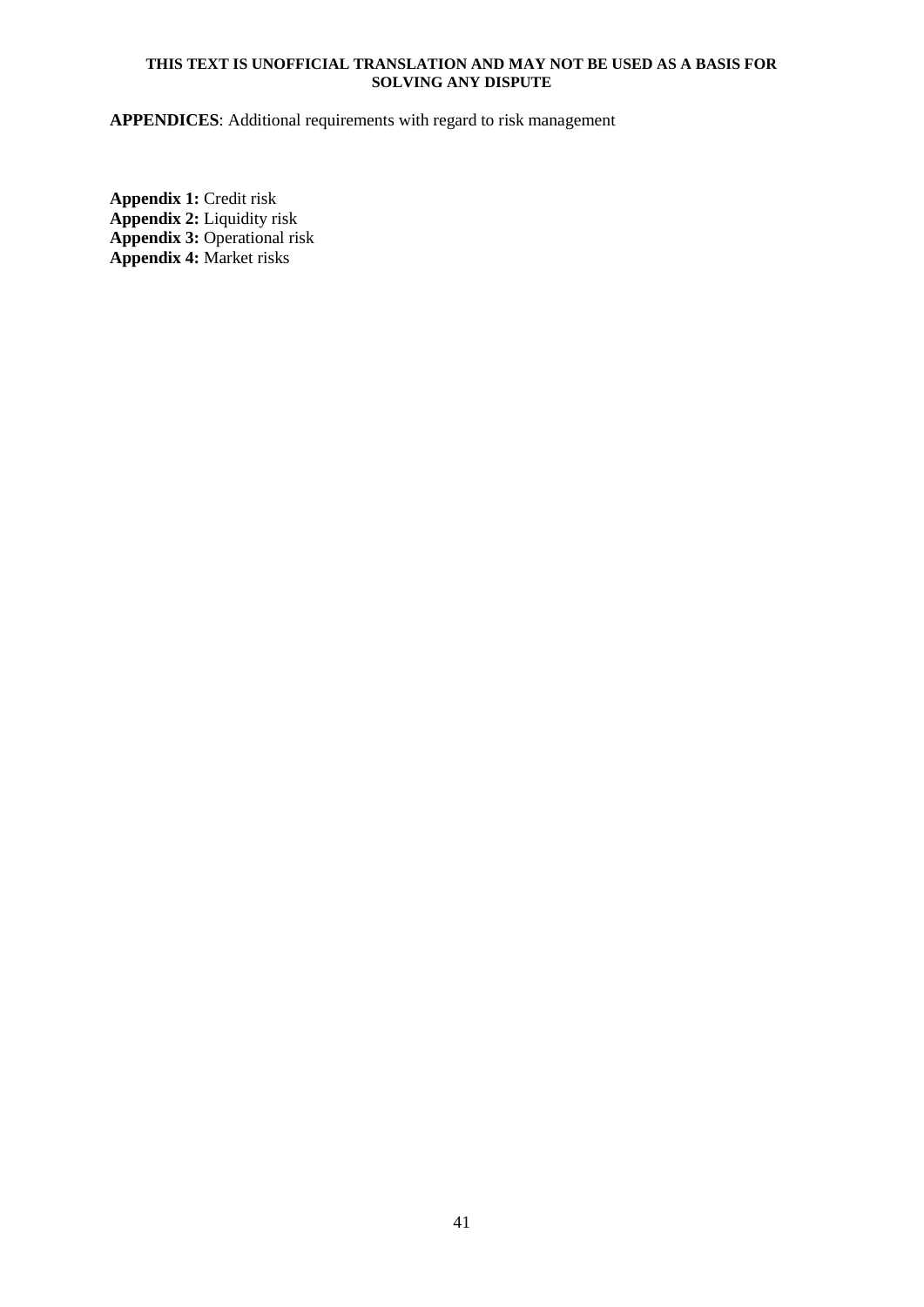**APPENDICES**: Additional requirements with regard to risk management

**Appendix 1:** Credit risk **Appendix 2:** Liquidity risk **Appendix 3:** Operational risk **Appendix 4:** Market risks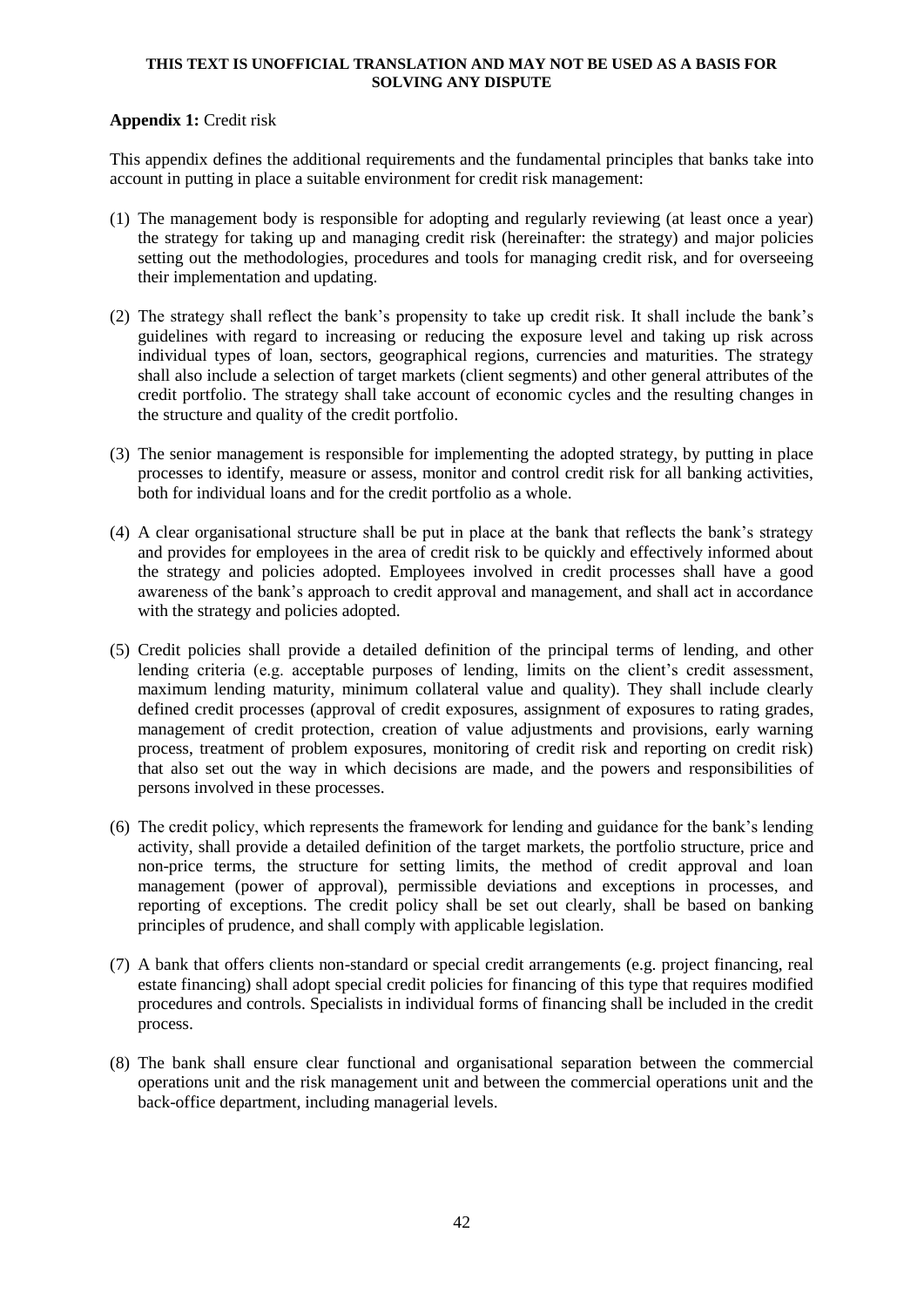## **Appendix 1:** Credit risk

This appendix defines the additional requirements and the fundamental principles that banks take into account in putting in place a suitable environment for credit risk management:

- (1) The management body is responsible for adopting and regularly reviewing (at least once a year) the strategy for taking up and managing credit risk (hereinafter: the strategy) and major policies setting out the methodologies, procedures and tools for managing credit risk, and for overseeing their implementation and updating.
- (2) The strategy shall reflect the bank's propensity to take up credit risk. It shall include the bank's guidelines with regard to increasing or reducing the exposure level and taking up risk across individual types of loan, sectors, geographical regions, currencies and maturities. The strategy shall also include a selection of target markets (client segments) and other general attributes of the credit portfolio. The strategy shall take account of economic cycles and the resulting changes in the structure and quality of the credit portfolio.
- (3) The senior management is responsible for implementing the adopted strategy, by putting in place processes to identify, measure or assess, monitor and control credit risk for all banking activities, both for individual loans and for the credit portfolio as a whole.
- (4) A clear organisational structure shall be put in place at the bank that reflects the bank's strategy and provides for employees in the area of credit risk to be quickly and effectively informed about the strategy and policies adopted. Employees involved in credit processes shall have a good awareness of the bank's approach to credit approval and management, and shall act in accordance with the strategy and policies adopted.
- (5) Credit policies shall provide a detailed definition of the principal terms of lending, and other lending criteria (e.g. acceptable purposes of lending, limits on the client's credit assessment, maximum lending maturity, minimum collateral value and quality). They shall include clearly defined credit processes (approval of credit exposures, assignment of exposures to rating grades, management of credit protection, creation of value adjustments and provisions, early warning process, treatment of problem exposures, monitoring of credit risk and reporting on credit risk) that also set out the way in which decisions are made, and the powers and responsibilities of persons involved in these processes.
- (6) The credit policy, which represents the framework for lending and guidance for the bank's lending activity, shall provide a detailed definition of the target markets, the portfolio structure, price and non-price terms, the structure for setting limits, the method of credit approval and loan management (power of approval), permissible deviations and exceptions in processes, and reporting of exceptions. The credit policy shall be set out clearly, shall be based on banking principles of prudence, and shall comply with applicable legislation.
- (7) A bank that offers clients non-standard or special credit arrangements (e.g. project financing, real estate financing) shall adopt special credit policies for financing of this type that requires modified procedures and controls. Specialists in individual forms of financing shall be included in the credit process.
- (8) The bank shall ensure clear functional and organisational separation between the commercial operations unit and the risk management unit and between the commercial operations unit and the back-office department, including managerial levels.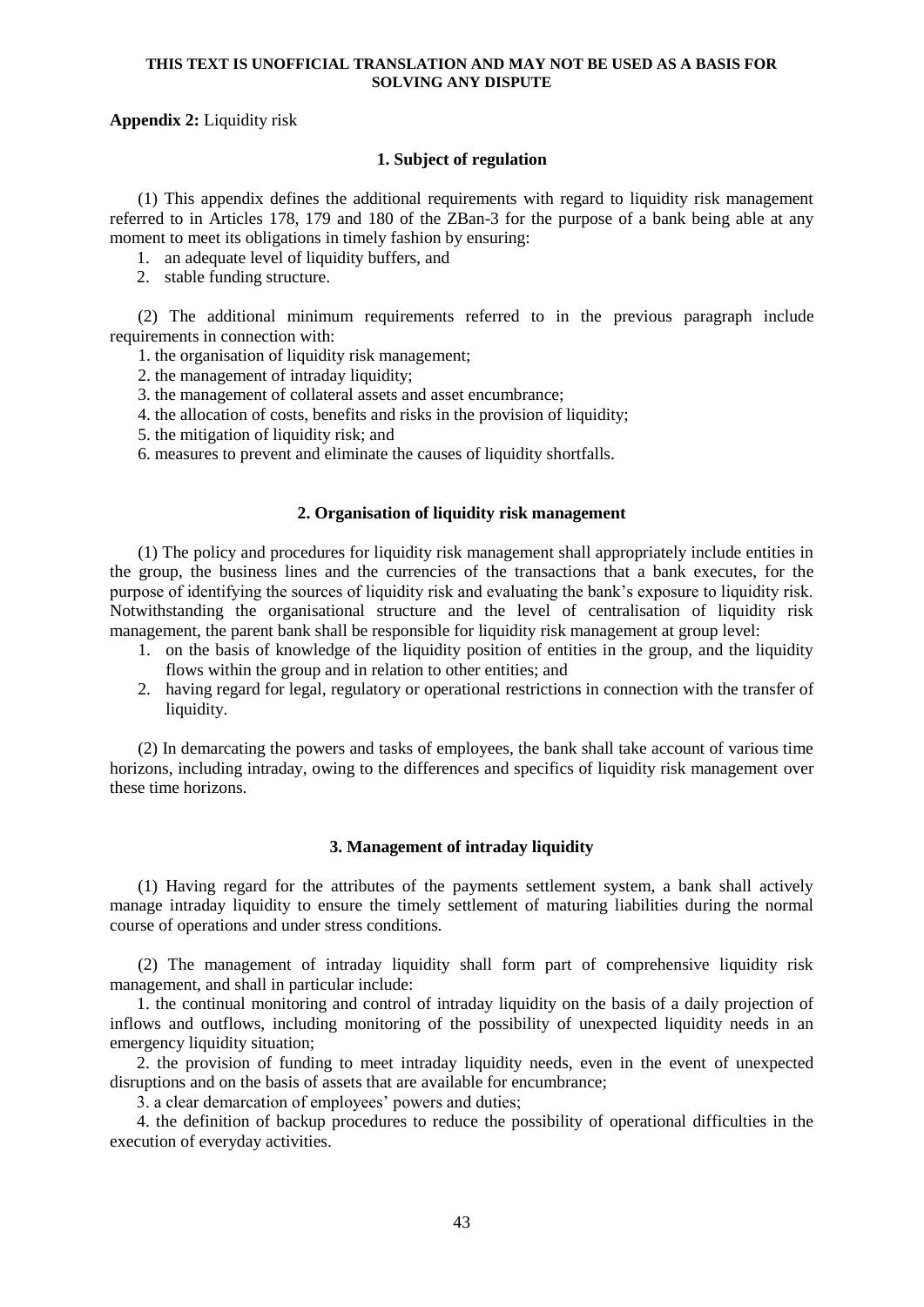## **Appendix 2:** Liquidity risk

## **1. Subject of regulation**

(1) This appendix defines the additional requirements with regard to liquidity risk management referred to in Articles 178, 179 and 180 of the ZBan-3 for the purpose of a bank being able at any moment to meet its obligations in timely fashion by ensuring:

- 1. an adequate level of liquidity buffers, and
- 2. stable funding structure.

(2) The additional minimum requirements referred to in the previous paragraph include requirements in connection with:

1. the organisation of liquidity risk management;

2. the management of intraday liquidity;

- 3. the management of collateral assets and asset encumbrance;
- 4. the allocation of costs, benefits and risks in the provision of liquidity;
- 5. the mitigation of liquidity risk; and

6. measures to prevent and eliminate the causes of liquidity shortfalls.

#### **2. Organisation of liquidity risk management**

(1) The policy and procedures for liquidity risk management shall appropriately include entities in the group, the business lines and the currencies of the transactions that a bank executes, for the purpose of identifying the sources of liquidity risk and evaluating the bank's exposure to liquidity risk. Notwithstanding the organisational structure and the level of centralisation of liquidity risk management, the parent bank shall be responsible for liquidity risk management at group level:

- 1. on the basis of knowledge of the liquidity position of entities in the group, and the liquidity flows within the group and in relation to other entities; and
- 2. having regard for legal, regulatory or operational restrictions in connection with the transfer of liquidity.

(2) In demarcating the powers and tasks of employees, the bank shall take account of various time horizons, including intraday, owing to the differences and specifics of liquidity risk management over these time horizons.

## **3. Management of intraday liquidity**

(1) Having regard for the attributes of the payments settlement system, a bank shall actively manage intraday liquidity to ensure the timely settlement of maturing liabilities during the normal course of operations and under stress conditions.

(2) The management of intraday liquidity shall form part of comprehensive liquidity risk management, and shall in particular include:

1. the continual monitoring and control of intraday liquidity on the basis of a daily projection of inflows and outflows, including monitoring of the possibility of unexpected liquidity needs in an emergency liquidity situation;

2. the provision of funding to meet intraday liquidity needs, even in the event of unexpected disruptions and on the basis of assets that are available for encumbrance;

3. a clear demarcation of employees' powers and duties;

4. the definition of backup procedures to reduce the possibility of operational difficulties in the execution of everyday activities.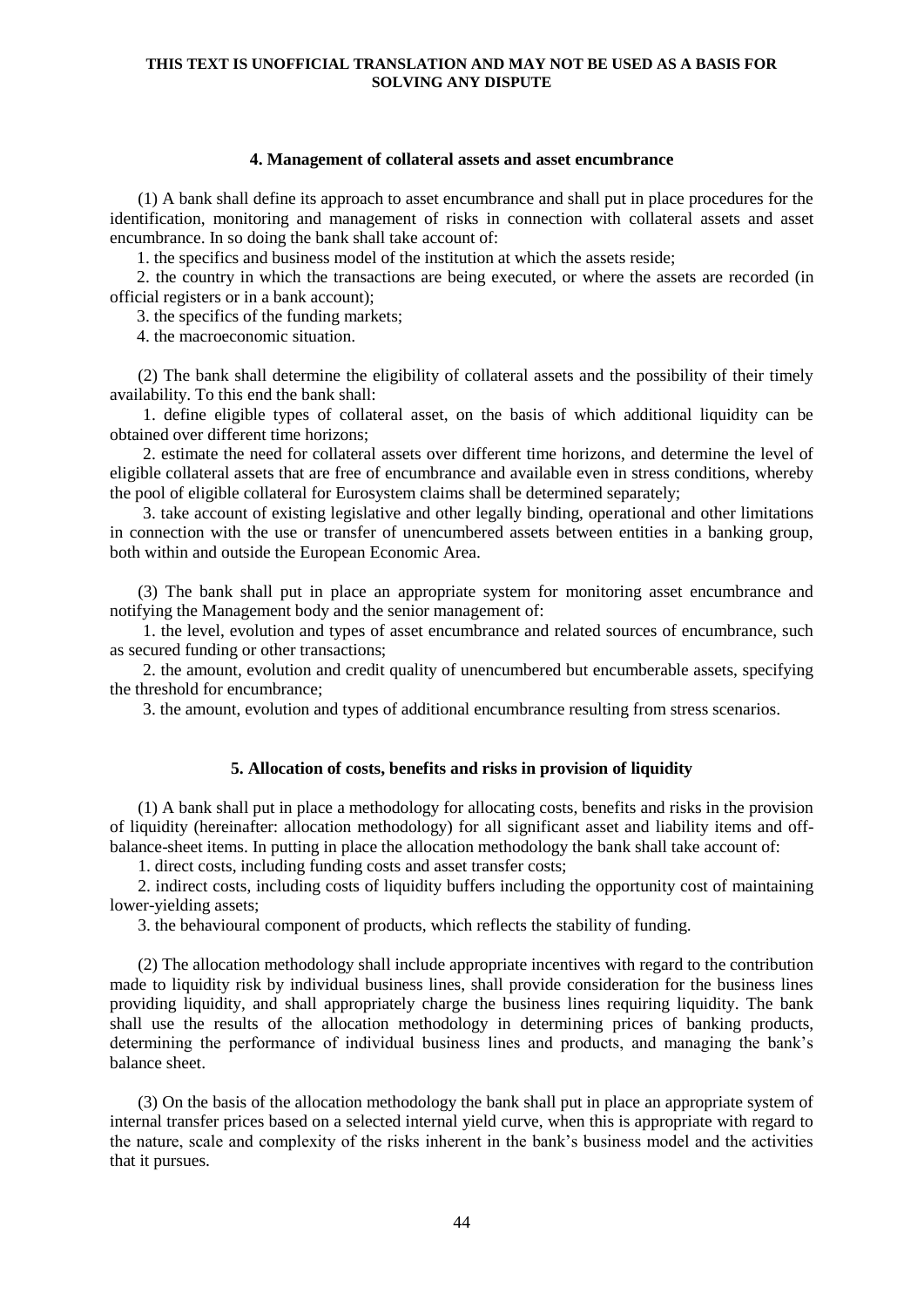#### **4. Management of collateral assets and asset encumbrance**

(1) A bank shall define its approach to asset encumbrance and shall put in place procedures for the identification, monitoring and management of risks in connection with collateral assets and asset encumbrance. In so doing the bank shall take account of:

1. the specifics and business model of the institution at which the assets reside;

2. the country in which the transactions are being executed, or where the assets are recorded (in official registers or in a bank account);

3. the specifics of the funding markets;

4. the macroeconomic situation.

(2) The bank shall determine the eligibility of collateral assets and the possibility of their timely availability. To this end the bank shall:

1. define eligible types of collateral asset, on the basis of which additional liquidity can be obtained over different time horizons;

2. estimate the need for collateral assets over different time horizons, and determine the level of eligible collateral assets that are free of encumbrance and available even in stress conditions, whereby the pool of eligible collateral for Eurosystem claims shall be determined separately;

3. take account of existing legislative and other legally binding, operational and other limitations in connection with the use or transfer of unencumbered assets between entities in a banking group, both within and outside the European Economic Area.

(3) The bank shall put in place an appropriate system for monitoring asset encumbrance and notifying the Management body and the senior management of:

1. the level, evolution and types of asset encumbrance and related sources of encumbrance, such as secured funding or other transactions;

2. the amount, evolution and credit quality of unencumbered but encumberable assets, specifying the threshold for encumbrance;

3. the amount, evolution and types of additional encumbrance resulting from stress scenarios.

## **5. Allocation of costs, benefits and risks in provision of liquidity**

(1) A bank shall put in place a methodology for allocating costs, benefits and risks in the provision of liquidity (hereinafter: allocation methodology) for all significant asset and liability items and offbalance-sheet items. In putting in place the allocation methodology the bank shall take account of:

1. direct costs, including funding costs and asset transfer costs;

2. indirect costs, including costs of liquidity buffers including the opportunity cost of maintaining lower-yielding assets;

3. the behavioural component of products, which reflects the stability of funding.

(2) The allocation methodology shall include appropriate incentives with regard to the contribution made to liquidity risk by individual business lines, shall provide consideration for the business lines providing liquidity, and shall appropriately charge the business lines requiring liquidity. The bank shall use the results of the allocation methodology in determining prices of banking products, determining the performance of individual business lines and products, and managing the bank's balance sheet.

(3) On the basis of the allocation methodology the bank shall put in place an appropriate system of internal transfer prices based on a selected internal yield curve, when this is appropriate with regard to the nature, scale and complexity of the risks inherent in the bank's business model and the activities that it pursues.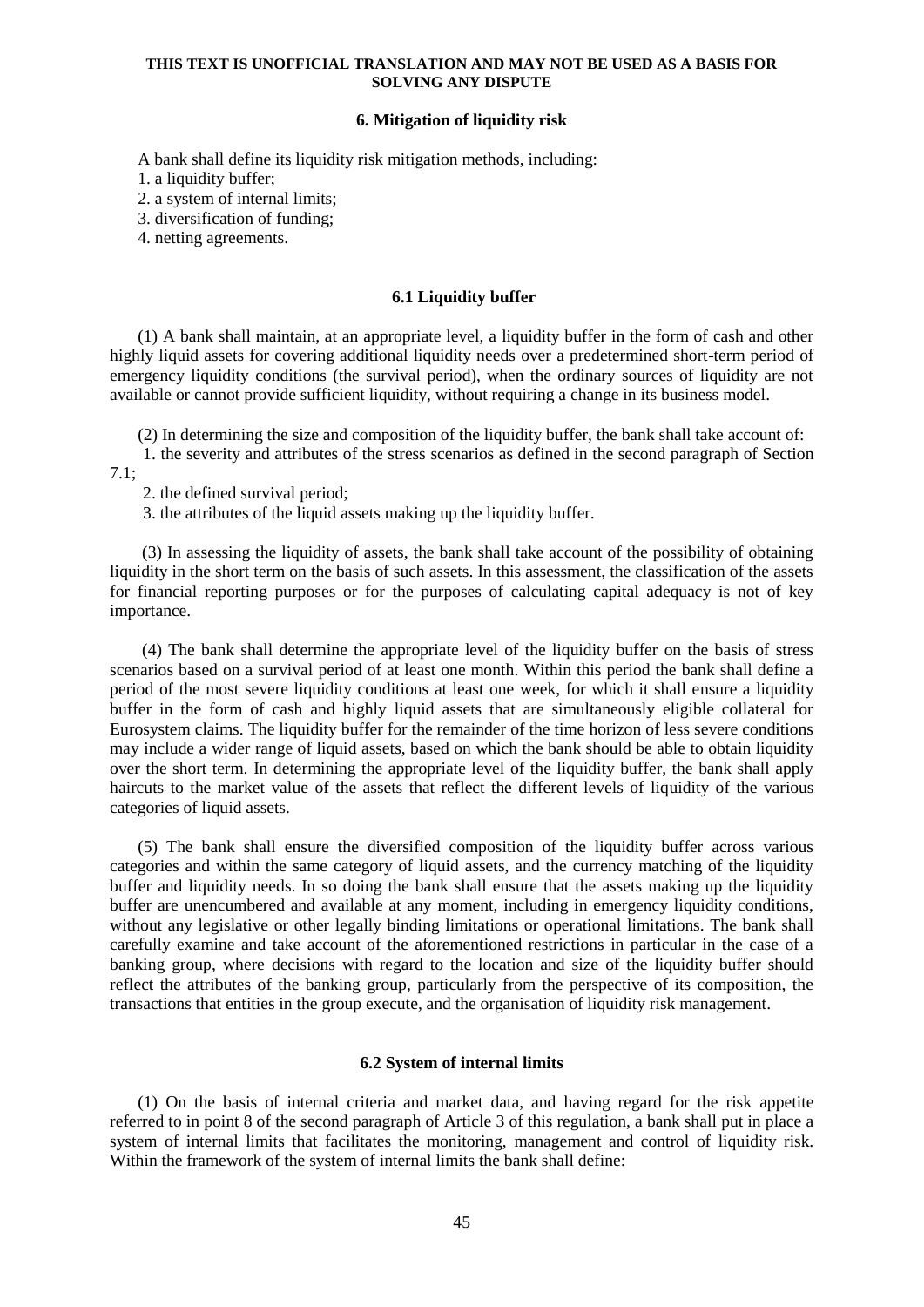## **6. Mitigation of liquidity risk**

A bank shall define its liquidity risk mitigation methods, including:

1. a liquidity buffer;

2. a system of internal limits;

3. diversification of funding;

4. netting agreements.

## **6.1 Liquidity buffer**

(1) A bank shall maintain, at an appropriate level, a liquidity buffer in the form of cash and other highly liquid assets for covering additional liquidity needs over a predetermined short-term period of emergency liquidity conditions (the survival period), when the ordinary sources of liquidity are not available or cannot provide sufficient liquidity, without requiring a change in its business model.

(2) In determining the size and composition of the liquidity buffer, the bank shall take account of:

1. the severity and attributes of the stress scenarios as defined in the second paragraph of Section 7.1;

2. the defined survival period;

3. the attributes of the liquid assets making up the liquidity buffer.

(3) In assessing the liquidity of assets, the bank shall take account of the possibility of obtaining liquidity in the short term on the basis of such assets. In this assessment, the classification of the assets for financial reporting purposes or for the purposes of calculating capital adequacy is not of key importance.

(4) The bank shall determine the appropriate level of the liquidity buffer on the basis of stress scenarios based on a survival period of at least one month. Within this period the bank shall define a period of the most severe liquidity conditions at least one week, for which it shall ensure a liquidity buffer in the form of cash and highly liquid assets that are simultaneously eligible collateral for Eurosystem claims. The liquidity buffer for the remainder of the time horizon of less severe conditions may include a wider range of liquid assets, based on which the bank should be able to obtain liquidity over the short term. In determining the appropriate level of the liquidity buffer, the bank shall apply haircuts to the market value of the assets that reflect the different levels of liquidity of the various categories of liquid assets.

(5) The bank shall ensure the diversified composition of the liquidity buffer across various categories and within the same category of liquid assets, and the currency matching of the liquidity buffer and liquidity needs. In so doing the bank shall ensure that the assets making up the liquidity buffer are unencumbered and available at any moment, including in emergency liquidity conditions, without any legislative or other legally binding limitations or operational limitations. The bank shall carefully examine and take account of the aforementioned restrictions in particular in the case of a banking group, where decisions with regard to the location and size of the liquidity buffer should reflect the attributes of the banking group, particularly from the perspective of its composition, the transactions that entities in the group execute, and the organisation of liquidity risk management.

## **6.2 System of internal limits**

(1) On the basis of internal criteria and market data, and having regard for the risk appetite referred to in point 8 of the second paragraph of Article 3 of this regulation, a bank shall put in place a system of internal limits that facilitates the monitoring, management and control of liquidity risk. Within the framework of the system of internal limits the bank shall define: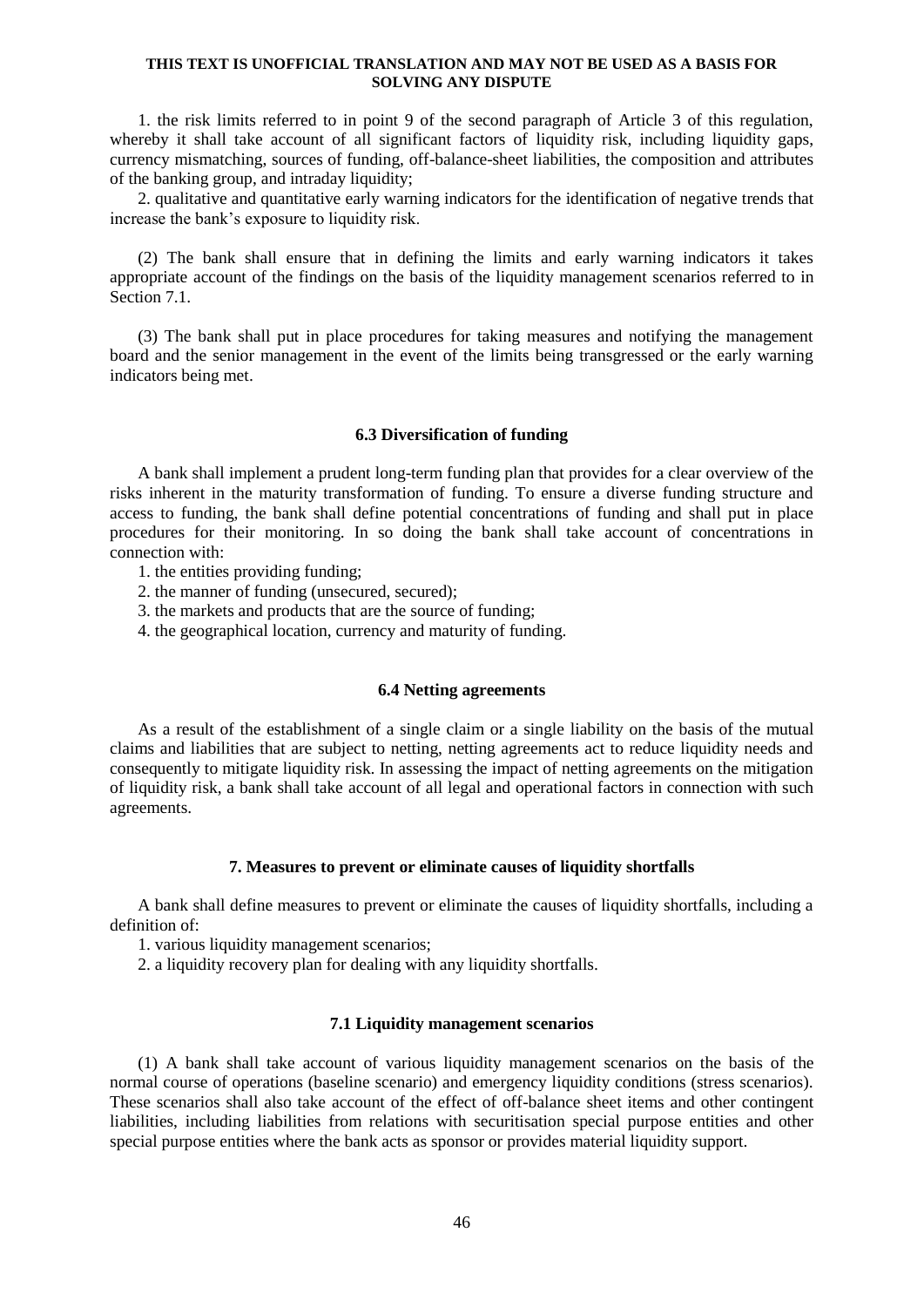1. the risk limits referred to in point 9 of the second paragraph of Article 3 of this regulation, whereby it shall take account of all significant factors of liquidity risk, including liquidity gaps, currency mismatching, sources of funding, off-balance-sheet liabilities, the composition and attributes of the banking group, and intraday liquidity;

2. qualitative and quantitative early warning indicators for the identification of negative trends that increase the bank's exposure to liquidity risk.

(2) The bank shall ensure that in defining the limits and early warning indicators it takes appropriate account of the findings on the basis of the liquidity management scenarios referred to in Section 7.1.

(3) The bank shall put in place procedures for taking measures and notifying the management board and the senior management in the event of the limits being transgressed or the early warning indicators being met.

## **6.3 Diversification of funding**

A bank shall implement a prudent long-term funding plan that provides for a clear overview of the risks inherent in the maturity transformation of funding. To ensure a diverse funding structure and access to funding, the bank shall define potential concentrations of funding and shall put in place procedures for their monitoring. In so doing the bank shall take account of concentrations in connection with:

1. the entities providing funding;

2. the manner of funding (unsecured, secured);

3. the markets and products that are the source of funding;

4. the geographical location, currency and maturity of funding.

### **6.4 Netting agreements**

As a result of the establishment of a single claim or a single liability on the basis of the mutual claims and liabilities that are subject to netting, netting agreements act to reduce liquidity needs and consequently to mitigate liquidity risk. In assessing the impact of netting agreements on the mitigation of liquidity risk, a bank shall take account of all legal and operational factors in connection with such agreements.

#### **7. Measures to prevent or eliminate causes of liquidity shortfalls**

A bank shall define measures to prevent or eliminate the causes of liquidity shortfalls, including a definition of:

1. various liquidity management scenarios;

2. a liquidity recovery plan for dealing with any liquidity shortfalls.

#### **7.1 Liquidity management scenarios**

(1) A bank shall take account of various liquidity management scenarios on the basis of the normal course of operations (baseline scenario) and emergency liquidity conditions (stress scenarios). These scenarios shall also take account of the effect of off-balance sheet items and other contingent liabilities, including liabilities from relations with securitisation special purpose entities and other special purpose entities where the bank acts as sponsor or provides material liquidity support.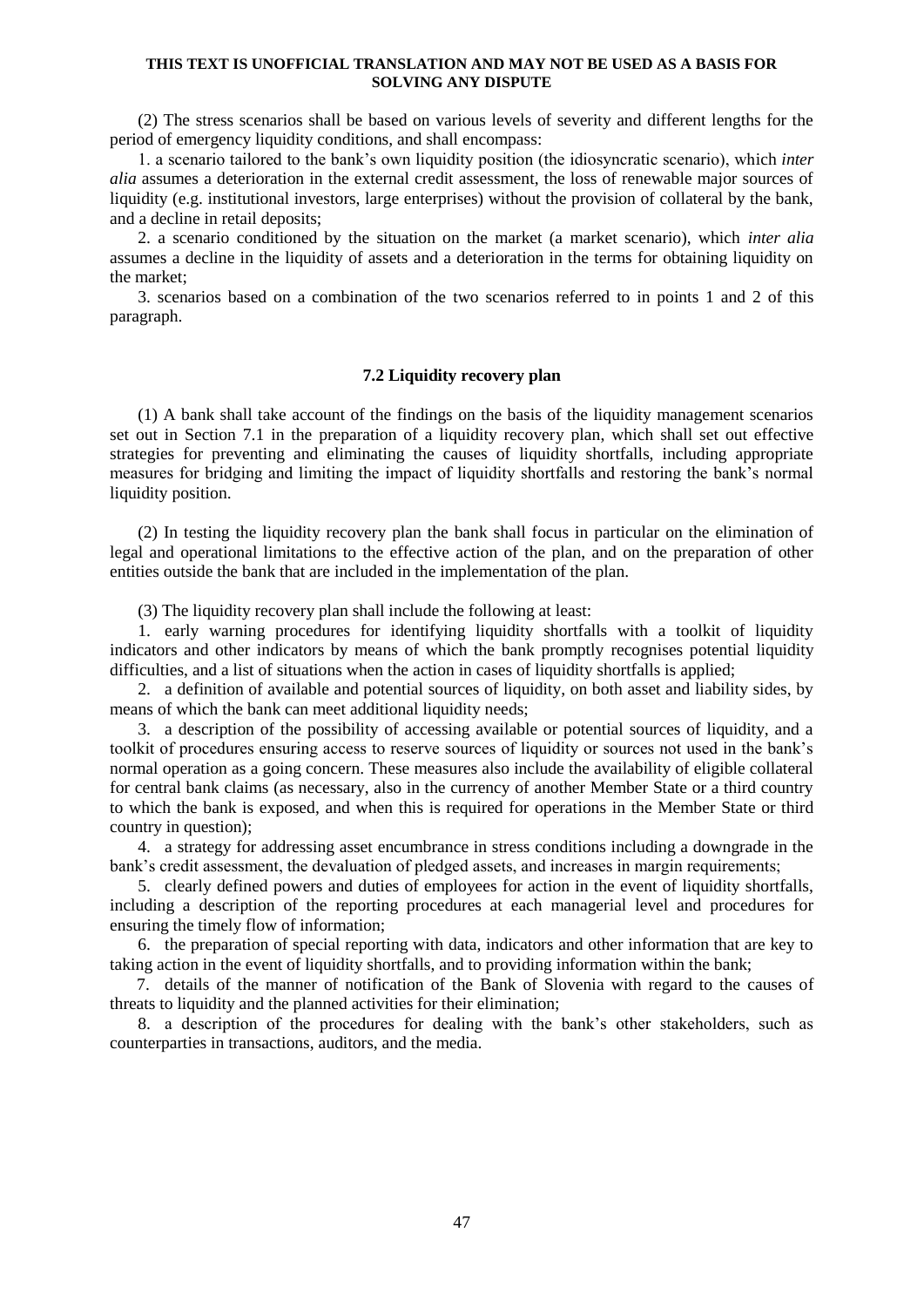(2) The stress scenarios shall be based on various levels of severity and different lengths for the period of emergency liquidity conditions, and shall encompass:

1. a scenario tailored to the bank's own liquidity position (the idiosyncratic scenario), which *inter alia* assumes a deterioration in the external credit assessment, the loss of renewable major sources of liquidity (e.g. institutional investors, large enterprises) without the provision of collateral by the bank, and a decline in retail deposits;

2. a scenario conditioned by the situation on the market (a market scenario), which *inter alia* assumes a decline in the liquidity of assets and a deterioration in the terms for obtaining liquidity on the market;

3. scenarios based on a combination of the two scenarios referred to in points 1 and 2 of this paragraph.

## **7.2 Liquidity recovery plan**

(1) A bank shall take account of the findings on the basis of the liquidity management scenarios set out in Section 7.1 in the preparation of a liquidity recovery plan, which shall set out effective strategies for preventing and eliminating the causes of liquidity shortfalls, including appropriate measures for bridging and limiting the impact of liquidity shortfalls and restoring the bank's normal liquidity position.

(2) In testing the liquidity recovery plan the bank shall focus in particular on the elimination of legal and operational limitations to the effective action of the plan, and on the preparation of other entities outside the bank that are included in the implementation of the plan.

(3) The liquidity recovery plan shall include the following at least:

1. early warning procedures for identifying liquidity shortfalls with a toolkit of liquidity indicators and other indicators by means of which the bank promptly recognises potential liquidity difficulties, and a list of situations when the action in cases of liquidity shortfalls is applied;

2. a definition of available and potential sources of liquidity, on both asset and liability sides, by means of which the bank can meet additional liquidity needs;

3. a description of the possibility of accessing available or potential sources of liquidity, and a toolkit of procedures ensuring access to reserve sources of liquidity or sources not used in the bank's normal operation as a going concern. These measures also include the availability of eligible collateral for central bank claims (as necessary, also in the currency of another Member State or a third country to which the bank is exposed, and when this is required for operations in the Member State or third country in question);

4. a strategy for addressing asset encumbrance in stress conditions including a downgrade in the bank's credit assessment, the devaluation of pledged assets, and increases in margin requirements;

5. clearly defined powers and duties of employees for action in the event of liquidity shortfalls, including a description of the reporting procedures at each managerial level and procedures for ensuring the timely flow of information;

6. the preparation of special reporting with data, indicators and other information that are key to taking action in the event of liquidity shortfalls, and to providing information within the bank;

7. details of the manner of notification of the Bank of Slovenia with regard to the causes of threats to liquidity and the planned activities for their elimination;

8. a description of the procedures for dealing with the bank's other stakeholders, such as counterparties in transactions, auditors, and the media.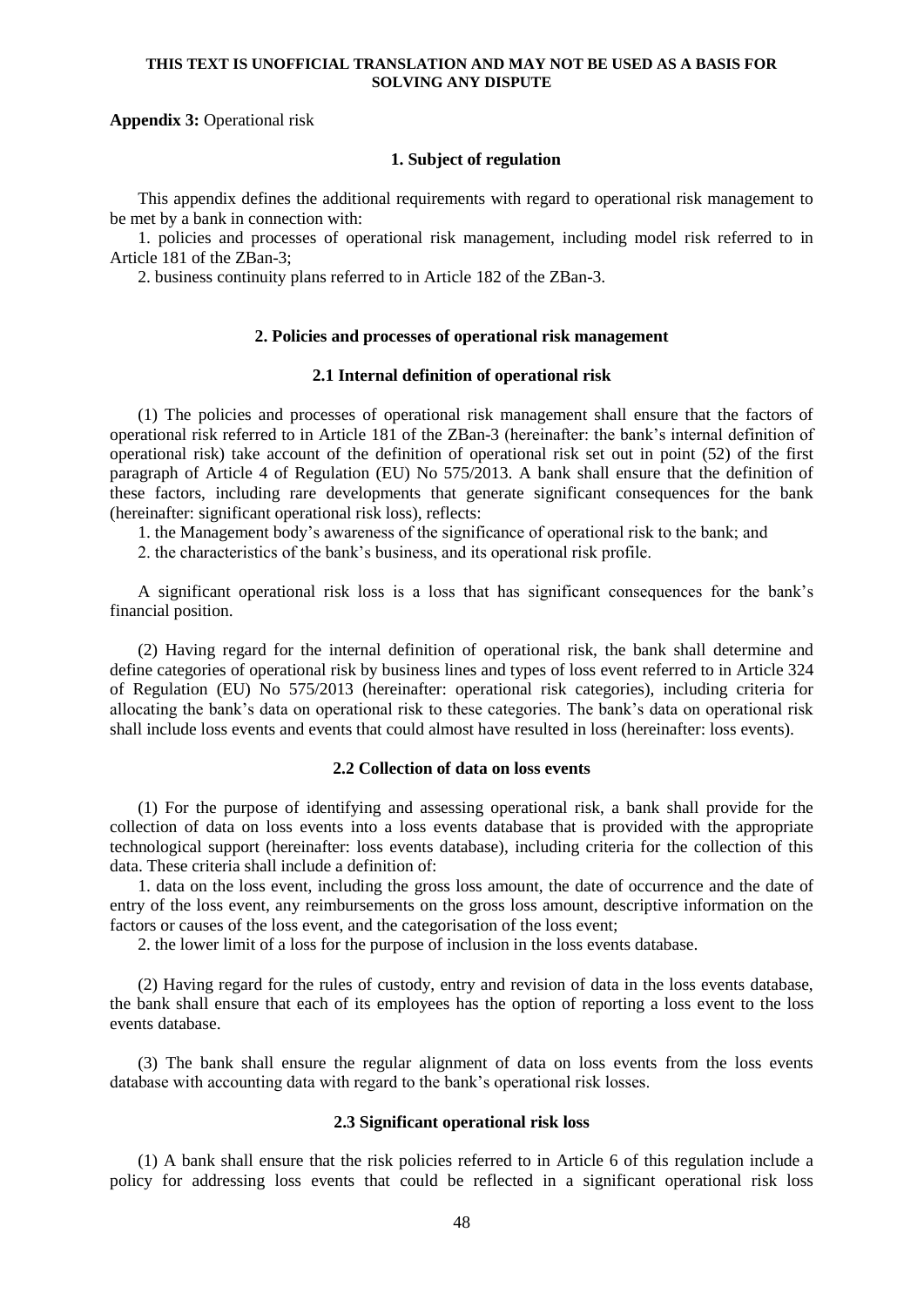## **Appendix 3:** Operational risk

### **1. Subject of regulation**

This appendix defines the additional requirements with regard to operational risk management to be met by a bank in connection with:

1. policies and processes of operational risk management, including model risk referred to in Article 181 of the ZBan-3;

2. business continuity plans referred to in Article 182 of the ZBan-3.

### **2. Policies and processes of operational risk management**

### **2.1 Internal definition of operational risk**

(1) The policies and processes of operational risk management shall ensure that the factors of operational risk referred to in Article 181 of the ZBan-3 (hereinafter: the bank's internal definition of operational risk) take account of the definition of operational risk set out in point (52) of the first paragraph of Article 4 of Regulation (EU) No 575/2013. A bank shall ensure that the definition of these factors, including rare developments that generate significant consequences for the bank (hereinafter: significant operational risk loss), reflects:

1. the Management body's awareness of the significance of operational risk to the bank; and

2. the characteristics of the bank's business, and its operational risk profile.

A significant operational risk loss is a loss that has significant consequences for the bank's financial position.

(2) Having regard for the internal definition of operational risk, the bank shall determine and define categories of operational risk by business lines and types of loss event referred to in Article 324 of Regulation (EU) No 575/2013 (hereinafter: operational risk categories), including criteria for allocating the bank's data on operational risk to these categories. The bank's data on operational risk shall include loss events and events that could almost have resulted in loss (hereinafter: loss events).

## **2.2 Collection of data on loss events**

(1) For the purpose of identifying and assessing operational risk, a bank shall provide for the collection of data on loss events into a loss events database that is provided with the appropriate technological support (hereinafter: loss events database), including criteria for the collection of this data. These criteria shall include a definition of:

1. data on the loss event, including the gross loss amount, the date of occurrence and the date of entry of the loss event, any reimbursements on the gross loss amount, descriptive information on the factors or causes of the loss event, and the categorisation of the loss event;

2. the lower limit of a loss for the purpose of inclusion in the loss events database.

(2) Having regard for the rules of custody, entry and revision of data in the loss events database, the bank shall ensure that each of its employees has the option of reporting a loss event to the loss events database.

(3) The bank shall ensure the regular alignment of data on loss events from the loss events database with accounting data with regard to the bank's operational risk losses.

### **2.3 Significant operational risk loss**

(1) A bank shall ensure that the risk policies referred to in Article 6 of this regulation include a policy for addressing loss events that could be reflected in a significant operational risk loss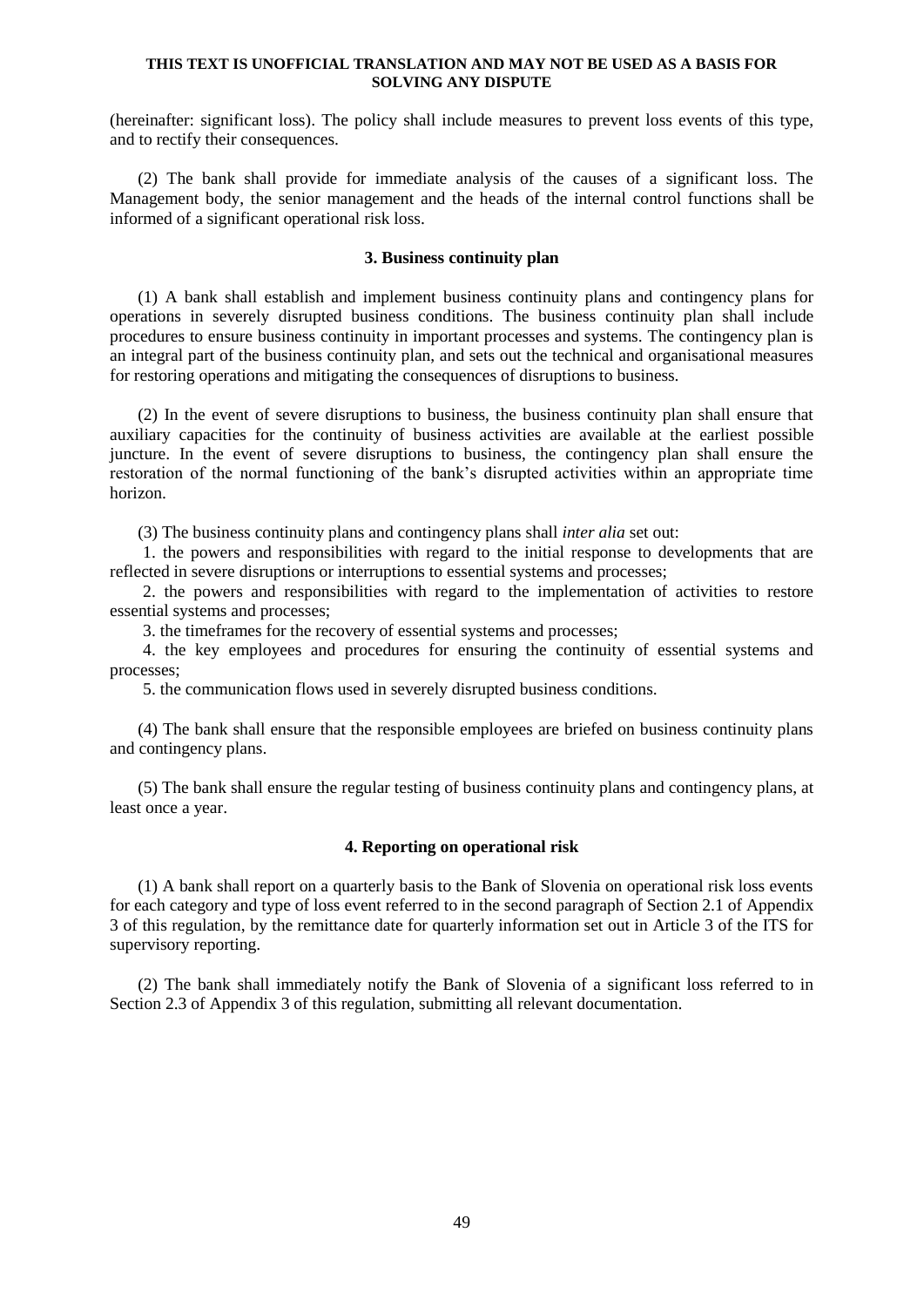(hereinafter: significant loss). The policy shall include measures to prevent loss events of this type, and to rectify their consequences.

(2) The bank shall provide for immediate analysis of the causes of a significant loss. The Management body, the senior management and the heads of the internal control functions shall be informed of a significant operational risk loss.

#### **3. Business continuity plan**

(1) A bank shall establish and implement business continuity plans and contingency plans for operations in severely disrupted business conditions. The business continuity plan shall include procedures to ensure business continuity in important processes and systems. The contingency plan is an integral part of the business continuity plan, and sets out the technical and organisational measures for restoring operations and mitigating the consequences of disruptions to business.

(2) In the event of severe disruptions to business, the business continuity plan shall ensure that auxiliary capacities for the continuity of business activities are available at the earliest possible juncture. In the event of severe disruptions to business, the contingency plan shall ensure the restoration of the normal functioning of the bank's disrupted activities within an appropriate time horizon.

(3) The business continuity plans and contingency plans shall *inter alia* set out:

1. the powers and responsibilities with regard to the initial response to developments that are reflected in severe disruptions or interruptions to essential systems and processes;

2. the powers and responsibilities with regard to the implementation of activities to restore essential systems and processes;

3. the timeframes for the recovery of essential systems and processes;

4. the key employees and procedures for ensuring the continuity of essential systems and processes;

5. the communication flows used in severely disrupted business conditions.

(4) The bank shall ensure that the responsible employees are briefed on business continuity plans and contingency plans.

(5) The bank shall ensure the regular testing of business continuity plans and contingency plans, at least once a year.

## **4. Reporting on operational risk**

(1) A bank shall report on a quarterly basis to the Bank of Slovenia on operational risk loss events for each category and type of loss event referred to in the second paragraph of Section 2.1 of Appendix 3 of this regulation, by the remittance date for quarterly information set out in Article 3 of the ITS for supervisory reporting.

(2) The bank shall immediately notify the Bank of Slovenia of a significant loss referred to in Section 2.3 of Appendix 3 of this regulation, submitting all relevant documentation.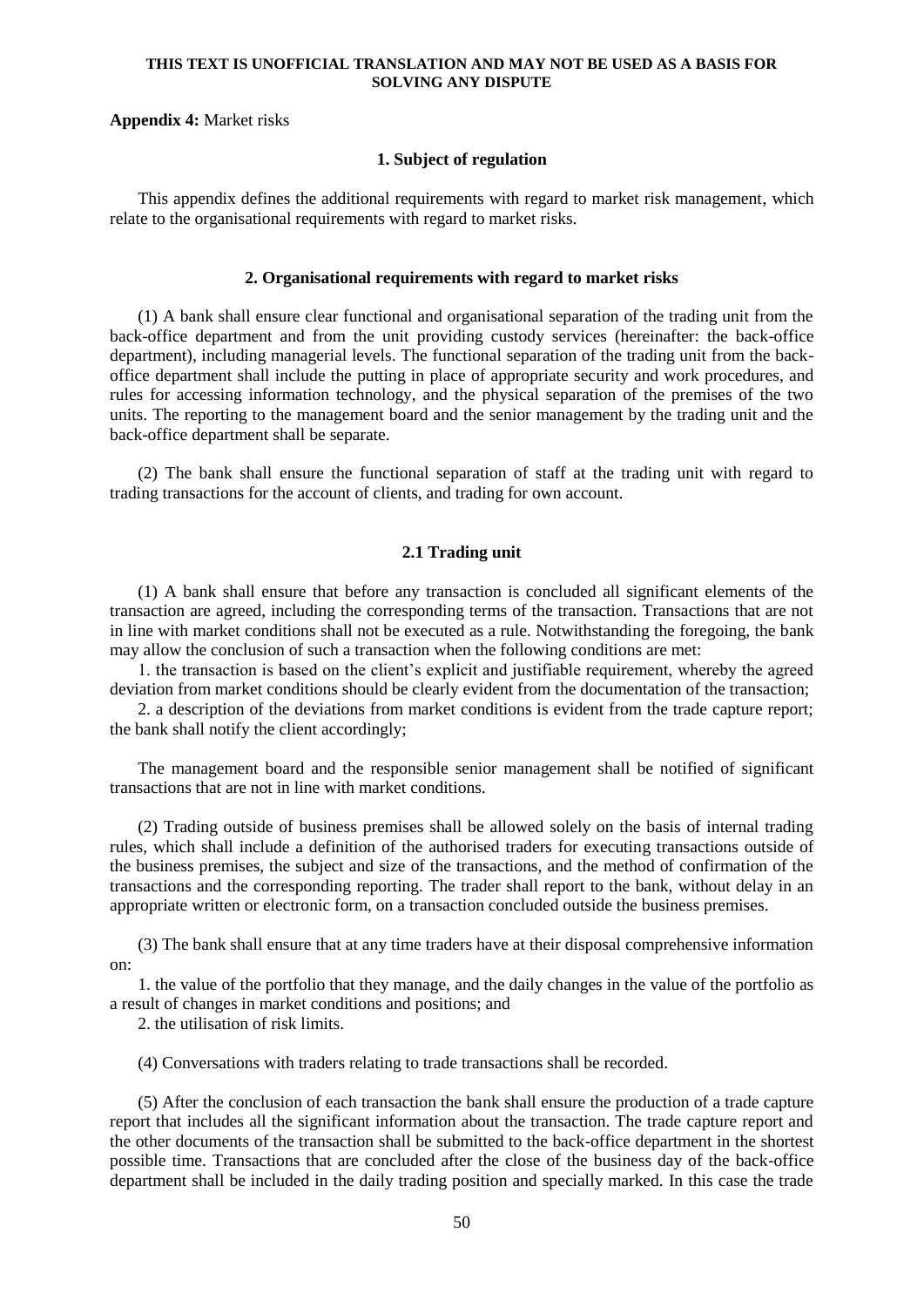#### **Appendix 4:** Market risks

### **1. Subject of regulation**

This appendix defines the additional requirements with regard to market risk management, which relate to the organisational requirements with regard to market risks.

#### **2. Organisational requirements with regard to market risks**

(1) A bank shall ensure clear functional and organisational separation of the trading unit from the back-office department and from the unit providing custody services (hereinafter: the back-office department), including managerial levels. The functional separation of the trading unit from the backoffice department shall include the putting in place of appropriate security and work procedures, and rules for accessing information technology, and the physical separation of the premises of the two units. The reporting to the management board and the senior management by the trading unit and the back-office department shall be separate.

(2) The bank shall ensure the functional separation of staff at the trading unit with regard to trading transactions for the account of clients, and trading for own account.

## **2.1 Trading unit**

(1) A bank shall ensure that before any transaction is concluded all significant elements of the transaction are agreed, including the corresponding terms of the transaction. Transactions that are not in line with market conditions shall not be executed as a rule. Notwithstanding the foregoing, the bank may allow the conclusion of such a transaction when the following conditions are met:

1. the transaction is based on the client's explicit and justifiable requirement, whereby the agreed deviation from market conditions should be clearly evident from the documentation of the transaction;

2. a description of the deviations from market conditions is evident from the trade capture report; the bank shall notify the client accordingly;

The management board and the responsible senior management shall be notified of significant transactions that are not in line with market conditions.

(2) Trading outside of business premises shall be allowed solely on the basis of internal trading rules, which shall include a definition of the authorised traders for executing transactions outside of the business premises, the subject and size of the transactions, and the method of confirmation of the transactions and the corresponding reporting. The trader shall report to the bank, without delay in an appropriate written or electronic form, on a transaction concluded outside the business premises.

(3) The bank shall ensure that at any time traders have at their disposal comprehensive information on:

1. the value of the portfolio that they manage, and the daily changes in the value of the portfolio as a result of changes in market conditions and positions; and

2. the utilisation of risk limits.

(4) Conversations with traders relating to trade transactions shall be recorded.

(5) After the conclusion of each transaction the bank shall ensure the production of a trade capture report that includes all the significant information about the transaction. The trade capture report and the other documents of the transaction shall be submitted to the back-office department in the shortest possible time. Transactions that are concluded after the close of the business day of the back-office department shall be included in the daily trading position and specially marked. In this case the trade